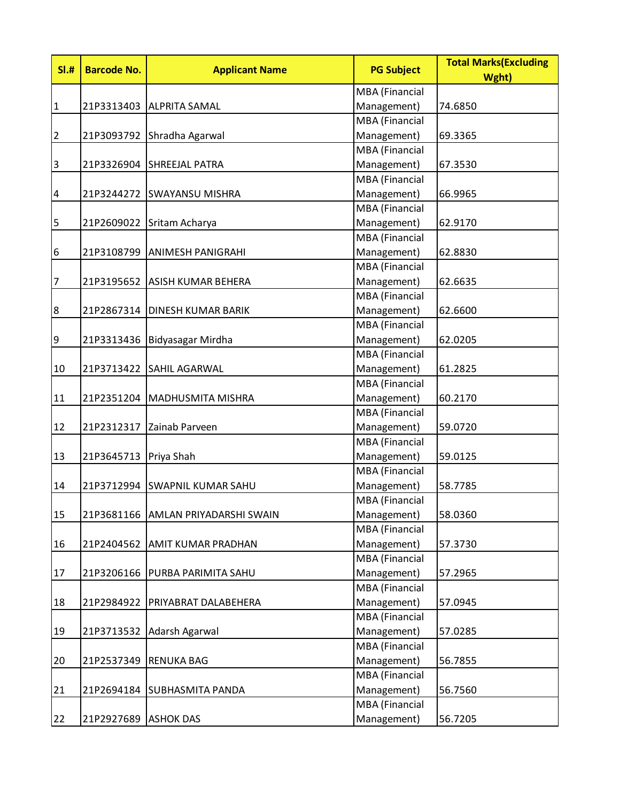| SI.#                      | <b>Barcode No.</b>      | <b>Applicant Name</b>          | <b>PG Subject</b>     | <b>Total Marks (Excluding</b><br>Wght) |
|---------------------------|-------------------------|--------------------------------|-----------------------|----------------------------------------|
|                           |                         |                                | <b>MBA</b> (Financial |                                        |
| $\mathbf 1$               |                         | 21P3313403 ALPRITA SAMAL       | Management)           | 74.6850                                |
|                           |                         |                                | <b>MBA</b> (Financial |                                        |
| $\overline{2}$            |                         | 21P3093792 Shradha Agarwal     | Management)           | 69.3365                                |
|                           |                         |                                | <b>MBA</b> (Financial |                                        |
| $\ensuremath{\mathsf{3}}$ | 21P3326904              | <b>SHREEJAL PATRA</b>          | Management)           | 67.3530                                |
|                           |                         |                                | MBA (Financial        |                                        |
| $\overline{\mathcal{A}}$  |                         | 21P3244272 SWAYANSU MISHRA     | Management)           | 66.9965                                |
|                           |                         |                                | <b>MBA</b> (Financial |                                        |
| 5                         | 21P2609022              | Sritam Acharya                 | Management)           | 62.9170                                |
|                           |                         |                                | <b>MBA</b> (Financial |                                        |
| $\boldsymbol{6}$          | 21P3108799              | <b>ANIMESH PANIGRAHI</b>       | Management)           | 62.8830                                |
|                           |                         |                                | MBA (Financial        |                                        |
| $\overline{7}$            |                         | 21P3195652 ASISH KUMAR BEHERA  | Management)           | 62.6635                                |
|                           |                         |                                | <b>MBA</b> (Financial |                                        |
| $\bf 8$                   | 21P2867314              | <b>DINESH KUMAR BARIK</b>      | Management)           | 62.6600                                |
|                           |                         |                                | MBA (Financial        |                                        |
| $\boldsymbol{9}$          |                         | 21P3313436   Bidyasagar Mirdha | Management)           | 62.0205                                |
|                           |                         |                                | <b>MBA</b> (Financial |                                        |
| 10                        | 21P3713422              | <b>SAHIL AGARWAL</b>           | Management)           | 61.2825                                |
|                           |                         |                                | <b>MBA</b> (Financial |                                        |
| 11                        | 21P2351204              | MADHUSMITA MISHRA              | Management)           | 60.2170                                |
|                           |                         |                                | <b>MBA</b> (Financial |                                        |
| 12                        | 21P2312317              | Zainab Parveen                 | Management)           | 59.0720                                |
|                           |                         |                                | <b>MBA</b> (Financial |                                        |
| 13                        | 21P3645713   Priya Shah |                                | Management)           | 59.0125                                |
|                           |                         |                                | MBA (Financial        |                                        |
| 14                        |                         | 21P3712994 SWAPNIL KUMAR SAHU  | Management)           | 58.7785                                |
|                           |                         |                                | <b>MBA</b> (Financial |                                        |
| 15                        | 21P3681166              | <b>AMLAN PRIYADARSHI SWAIN</b> | Management)           | 58.0360                                |
|                           |                         |                                | <b>MBA</b> (Financial |                                        |
| 16                        | 21P2404562              | <b>AMIT KUMAR PRADHAN</b>      | Management)           | 57.3730                                |
|                           |                         |                                | <b>MBA</b> (Financial |                                        |
| 17                        | 21P3206166              | <b>PURBA PARIMITA SAHU</b>     | Management)           | 57.2965                                |
|                           |                         |                                | MBA (Financial        |                                        |
| 18                        | 21P2984922              | <b>PRIYABRAT DALABEHERA</b>    | Management)           | 57.0945                                |
|                           |                         |                                | MBA (Financial        |                                        |
| 19                        | 21P3713532              | Adarsh Agarwal                 | Management)           | 57.0285                                |
|                           |                         |                                | MBA (Financial        |                                        |
| 20                        | 21P2537349              | <b>RENUKA BAG</b>              | Management)           | 56.7855                                |
|                           |                         |                                | <b>MBA</b> (Financial |                                        |
| 21                        | 21P2694184              | <b>SUBHASMITA PANDA</b>        | Management)           | 56.7560                                |
|                           |                         |                                | MBA (Financial        |                                        |
| 22                        | 21P2927689              | <b>ASHOK DAS</b>               | Management)           | 56.7205                                |
|                           |                         |                                |                       |                                        |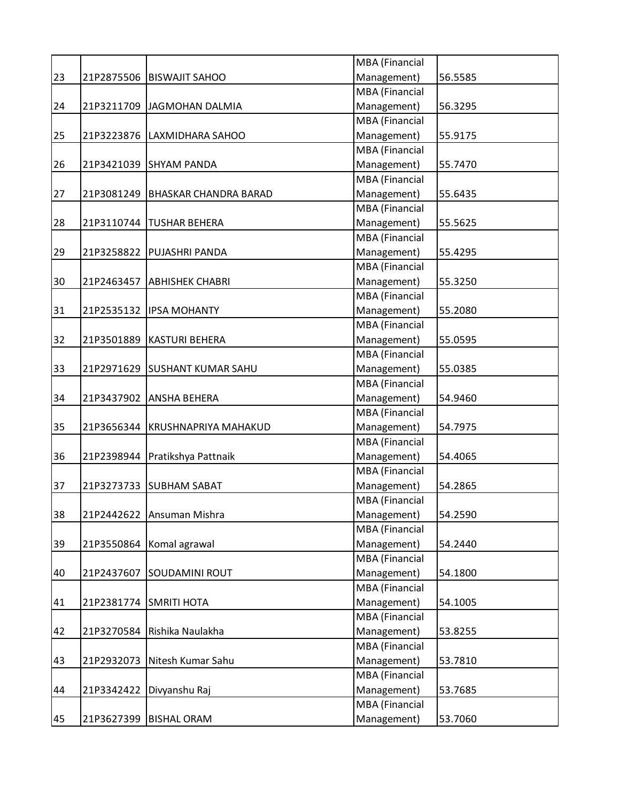|    |            |                                 | MBA (Financial                |         |
|----|------------|---------------------------------|-------------------------------|---------|
| 23 |            | 21P2875506 BISWAJIT SAHOO       | Management)                   | 56.5585 |
|    |            |                                 | <b>MBA</b> (Financial         |         |
| 24 |            | 21P3211709 JAGMOHAN DALMIA      | Management)                   | 56.3295 |
|    |            |                                 | MBA (Financial                |         |
| 25 |            | 21P3223876   LAXMIDHARA SAHOO   | Management)                   | 55.9175 |
|    |            |                                 | MBA (Financial                |         |
| 26 |            | 21P3421039 SHYAM PANDA          | Management)                   | 55.7470 |
|    |            |                                 | MBA (Financial                |         |
| 27 | 21P3081249 | <b>BHASKAR CHANDRA BARAD</b>    | Management)                   | 55.6435 |
|    |            |                                 | <b>MBA</b> (Financial         |         |
| 28 | 21P3110744 | <b>TUSHAR BEHERA</b>            | Management)                   | 55.5625 |
|    |            |                                 | <b>MBA</b> (Financial         |         |
| 29 |            | 21P3258822 PUJASHRI PANDA       | Management)                   | 55.4295 |
|    |            |                                 | MBA (Financial                |         |
| 30 | 21P2463457 | <b>ABHISHEK CHABRI</b>          | Management)                   | 55.3250 |
|    |            |                                 | MBA (Financial                |         |
| 31 |            | 21P2535132   IPSA MOHANTY       | Management)                   | 55.2080 |
|    |            |                                 | <b>MBA</b> (Financial         |         |
| 32 |            | 21P3501889   KASTURI BEHERA     | Management)                   | 55.0595 |
|    |            |                                 | MBA (Financial                |         |
| 33 | 21P2971629 | <b>SUSHANT KUMAR SAHU</b>       | Management)                   | 55.0385 |
|    |            |                                 | MBA (Financial                |         |
| 34 |            | 21P3437902 ANSHA BEHERA         | Management)                   | 54.9460 |
|    |            |                                 | MBA (Financial                |         |
| 35 |            |                                 |                               |         |
|    |            | 21P3656344 KRUSHNAPRIYA MAHAKUD | Management)<br>MBA (Financial | 54.7975 |
|    |            |                                 |                               |         |
| 36 |            | 21P2398944 Pratikshya Pattnaik  | Management)                   | 54.4065 |
|    |            |                                 | MBA (Financial                |         |
| 37 | 21P3273733 | <b>SUBHAM SABAT</b>             | Management)                   | 54.2865 |
|    |            |                                 | <b>MBA</b> (Financial         |         |
| 38 |            | 21P2442622 Ansuman Mishra       | Management)                   | 54.2590 |
|    |            |                                 | <b>MBA</b> (Financial         |         |
| 39 |            | 21P3550864 Komal agrawal        | Management)                   | 54.2440 |
|    |            |                                 | MBA (Financial                |         |
| 40 |            | 21P2437607 SOUDAMINI ROUT       | Management)                   | 54.1800 |
|    |            |                                 | MBA (Financial                |         |
| 41 | 21P2381774 | <b>SMRITI HOTA</b>              | Management)                   | 54.1005 |
|    |            |                                 | MBA (Financial                |         |
| 42 | 21P3270584 | Rishika Naulakha                | Management)                   | 53.8255 |
|    |            |                                 | MBA (Financial                |         |
| 43 | 21P2932073 | Nitesh Kumar Sahu               | Management)                   | 53.7810 |
|    |            |                                 | MBA (Financial                |         |
| 44 | 21P3342422 | Divyanshu Raj                   | Management)                   | 53.7685 |
|    |            |                                 | MBA (Financial                |         |
| 45 |            | 21P3627399   BISHAL ORAM        | Management)                   | 53.7060 |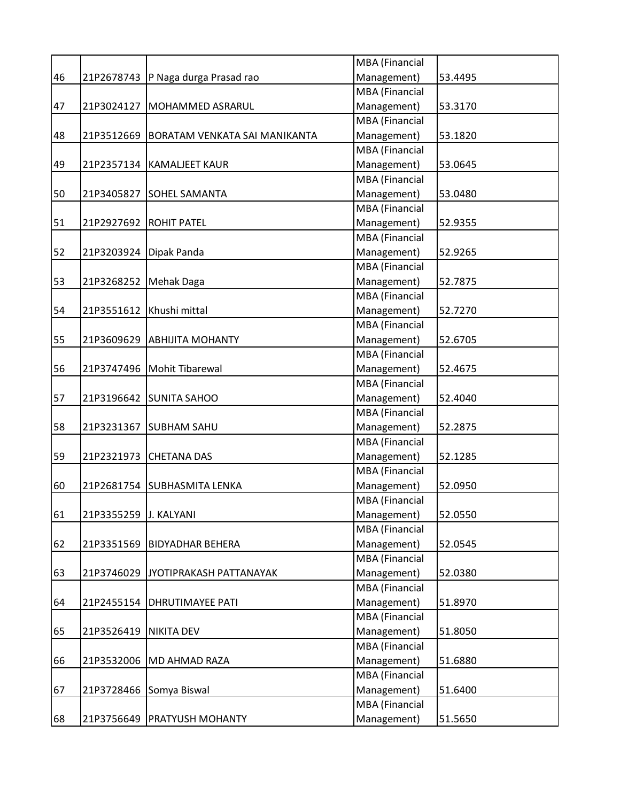|    |                       |                                      | <b>MBA</b> (Financial |         |
|----|-----------------------|--------------------------------------|-----------------------|---------|
| 46 |                       | 21P2678743 P Naga durga Prasad rao   | Management)           | 53.4495 |
|    |                       |                                      | <b>MBA</b> (Financial |         |
| 47 | 21P3024127            | MOHAMMED ASRARUL                     | Management)           | 53.3170 |
|    |                       |                                      | <b>MBA</b> (Financial |         |
| 48 | 21P3512669            | <b>BORATAM VENKATA SAI MANIKANTA</b> | Management)           | 53.1820 |
|    |                       |                                      | MBA (Financial        |         |
| 49 | 21P2357134            | <b>KAMALJEET KAUR</b>                | Management)           | 53.0645 |
|    |                       |                                      | MBA (Financial        |         |
| 50 | 21P3405827            | <b>SOHEL SAMANTA</b>                 | Management)           | 53.0480 |
|    |                       |                                      | MBA (Financial        |         |
| 51 |                       | 21P2927692   ROHIT PATEL             | Management)           | 52.9355 |
|    |                       |                                      | <b>MBA</b> (Financial |         |
| 52 | 21P3203924            | Dipak Panda                          | Management)           | 52.9265 |
|    |                       |                                      | <b>MBA</b> (Financial |         |
| 53 | 21P3268252 Mehak Daga |                                      | Management)           | 52.7875 |
|    |                       |                                      | MBA (Financial        |         |
| 54 | 21P3551612            | Khushi mittal                        | Management)           | 52.7270 |
|    |                       |                                      | MBA (Financial        |         |
| 55 | 21P3609629            | <b>ABHIJITA MOHANTY</b>              | Management)           | 52.6705 |
|    |                       |                                      | MBA (Financial        |         |
| 56 |                       | 21P3747496   Mohit Tibarewal         | Management)           | 52.4675 |
|    |                       |                                      | MBA (Financial        |         |
| 57 | 21P3196642            | <b>SUNITA SAHOO</b>                  | Management)           | 52.4040 |
|    |                       |                                      | <b>MBA</b> (Financial |         |
| 58 | 21P3231367            | <b>SUBHAM SAHU</b>                   | Management)           | 52.2875 |
|    |                       |                                      | MBA (Financial        |         |
| 59 | 21P2321973            | <b>CHETANA DAS</b>                   | Management)           | 52.1285 |
|    |                       |                                      | MBA (Financial        |         |
| 60 |                       | 21P2681754 SUBHASMITA LENKA          | Management)           | 52.0950 |
|    |                       |                                      | MBA (Financial        |         |
| 61 | 21P3355259 J. KALYANI |                                      | Management)           | 52.0550 |
|    |                       |                                      | <b>MBA</b> (Financial |         |
| 62 | 21P3351569            | <b>BIDYADHAR BEHERA</b>              | Management)           | 52.0545 |
|    |                       |                                      | MBA (Financial        |         |
| 63 | 21P3746029            | JYOTIPRAKASH PATTANAYAK              | Management)           | 52.0380 |
|    |                       |                                      | MBA (Financial        |         |
| 64 | 21P2455154            | <b>DHRUTIMAYEE PATI</b>              | Management)           | 51.8970 |
|    |                       |                                      | MBA (Financial        |         |
| 65 | 21P3526419            | <b>NIKITA DEV</b>                    | Management)           | 51.8050 |
|    |                       |                                      | MBA (Financial        |         |
| 66 |                       | 21P3532006   MD AHMAD RAZA           | Management)           | 51.6880 |
|    |                       |                                      | MBA (Financial        |         |
| 67 | 21P3728466            | Somya Biswal                         | Management)           | 51.6400 |
|    |                       |                                      | MBA (Financial        |         |
| 68 | 21P3756649            | PRATYUSH MOHANTY                     | Management)           | 51.5650 |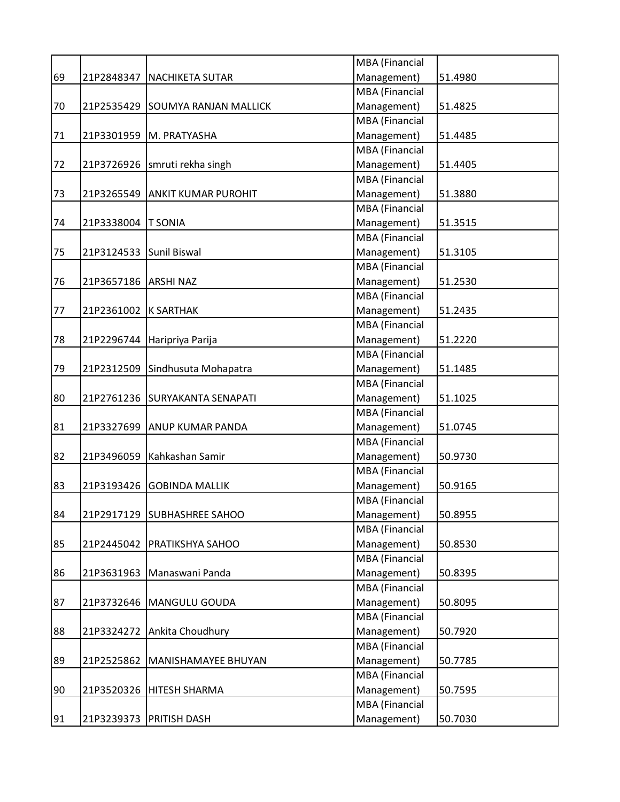|    |                         |                                  | MBA (Financial        |         |
|----|-------------------------|----------------------------------|-----------------------|---------|
| 69 | 21P2848347              | NACHIKETA SUTAR                  | Management)           | 51.4980 |
|    |                         |                                  | <b>MBA</b> (Financial |         |
| 70 |                         | 21P2535429 SOUMYA RANJAN MALLICK | Management)           | 51.4825 |
|    |                         |                                  | <b>MBA</b> (Financial |         |
| 71 | 21P3301959              | M. PRATYASHA                     | Management)           | 51.4485 |
|    |                         |                                  | MBA (Financial        |         |
| 72 |                         | 21P3726926   smruti rekha singh  | Management)           | 51.4405 |
|    |                         |                                  | <b>MBA</b> (Financial |         |
| 73 |                         | 21P3265549 ANKIT KUMAR PUROHIT   | Management)           | 51.3880 |
|    |                         |                                  | MBA (Financial        |         |
| 74 | 21P3338004              | <b>T SONIA</b>                   | Management)           | 51.3515 |
|    |                         |                                  | <b>MBA</b> (Financial |         |
| 75 | 21P3124533 Sunil Biswal |                                  | Management)           | 51.3105 |
|    |                         |                                  | <b>MBA</b> (Financial |         |
| 76 | 21P3657186 ARSHI NAZ    |                                  | Management)           | 51.2530 |
|    |                         |                                  | MBA (Financial        |         |
| 77 | 21P2361002 K SARTHAK    |                                  | Management)           | 51.2435 |
|    |                         |                                  | <b>MBA</b> (Financial |         |
| 78 | 21P2296744              | Haripriya Parija                 | Management)           | 51.2220 |
|    |                         |                                  | <b>MBA</b> (Financial |         |
| 79 | 21P2312509              | Sindhusuta Mohapatra             | Management)           | 51.1485 |
|    |                         |                                  | MBA (Financial        |         |
| 80 |                         | 21P2761236 SURYAKANTA SENAPATI   | Management)           | 51.1025 |
|    |                         |                                  | MBA (Financial        |         |
| 81 |                         | 21P3327699 ANUP KUMAR PANDA      | Management)           | 51.0745 |
|    |                         |                                  | MBA (Financial        |         |
| 82 |                         | 21P3496059   Kahkashan Samir     | Management)           | 50.9730 |
|    |                         |                                  | <b>MBA</b> (Financial |         |
| 83 | 21P3193426              | <b>GOBINDA MALLIK</b>            | Management)           | 50.9165 |
|    |                         |                                  | <b>MBA</b> (Financial |         |
| 84 |                         | 21P2917129 SUBHASHREE SAHOO      | Management)           | 50.8955 |
|    |                         |                                  | <b>MBA</b> (Financial |         |
| 85 |                         | 21P2445042 PRATIKSHYA SAHOO      | Management)           | 50.8530 |
|    |                         |                                  | <b>MBA</b> (Financial |         |
| 86 |                         | 21P3631963   Manaswani Panda     | Management)           | 50.8395 |
|    |                         |                                  | MBA (Financial        |         |
| 87 |                         | 21P3732646   MANGULU GOUDA       | Management)           | 50.8095 |
|    |                         |                                  | MBA (Financial        |         |
| 88 |                         | 21P3324272 Ankita Choudhury      | Management)           | 50.7920 |
|    |                         |                                  | <b>MBA</b> (Financial |         |
| 89 | 21P2525862              | MANISHAMAYEE BHUYAN              | Management)           | 50.7785 |
|    |                         |                                  | MBA (Financial        |         |
| 90 |                         | 21P3520326   HITESH SHARMA       | Management)           | 50.7595 |
|    |                         |                                  | MBA (Financial        |         |
| 91 |                         | 21P3239373   PRITISH DASH        | Management)           | 50.7030 |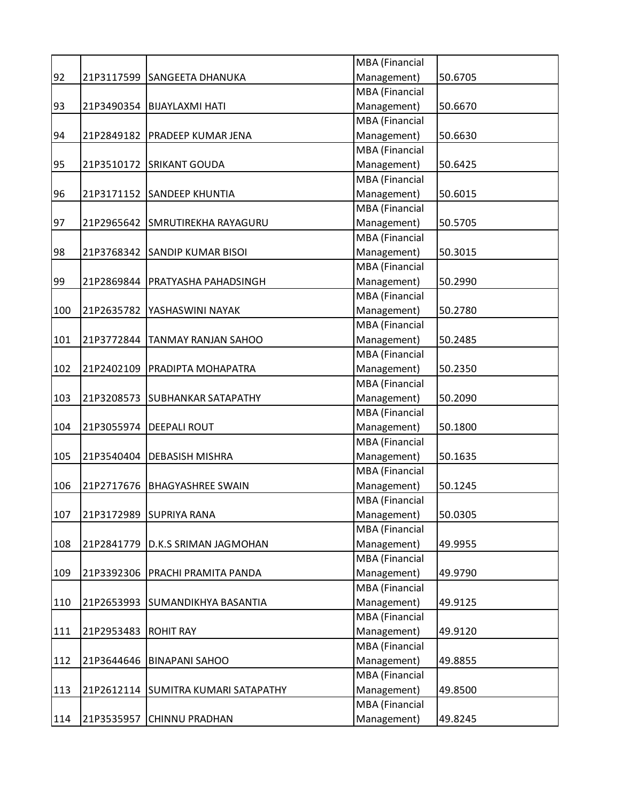|     |            |                                     | MBA (Financial        |         |
|-----|------------|-------------------------------------|-----------------------|---------|
| 92  | 21P3117599 | <b>SANGEETA DHANUKA</b>             | Management)           | 50.6705 |
|     |            |                                     | <b>MBA</b> (Financial |         |
| 93  | 21P3490354 | <b>BIJAYLAXMI HATI</b>              | Management)           | 50.6670 |
|     |            |                                     | <b>MBA</b> (Financial |         |
| 94  | 21P2849182 | <b>PRADEEP KUMAR JENA</b>           | Management)           | 50.6630 |
|     |            |                                     | MBA (Financial        |         |
| 95  | 21P3510172 | <b>SRIKANT GOUDA</b>                | Management)           | 50.6425 |
|     |            |                                     | <b>MBA</b> (Financial |         |
| 96  | 21P3171152 | <b>SANDEEP KHUNTIA</b>              | Management)           | 50.6015 |
|     |            |                                     | <b>MBA</b> (Financial |         |
| 97  | 21P2965642 | <b>SMRUTIREKHA RAYAGURU</b>         | Management)           | 50.5705 |
|     |            |                                     | <b>MBA</b> (Financial |         |
| 98  | 21P3768342 | <b>SANDIP KUMAR BISOI</b>           | Management)           | 50.3015 |
|     |            |                                     | <b>MBA</b> (Financial |         |
| 99  | 21P2869844 | <b>PRATYASHA PAHADSINGH</b>         | Management)           | 50.2990 |
|     |            |                                     | MBA (Financial        |         |
| 100 | 21P2635782 | YASHASWINI NAYAK                    | Management)           | 50.2780 |
|     |            |                                     | <b>MBA</b> (Financial |         |
| 101 | 21P3772844 | <b>TANMAY RANJAN SAHOO</b>          | Management)           | 50.2485 |
|     |            |                                     | <b>MBA</b> (Financial |         |
| 102 | 21P2402109 | <b>PRADIPTA MOHAPATRA</b>           | Management)           | 50.2350 |
|     |            |                                     | <b>MBA</b> (Financial |         |
| 103 | 21P3208573 | <b>SUBHANKAR SATAPATHY</b>          | Management)           | 50.2090 |
|     |            |                                     | <b>MBA</b> (Financial |         |
| 104 | 21P3055974 | <b>DEEPALI ROUT</b>                 | Management)           | 50.1800 |
|     |            |                                     | MBA (Financial        |         |
| 105 | 21P3540404 | <b>DEBASISH MISHRA</b>              | Management)           | 50.1635 |
|     |            |                                     | <b>MBA</b> (Financial |         |
| 106 | 21P2717676 | <b>BHAGYASHREE SWAIN</b>            | Management)           | 50.1245 |
|     |            |                                     | <b>MBA</b> (Financial |         |
| 107 | 21P3172989 | <b>SUPRIYA RANA</b>                 | Management)           | 50.0305 |
|     |            |                                     | <b>MBA</b> (Financial |         |
| 108 | 21P2841779 | <b>D.K.S SRIMAN JAGMOHAN</b>        | Management)           | 49.9955 |
|     |            |                                     | <b>MBA</b> (Financial |         |
| 109 | 21P3392306 | <b>PRACHI PRAMITA PANDA</b>         | Management)           | 49.9790 |
|     |            |                                     | <b>MBA</b> (Financial |         |
| 110 | 21P2653993 | SUMANDIKHYA BASANTIA                | Management)           | 49.9125 |
|     |            |                                     | <b>MBA</b> (Financial |         |
| 111 | 21P2953483 | <b>ROHIT RAY</b>                    | Management)           | 49.9120 |
|     |            |                                     | <b>MBA</b> (Financial |         |
| 112 | 21P3644646 | <b>BINAPANI SAHOO</b>               | Management)           | 49.8855 |
|     |            |                                     | <b>MBA</b> (Financial |         |
| 113 |            | 21P2612114 SUMITRA KUMARI SATAPATHY | Management)           | 49.8500 |
|     |            |                                     | <b>MBA</b> (Financial |         |
| 114 | 21P3535957 | <b>CHINNU PRADHAN</b>               | Management)           | 49.8245 |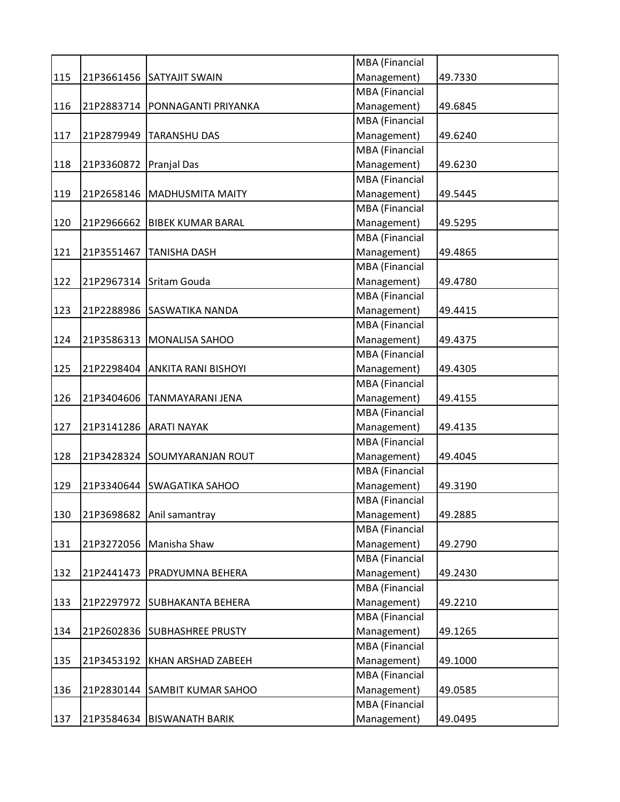|     |            |                               | MBA (Financial        |         |
|-----|------------|-------------------------------|-----------------------|---------|
| 115 |            | 21P3661456 SATYAJIT SWAIN     | Management)           | 49.7330 |
|     |            |                               | MBA (Financial        |         |
| 116 | 21P2883714 | PONNAGANTI PRIYANKA           | Management)           | 49.6845 |
|     |            |                               | MBA (Financial        |         |
| 117 | 21P2879949 | <b>TARANSHU DAS</b>           | Management)           | 49.6240 |
|     |            |                               | <b>MBA</b> (Financial |         |
| 118 | 21P3360872 | Pranjal Das                   | Management)           | 49.6230 |
|     |            |                               | MBA (Financial        |         |
| 119 |            | 21P2658146   MADHUSMITA MAITY | Management)           | 49.5445 |
|     |            |                               | MBA (Financial        |         |
| 120 | 21P2966662 | <b>BIBEK KUMAR BARAL</b>      | Management)           | 49.5295 |
|     |            |                               | MBA (Financial        |         |
| 121 | 21P3551467 | <b>TANISHA DASH</b>           | Management)           | 49.4865 |
|     |            |                               | MBA (Financial        |         |
| 122 |            | 21P2967314 Sritam Gouda       | Management)           | 49.4780 |
|     |            |                               | MBA (Financial        |         |
| 123 |            | 21P2288986 SASWATIKA NANDA    | Management)           | 49.4415 |
|     |            |                               | MBA (Financial        |         |
| 124 | 21P3586313 | <b>MONALISA SAHOO</b>         | Management)           | 49.4375 |
|     |            |                               | MBA (Financial        |         |
| 125 | 21P2298404 | <b>ANKITA RANI BISHOYI</b>    | Management)           | 49.4305 |
|     |            |                               | MBA (Financial        |         |
| 126 | 21P3404606 | <b>TANMAYARANI JENA</b>       | Management)           | 49.4155 |
|     |            |                               | <b>MBA</b> (Financial |         |
| 127 | 21P3141286 | <b>ARATI NAYAK</b>            | Management)           | 49.4135 |
|     |            |                               | MBA (Financial        |         |
| 128 |            | 21P3428324 SOUMYARANJAN ROUT  | Management)           | 49.4045 |
|     |            |                               | MBA (Financial        |         |
| 129 | 21P3340644 | <b>SWAGATIKA SAHOO</b>        | Management)           | 49.3190 |
|     |            |                               | MBA (Financial        |         |
| 130 | 21P3698682 | Anil samantray                | Management)           | 49.2885 |
|     |            |                               | MBA (Financial        |         |
| 131 | 21P3272056 | Manisha Shaw                  | Management)           | 49.2790 |
|     |            |                               | <b>MBA</b> (Financial |         |
| 132 | 21P2441473 | PRADYUMNA BEHERA              | Management)           | 49.2430 |
|     |            |                               | MBA (Financial        |         |
| 133 |            | 21P2297972 SUBHAKANTA BEHERA  | Management)           | 49.2210 |
|     |            |                               | MBA (Financial        |         |
| 134 | 21P2602836 | <b>SUBHASHREE PRUSTY</b>      | Management)           | 49.1265 |
|     |            |                               | MBA (Financial        |         |
| 135 | 21P3453192 | KHAN ARSHAD ZABEEH            | Management)           | 49.1000 |
|     |            |                               | MBA (Financial        |         |
| 136 | 21P2830144 | <b>SAMBIT KUMAR SAHOO</b>     | Management)           | 49.0585 |
|     |            |                               | MBA (Financial        |         |
| 137 | 21P3584634 | <b>BISWANATH BARIK</b>        | Management)           | 49.0495 |
|     |            |                               |                       |         |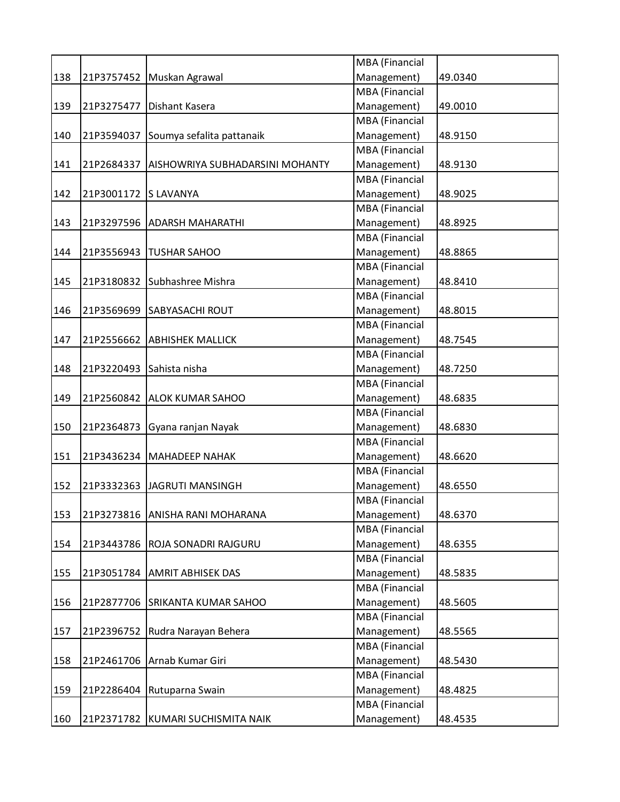|     |            |                                      | <b>MBA</b> (Financial |         |
|-----|------------|--------------------------------------|-----------------------|---------|
| 138 |            | 21P3757452 Muskan Agrawal            | Management)           | 49.0340 |
|     |            |                                      | <b>MBA</b> (Financial |         |
| 139 |            | 21P3275477   Dishant Kasera          | Management)           | 49.0010 |
|     |            |                                      | <b>MBA</b> (Financial |         |
| 140 |            | 21P3594037 Soumya sefalita pattanaik | Management)           | 48.9150 |
|     |            |                                      | MBA (Financial        |         |
| 141 | 21P2684337 | AISHOWRIYA SUBHADARSINI MOHANTY      | Management)           | 48.9130 |
|     |            |                                      | <b>MBA</b> (Financial |         |
| 142 | 21P3001172 | <b>SLAVANYA</b>                      | Management)           | 48.9025 |
|     |            |                                      | <b>MBA</b> (Financial |         |
| 143 |            | 21P3297596 ADARSH MAHARATHI          | Management)           | 48.8925 |
|     |            |                                      | <b>MBA</b> (Financial |         |
| 144 |            | 21P3556943   TUSHAR SAHOO            | Management)           | 48.8865 |
|     |            |                                      | <b>MBA</b> (Financial |         |
| 145 |            | 21P3180832 Subhashree Mishra         | Management)           | 48.8410 |
|     |            |                                      | MBA (Financial        |         |
| 146 |            | 21P3569699 SABYASACHI ROUT           | Management)           | 48.8015 |
|     |            |                                      | <b>MBA</b> (Financial |         |
| 147 | 21P2556662 | <b>ABHISHEK MALLICK</b>              | Management)           | 48.7545 |
|     |            |                                      | <b>MBA</b> (Financial |         |
| 148 | 21P3220493 | Sahista nisha                        | Management)           | 48.7250 |
|     |            |                                      | <b>MBA</b> (Financial |         |
| 149 |            | 21P2560842 ALOK KUMAR SAHOO          | Management)           | 48.6835 |
|     |            |                                      | <b>MBA</b> (Financial |         |
| 150 | 21P2364873 | Gyana ranjan Nayak                   | Management)           | 48.6830 |
|     |            |                                      | MBA (Financial        |         |
| 151 |            | 21P3436234   MAHADEEP NAHAK          | Management)           | 48.6620 |
|     |            |                                      | <b>MBA</b> (Financial |         |
| 152 | 21P3332363 | JAGRUTI MANSINGH                     | Management)           | 48.6550 |
|     |            |                                      | <b>MBA</b> (Financial |         |
| 153 |            | 21P3273816 ANISHA RANI MOHARANA      | Management)           | 48.6370 |
|     |            |                                      | <b>MBA</b> (Financial |         |
| 154 |            | 21P3443786 ROJA SONADRI RAJGURU      | Management)           | 48.6355 |
|     |            |                                      | <b>MBA</b> (Financial |         |
| 155 |            | 21P3051784 AMRIT ABHISEK DAS         | Management)           | 48.5835 |
|     |            |                                      | MBA (Financial        |         |
| 156 |            | 21P2877706 SRIKANTA KUMAR SAHOO      | Management)           | 48.5605 |
|     |            |                                      | MBA (Financial        |         |
| 157 | 21P2396752 | Rudra Narayan Behera                 | Management)           | 48.5565 |
|     |            |                                      | <b>MBA</b> (Financial |         |
| 158 |            | 21P2461706 Arnab Kumar Giri          | Management)           | 48.5430 |
|     |            |                                      | <b>MBA</b> (Financial |         |
| 159 |            | 21P2286404 Rutuparna Swain           | Management)           | 48.4825 |
|     |            |                                      | MBA (Financial        |         |
| 160 |            | 21P2371782 KUMARI SUCHISMITA NAIK    | Management)           | 48.4535 |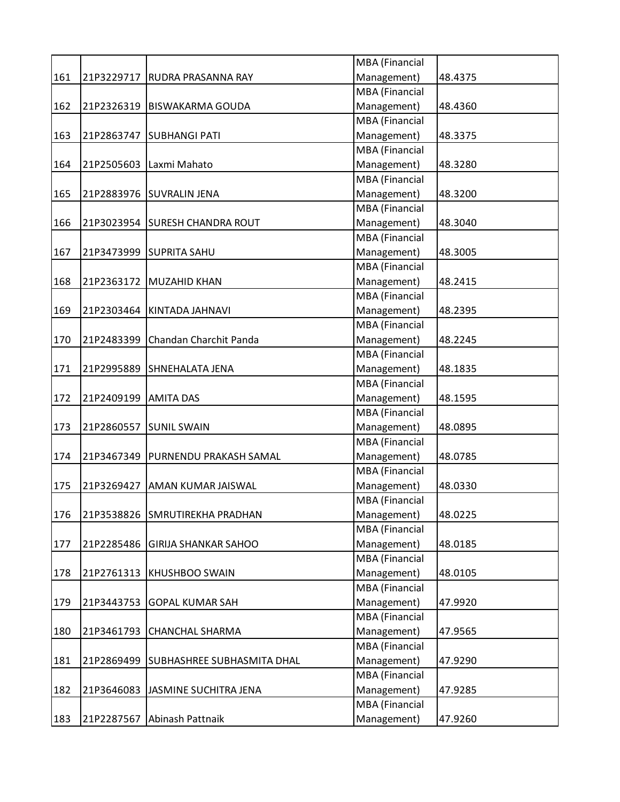|     |                      |                                     | MBA (Financial        |         |
|-----|----------------------|-------------------------------------|-----------------------|---------|
| 161 | 21P3229717           | <b>RUDRA PRASANNA RAY</b>           | Management)           | 48.4375 |
|     |                      |                                     | <b>MBA</b> (Financial |         |
| 162 | 21P2326319           | BISWAKARMA GOUDA                    | Management)           | 48.4360 |
|     |                      |                                     | MBA (Financial        |         |
| 163 | 21P2863747           | <b>SUBHANGI PATI</b>                | Management)           | 48.3375 |
|     |                      |                                     | MBA (Financial        |         |
| 164 |                      | 21P2505603   Laxmi Mahato           | Management)           | 48.3280 |
|     |                      |                                     | MBA (Financial        |         |
| 165 | 21P2883976           | <b>SUVRALIN JENA</b>                | Management)           | 48.3200 |
|     |                      |                                     | <b>MBA</b> (Financial |         |
| 166 |                      | 21P3023954 SURESH CHANDRA ROUT      | Management)           | 48.3040 |
|     |                      |                                     | MBA (Financial        |         |
| 167 |                      | 21P3473999 SUPRITA SAHU             | Management)           | 48.3005 |
|     |                      |                                     | <b>MBA</b> (Financial |         |
| 168 | 21P2363172           | MUZAHID KHAN                        | Management)           | 48.2415 |
|     |                      |                                     | MBA (Financial        |         |
| 169 |                      | 21P2303464 KINTADA JAHNAVI          | Management)           | 48.2395 |
|     |                      |                                     | <b>MBA</b> (Financial |         |
| 170 | 21P2483399           | Chandan Charchit Panda              | Management)           | 48.2245 |
|     |                      |                                     | MBA (Financial        |         |
| 171 | 21P2995889           | SHNEHALATA JENA                     | Management)           | 48.1835 |
|     |                      |                                     | MBA (Financial        |         |
| 172 | 21P2409199 AMITA DAS |                                     | Management)           | 48.1595 |
|     |                      |                                     | MBA (Financial        |         |
| 173 | 21P2860557           | <b>SUNIL SWAIN</b>                  | Management)           | 48.0895 |
|     |                      |                                     | MBA (Financial        |         |
| 174 |                      | 21P3467349   PURNENDU PRAKASH SAMAL | Management)           | 48.0785 |
|     |                      |                                     | MBA (Financial        |         |
|     |                      |                                     |                       |         |
| 175 | 21P3269427           | AMAN KUMAR JAISWAL                  | Management)           | 48.0330 |
|     |                      |                                     | <b>MBA</b> (Financial |         |
| 176 | 21P3538826           | <b>SMRUTIREKHA PRADHAN</b>          | Management)           | 48.0225 |
|     |                      |                                     | <b>MBA</b> (Financial |         |
| 177 | 21P2285486           | <b>GIRIJA SHANKAR SAHOO</b>         | Management)           | 48.0185 |
|     |                      |                                     | MBA (Financial        |         |
| 178 |                      | 21P2761313 KHUSHBOO SWAIN           | Management)           | 48.0105 |
|     |                      |                                     | MBA (Financial        |         |
| 179 | 21P3443753           | <b>GOPAL KUMAR SAH</b>              | Management)           | 47.9920 |
|     |                      |                                     | MBA (Financial        |         |
| 180 | 21P3461793           | <b>CHANCHAL SHARMA</b>              | Management)           | 47.9565 |
|     |                      |                                     | MBA (Financial        |         |
| 181 | 21P2869499           | SUBHASHREE SUBHASMITA DHAL          | Management)           | 47.9290 |
|     |                      |                                     | MBA (Financial        |         |
| 182 | 21P3646083           | JASMINE SUCHITRA JENA               | Management)           | 47.9285 |
|     |                      |                                     | MBA (Financial        |         |
| 183 | 21P2287567           | Abinash Pattnaik                    | Management)           | 47.9260 |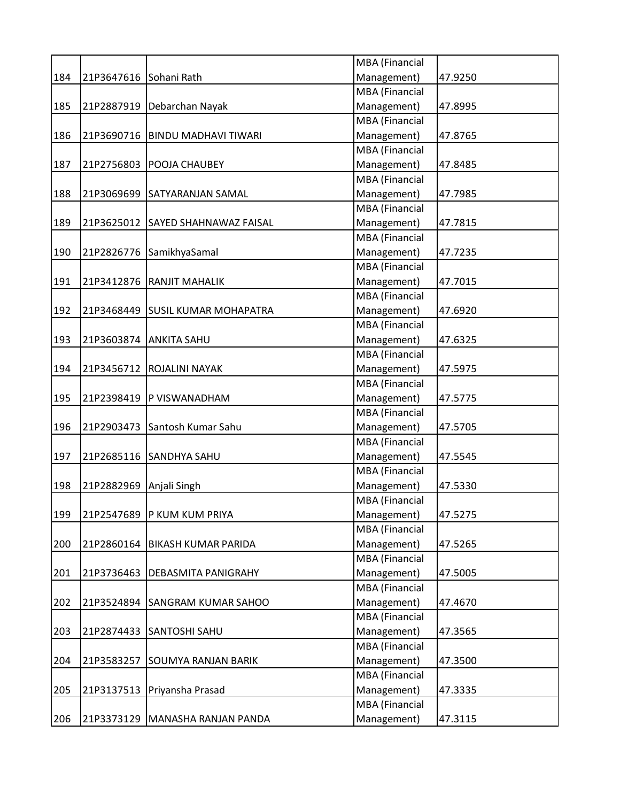|     |            |                                   | MBA (Financial        |         |
|-----|------------|-----------------------------------|-----------------------|---------|
| 184 | 21P3647616 | Sohani Rath                       | Management)           | 47.9250 |
|     |            |                                   | MBA (Financial        |         |
| 185 | 21P2887919 | Debarchan Nayak                   | Management)           | 47.8995 |
|     |            |                                   | MBA (Financial        |         |
| 186 | 21P3690716 | <b>BINDU MADHAVI TIWARI</b>       | Management)           | 47.8765 |
|     |            |                                   | MBA (Financial        |         |
| 187 | 21P2756803 | <b>POOJA CHAUBEY</b>              | Management)           | 47.8485 |
|     |            |                                   | MBA (Financial        |         |
| 188 | 21P3069699 | <b>SATYARANJAN SAMAL</b>          | Management)           | 47.7985 |
|     |            |                                   | MBA (Financial        |         |
| 189 | 21P3625012 | <b>SAYED SHAHNAWAZ FAISAL</b>     | Management)           | 47.7815 |
|     |            |                                   | MBA (Financial        |         |
| 190 | 21P2826776 | SamikhyaSamal                     | Management)           | 47.7235 |
|     |            |                                   | MBA (Financial        |         |
| 191 | 21P3412876 | <b>RANJIT MAHALIK</b>             | Management)           | 47.7015 |
|     |            |                                   | MBA (Financial        |         |
| 192 | 21P3468449 | <b>SUSIL KUMAR MOHAPATRA</b>      | Management)           | 47.6920 |
|     |            |                                   | <b>MBA</b> (Financial |         |
| 193 | 21P3603874 | <b>ANKITA SAHU</b>                | Management)           | 47.6325 |
|     |            |                                   | MBA (Financial        |         |
| 194 | 21P3456712 | ROJALINI NAYAK                    | Management)           | 47.5975 |
|     |            |                                   | MBA (Financial        |         |
| 195 | 21P2398419 | <b>P VISWANADHAM</b>              | Management)           | 47.5775 |
|     |            |                                   | MBA (Financial        |         |
| 196 | 21P2903473 | Santosh Kumar Sahu                | Management)           |         |
|     |            |                                   | MBA (Financial        | 47.5705 |
|     |            |                                   |                       |         |
| 197 | 21P2685116 | <b>SANDHYA SAHU</b>               | Management)           | 47.5545 |
|     |            |                                   | MBA (Financial        |         |
| 198 | 21P2882969 | Anjali Singh                      | Management)           | 47.5330 |
|     |            |                                   | MBA (Financial        |         |
| 199 | 21P2547689 | P KUM KUM PRIYA                   | Management)           | 47.5275 |
|     |            |                                   | MBA (Financial        |         |
| 200 | 21P2860164 | <b>BIKASH KUMAR PARIDA</b>        | Management)           | 47.5265 |
|     |            |                                   | MBA (Financial        |         |
| 201 |            | 21P3736463   DEBASMITA PANIGRAHY  | Management)           | 47.5005 |
|     |            |                                   | MBA (Financial        |         |
| 202 | 21P3524894 | <b>SANGRAM KUMAR SAHOO</b>        | Management)           | 47.4670 |
|     |            |                                   | MBA (Financial        |         |
| 203 | 21P2874433 | <b>SANTOSHI SAHU</b>              | Management)           | 47.3565 |
|     |            |                                   | MBA (Financial        |         |
| 204 | 21P3583257 | <b>SOUMYA RANJAN BARIK</b>        | Management)           | 47.3500 |
|     |            |                                   | MBA (Financial        |         |
| 205 | 21P3137513 | Priyansha Prasad                  | Management)           | 47.3335 |
|     |            |                                   | MBA (Financial        |         |
| 206 |            | 21P3373129   MANASHA RANJAN PANDA | Management)           | 47.3115 |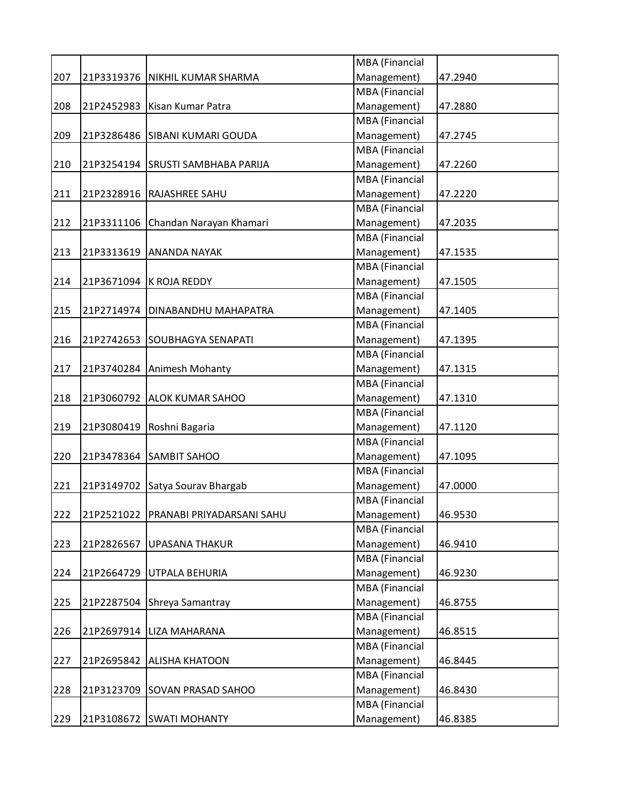|     |            |                                    | MBA (Financial        |         |
|-----|------------|------------------------------------|-----------------------|---------|
| 207 |            | 21P3319376   NIKHIL KUMAR SHARMA   | Management)           | 47.2940 |
|     |            |                                    | MBA (Financial        |         |
| 208 |            | 21P2452983   Kisan Kumar Patra     | Management)           | 47.2880 |
|     |            |                                    | MBA (Financial        |         |
| 209 | 21P3286486 | <b>SIBANI KUMARI GOUDA</b>         | Management)           | 47.2745 |
|     |            |                                    | MBA (Financial        |         |
| 210 |            | 21P3254194 SRUSTI SAMBHABA PARIJA  | Management)           | 47.2260 |
|     |            |                                    | MBA (Financial        |         |
| 211 | 21P2328916 | <b>RAJASHREE SAHU</b>              | Management)           | 47.2220 |
|     |            |                                    | MBA (Financial        |         |
| 212 |            | 21P3311106 Chandan Narayan Khamari | Management)           | 47.2035 |
|     |            |                                    | MBA (Financial        |         |
| 213 | 21P3313619 | <b>ANANDA NAYAK</b>                | Management)           | 47.1535 |
|     |            |                                    | MBA (Financial        |         |
| 214 | 21P3671094 | K ROJA REDDY                       | Management)           | 47.1505 |
|     |            |                                    | MBA (Financial        |         |
| 215 | 21P2714974 | <b>DINABANDHU MAHAPATRA</b>        | Management)           | 47.1405 |
|     |            |                                    | <b>MBA</b> (Financial |         |
| 216 | 21P2742653 | <b>SOUBHAGYA SENAPATI</b>          | Management)           | 47.1395 |
|     |            |                                    | MBA (Financial        |         |
| 217 | 21P3740284 | Animesh Mohanty                    | Management)           | 47.1315 |
|     |            |                                    | MBA (Financial        |         |
| 218 |            | 21P3060792 ALOK KUMAR SAHOO        | Management)           | 47.1310 |
|     |            |                                    | MBA (Financial        |         |
|     |            |                                    | Management)           |         |
| 219 | 21P3080419 | Roshni Bagaria                     | MBA (Financial        | 47.1120 |
|     |            |                                    |                       |         |
| 220 |            | 21P3478364 SAMBIT SAHOO            | Management)           | 47.1095 |
|     |            |                                    | MBA (Financial        |         |
| 221 |            | 21P3149702 Satya Sourav Bhargab    | Management)           | 47.0000 |
|     |            |                                    | MBA (Financial        |         |
| 222 | 21P2521022 | PRANABI PRIYADARSANI SAHU          | Management)           | 46.9530 |
|     |            |                                    | MBA (Financial        |         |
| 223 | 21P2826567 | <b>UPASANA THAKUR</b>              | Management)           | 46.9410 |
|     |            |                                    | MBA (Financial        |         |
| 224 | 21P2664729 | <b>UTPALA BEHURIA</b>              | Management)           | 46.9230 |
|     |            |                                    | MBA (Financial        |         |
| 225 | 21P2287504 | Shreya Samantray                   | Management)           | 46.8755 |
|     |            |                                    | MBA (Financial        |         |
| 226 | 21P2697914 | <b>LIZA MAHARANA</b>               | Management)           | 46.8515 |
|     |            |                                    | MBA (Financial        |         |
| 227 | 21P2695842 | <b>ALISHA KHATOON</b>              | Management)           | 46.8445 |
|     |            |                                    | MBA (Financial        |         |
| 228 | 21P3123709 | <b>SOVAN PRASAD SAHOO</b>          | Management)           | 46.8430 |
|     |            |                                    | MBA (Financial        |         |
| 229 |            | 21P3108672 SWATI MOHANTY           | Management)           | 46.8385 |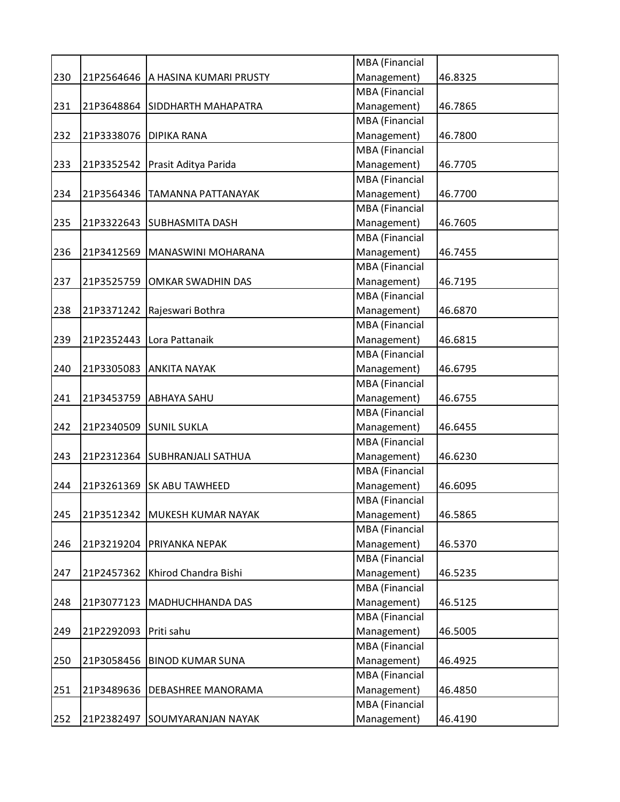| MBA (Financial<br>Management)<br>230<br>46.8325<br>21P2564646   A HASINA KUMARI PRUSTY<br><b>MBA</b> (Financial<br>Management)<br>231<br>46.7865<br>21P3648864 SIDDHARTH MAHAPATRA<br><b>MBA</b> (Financial<br>Management)<br>21P3338076   DIPIKA RANA<br>232<br>46.7800<br><b>MBA</b> (Financial<br>Management)<br>233<br>21P3352542   Prasit Aditya Parida<br>46.7705<br><b>MBA</b> (Financial<br>Management)<br>234<br>21P3564346   TAMANNA PATTANAYAK<br>46.7700<br><b>MBA</b> (Financial<br>Management)<br>235<br>21P3322643<br><b>SUBHASMITA DASH</b><br>46.7605<br><b>MBA</b> (Financial<br>Management)<br>236<br>21P3412569 MANASWINI MOHARANA<br>46.7455<br><b>MBA</b> (Financial<br>Management)<br>21P3525759<br><b>OMKAR SWADHIN DAS</b><br>46.7195<br>MBA (Financial<br>Management)<br>238<br>21P3371242   Rajeswari Bothra<br>46.6870<br><b>MBA</b> (Financial<br>Management)<br>21P2352443<br>239<br>Lora Pattanaik<br>46.6815<br><b>MBA</b> (Financial<br>Management)<br>240<br>21P3305083<br>46.6795<br><b>ANKITA NAYAK</b><br><b>MBA</b> (Financial<br>Management)<br>241<br>21P3453759 ABHAYA SAHU<br>46.6755<br><b>MBA</b> (Financial<br>Management)<br>21P2340509<br>242<br><b>SUNIL SUKLA</b><br>46.6455<br>MBA (Financial<br>Management)<br>243<br>21P2312364 SUBHRANJALI SATHUA<br>46.6230<br><b>MBA</b> (Financial<br>Management)<br>244<br>21P3261369<br><b>SK ABU TAWHEED</b><br>46.6095<br><b>MBA</b> (Financial<br>245<br>21P3512342 MUKESH KUMAR NAYAK<br>46.5865<br>Management)<br><b>MBA</b> (Financial<br>Management)<br>246<br>21P3219204 PRIYANKA NEPAK<br>46.5370<br><b>MBA</b> (Financial<br>Management)<br>21P2457362 Khirod Chandra Bishi<br>46.5235<br>MBA (Financial<br>Management)<br>248<br>21P3077123<br>MADHUCHHANDA DAS<br>46.5125<br>MBA (Financial<br>Management)<br>249<br>21P2292093 Priti sahu<br>46.5005<br><b>MBA</b> (Financial<br>Management)<br>250<br>21P3058456 BINOD KUMAR SUNA<br>46.4925<br><b>MBA</b> (Financial<br>Management)<br>251<br>21P3489636   DEBASHREE MANORAMA<br>46.4850<br>MBA (Financial |     |  |             |         |
|---------------------------------------------------------------------------------------------------------------------------------------------------------------------------------------------------------------------------------------------------------------------------------------------------------------------------------------------------------------------------------------------------------------------------------------------------------------------------------------------------------------------------------------------------------------------------------------------------------------------------------------------------------------------------------------------------------------------------------------------------------------------------------------------------------------------------------------------------------------------------------------------------------------------------------------------------------------------------------------------------------------------------------------------------------------------------------------------------------------------------------------------------------------------------------------------------------------------------------------------------------------------------------------------------------------------------------------------------------------------------------------------------------------------------------------------------------------------------------------------------------------------------------------------------------------------------------------------------------------------------------------------------------------------------------------------------------------------------------------------------------------------------------------------------------------------------------------------------------------------------------------------------------------------------------------------------------------------------------------------------------------------------------------------------------------------|-----|--|-------------|---------|
| 237<br>247                                                                                                                                                                                                                                                                                                                                                                                                                                                                                                                                                                                                                                                                                                                                                                                                                                                                                                                                                                                                                                                                                                                                                                                                                                                                                                                                                                                                                                                                                                                                                                                                                                                                                                                                                                                                                                                                                                                                                                                                                                                          |     |  |             |         |
|                                                                                                                                                                                                                                                                                                                                                                                                                                                                                                                                                                                                                                                                                                                                                                                                                                                                                                                                                                                                                                                                                                                                                                                                                                                                                                                                                                                                                                                                                                                                                                                                                                                                                                                                                                                                                                                                                                                                                                                                                                                                     |     |  |             |         |
|                                                                                                                                                                                                                                                                                                                                                                                                                                                                                                                                                                                                                                                                                                                                                                                                                                                                                                                                                                                                                                                                                                                                                                                                                                                                                                                                                                                                                                                                                                                                                                                                                                                                                                                                                                                                                                                                                                                                                                                                                                                                     |     |  |             |         |
|                                                                                                                                                                                                                                                                                                                                                                                                                                                                                                                                                                                                                                                                                                                                                                                                                                                                                                                                                                                                                                                                                                                                                                                                                                                                                                                                                                                                                                                                                                                                                                                                                                                                                                                                                                                                                                                                                                                                                                                                                                                                     |     |  |             |         |
|                                                                                                                                                                                                                                                                                                                                                                                                                                                                                                                                                                                                                                                                                                                                                                                                                                                                                                                                                                                                                                                                                                                                                                                                                                                                                                                                                                                                                                                                                                                                                                                                                                                                                                                                                                                                                                                                                                                                                                                                                                                                     |     |  |             |         |
|                                                                                                                                                                                                                                                                                                                                                                                                                                                                                                                                                                                                                                                                                                                                                                                                                                                                                                                                                                                                                                                                                                                                                                                                                                                                                                                                                                                                                                                                                                                                                                                                                                                                                                                                                                                                                                                                                                                                                                                                                                                                     |     |  |             |         |
|                                                                                                                                                                                                                                                                                                                                                                                                                                                                                                                                                                                                                                                                                                                                                                                                                                                                                                                                                                                                                                                                                                                                                                                                                                                                                                                                                                                                                                                                                                                                                                                                                                                                                                                                                                                                                                                                                                                                                                                                                                                                     |     |  |             |         |
|                                                                                                                                                                                                                                                                                                                                                                                                                                                                                                                                                                                                                                                                                                                                                                                                                                                                                                                                                                                                                                                                                                                                                                                                                                                                                                                                                                                                                                                                                                                                                                                                                                                                                                                                                                                                                                                                                                                                                                                                                                                                     |     |  |             |         |
|                                                                                                                                                                                                                                                                                                                                                                                                                                                                                                                                                                                                                                                                                                                                                                                                                                                                                                                                                                                                                                                                                                                                                                                                                                                                                                                                                                                                                                                                                                                                                                                                                                                                                                                                                                                                                                                                                                                                                                                                                                                                     |     |  |             |         |
|                                                                                                                                                                                                                                                                                                                                                                                                                                                                                                                                                                                                                                                                                                                                                                                                                                                                                                                                                                                                                                                                                                                                                                                                                                                                                                                                                                                                                                                                                                                                                                                                                                                                                                                                                                                                                                                                                                                                                                                                                                                                     |     |  |             |         |
|                                                                                                                                                                                                                                                                                                                                                                                                                                                                                                                                                                                                                                                                                                                                                                                                                                                                                                                                                                                                                                                                                                                                                                                                                                                                                                                                                                                                                                                                                                                                                                                                                                                                                                                                                                                                                                                                                                                                                                                                                                                                     |     |  |             |         |
|                                                                                                                                                                                                                                                                                                                                                                                                                                                                                                                                                                                                                                                                                                                                                                                                                                                                                                                                                                                                                                                                                                                                                                                                                                                                                                                                                                                                                                                                                                                                                                                                                                                                                                                                                                                                                                                                                                                                                                                                                                                                     |     |  |             |         |
|                                                                                                                                                                                                                                                                                                                                                                                                                                                                                                                                                                                                                                                                                                                                                                                                                                                                                                                                                                                                                                                                                                                                                                                                                                                                                                                                                                                                                                                                                                                                                                                                                                                                                                                                                                                                                                                                                                                                                                                                                                                                     |     |  |             |         |
|                                                                                                                                                                                                                                                                                                                                                                                                                                                                                                                                                                                                                                                                                                                                                                                                                                                                                                                                                                                                                                                                                                                                                                                                                                                                                                                                                                                                                                                                                                                                                                                                                                                                                                                                                                                                                                                                                                                                                                                                                                                                     |     |  |             |         |
|                                                                                                                                                                                                                                                                                                                                                                                                                                                                                                                                                                                                                                                                                                                                                                                                                                                                                                                                                                                                                                                                                                                                                                                                                                                                                                                                                                                                                                                                                                                                                                                                                                                                                                                                                                                                                                                                                                                                                                                                                                                                     |     |  |             |         |
|                                                                                                                                                                                                                                                                                                                                                                                                                                                                                                                                                                                                                                                                                                                                                                                                                                                                                                                                                                                                                                                                                                                                                                                                                                                                                                                                                                                                                                                                                                                                                                                                                                                                                                                                                                                                                                                                                                                                                                                                                                                                     |     |  |             |         |
|                                                                                                                                                                                                                                                                                                                                                                                                                                                                                                                                                                                                                                                                                                                                                                                                                                                                                                                                                                                                                                                                                                                                                                                                                                                                                                                                                                                                                                                                                                                                                                                                                                                                                                                                                                                                                                                                                                                                                                                                                                                                     |     |  |             |         |
|                                                                                                                                                                                                                                                                                                                                                                                                                                                                                                                                                                                                                                                                                                                                                                                                                                                                                                                                                                                                                                                                                                                                                                                                                                                                                                                                                                                                                                                                                                                                                                                                                                                                                                                                                                                                                                                                                                                                                                                                                                                                     |     |  |             |         |
|                                                                                                                                                                                                                                                                                                                                                                                                                                                                                                                                                                                                                                                                                                                                                                                                                                                                                                                                                                                                                                                                                                                                                                                                                                                                                                                                                                                                                                                                                                                                                                                                                                                                                                                                                                                                                                                                                                                                                                                                                                                                     |     |  |             |         |
|                                                                                                                                                                                                                                                                                                                                                                                                                                                                                                                                                                                                                                                                                                                                                                                                                                                                                                                                                                                                                                                                                                                                                                                                                                                                                                                                                                                                                                                                                                                                                                                                                                                                                                                                                                                                                                                                                                                                                                                                                                                                     |     |  |             |         |
|                                                                                                                                                                                                                                                                                                                                                                                                                                                                                                                                                                                                                                                                                                                                                                                                                                                                                                                                                                                                                                                                                                                                                                                                                                                                                                                                                                                                                                                                                                                                                                                                                                                                                                                                                                                                                                                                                                                                                                                                                                                                     |     |  |             |         |
|                                                                                                                                                                                                                                                                                                                                                                                                                                                                                                                                                                                                                                                                                                                                                                                                                                                                                                                                                                                                                                                                                                                                                                                                                                                                                                                                                                                                                                                                                                                                                                                                                                                                                                                                                                                                                                                                                                                                                                                                                                                                     |     |  |             |         |
|                                                                                                                                                                                                                                                                                                                                                                                                                                                                                                                                                                                                                                                                                                                                                                                                                                                                                                                                                                                                                                                                                                                                                                                                                                                                                                                                                                                                                                                                                                                                                                                                                                                                                                                                                                                                                                                                                                                                                                                                                                                                     |     |  |             |         |
|                                                                                                                                                                                                                                                                                                                                                                                                                                                                                                                                                                                                                                                                                                                                                                                                                                                                                                                                                                                                                                                                                                                                                                                                                                                                                                                                                                                                                                                                                                                                                                                                                                                                                                                                                                                                                                                                                                                                                                                                                                                                     |     |  |             |         |
|                                                                                                                                                                                                                                                                                                                                                                                                                                                                                                                                                                                                                                                                                                                                                                                                                                                                                                                                                                                                                                                                                                                                                                                                                                                                                                                                                                                                                                                                                                                                                                                                                                                                                                                                                                                                                                                                                                                                                                                                                                                                     |     |  |             |         |
|                                                                                                                                                                                                                                                                                                                                                                                                                                                                                                                                                                                                                                                                                                                                                                                                                                                                                                                                                                                                                                                                                                                                                                                                                                                                                                                                                                                                                                                                                                                                                                                                                                                                                                                                                                                                                                                                                                                                                                                                                                                                     |     |  |             |         |
|                                                                                                                                                                                                                                                                                                                                                                                                                                                                                                                                                                                                                                                                                                                                                                                                                                                                                                                                                                                                                                                                                                                                                                                                                                                                                                                                                                                                                                                                                                                                                                                                                                                                                                                                                                                                                                                                                                                                                                                                                                                                     |     |  |             |         |
|                                                                                                                                                                                                                                                                                                                                                                                                                                                                                                                                                                                                                                                                                                                                                                                                                                                                                                                                                                                                                                                                                                                                                                                                                                                                                                                                                                                                                                                                                                                                                                                                                                                                                                                                                                                                                                                                                                                                                                                                                                                                     |     |  |             |         |
|                                                                                                                                                                                                                                                                                                                                                                                                                                                                                                                                                                                                                                                                                                                                                                                                                                                                                                                                                                                                                                                                                                                                                                                                                                                                                                                                                                                                                                                                                                                                                                                                                                                                                                                                                                                                                                                                                                                                                                                                                                                                     |     |  |             |         |
|                                                                                                                                                                                                                                                                                                                                                                                                                                                                                                                                                                                                                                                                                                                                                                                                                                                                                                                                                                                                                                                                                                                                                                                                                                                                                                                                                                                                                                                                                                                                                                                                                                                                                                                                                                                                                                                                                                                                                                                                                                                                     |     |  |             |         |
|                                                                                                                                                                                                                                                                                                                                                                                                                                                                                                                                                                                                                                                                                                                                                                                                                                                                                                                                                                                                                                                                                                                                                                                                                                                                                                                                                                                                                                                                                                                                                                                                                                                                                                                                                                                                                                                                                                                                                                                                                                                                     |     |  |             |         |
|                                                                                                                                                                                                                                                                                                                                                                                                                                                                                                                                                                                                                                                                                                                                                                                                                                                                                                                                                                                                                                                                                                                                                                                                                                                                                                                                                                                                                                                                                                                                                                                                                                                                                                                                                                                                                                                                                                                                                                                                                                                                     |     |  |             |         |
|                                                                                                                                                                                                                                                                                                                                                                                                                                                                                                                                                                                                                                                                                                                                                                                                                                                                                                                                                                                                                                                                                                                                                                                                                                                                                                                                                                                                                                                                                                                                                                                                                                                                                                                                                                                                                                                                                                                                                                                                                                                                     |     |  |             |         |
|                                                                                                                                                                                                                                                                                                                                                                                                                                                                                                                                                                                                                                                                                                                                                                                                                                                                                                                                                                                                                                                                                                                                                                                                                                                                                                                                                                                                                                                                                                                                                                                                                                                                                                                                                                                                                                                                                                                                                                                                                                                                     |     |  |             |         |
|                                                                                                                                                                                                                                                                                                                                                                                                                                                                                                                                                                                                                                                                                                                                                                                                                                                                                                                                                                                                                                                                                                                                                                                                                                                                                                                                                                                                                                                                                                                                                                                                                                                                                                                                                                                                                                                                                                                                                                                                                                                                     |     |  |             |         |
|                                                                                                                                                                                                                                                                                                                                                                                                                                                                                                                                                                                                                                                                                                                                                                                                                                                                                                                                                                                                                                                                                                                                                                                                                                                                                                                                                                                                                                                                                                                                                                                                                                                                                                                                                                                                                                                                                                                                                                                                                                                                     |     |  |             |         |
|                                                                                                                                                                                                                                                                                                                                                                                                                                                                                                                                                                                                                                                                                                                                                                                                                                                                                                                                                                                                                                                                                                                                                                                                                                                                                                                                                                                                                                                                                                                                                                                                                                                                                                                                                                                                                                                                                                                                                                                                                                                                     |     |  |             |         |
|                                                                                                                                                                                                                                                                                                                                                                                                                                                                                                                                                                                                                                                                                                                                                                                                                                                                                                                                                                                                                                                                                                                                                                                                                                                                                                                                                                                                                                                                                                                                                                                                                                                                                                                                                                                                                                                                                                                                                                                                                                                                     |     |  |             |         |
|                                                                                                                                                                                                                                                                                                                                                                                                                                                                                                                                                                                                                                                                                                                                                                                                                                                                                                                                                                                                                                                                                                                                                                                                                                                                                                                                                                                                                                                                                                                                                                                                                                                                                                                                                                                                                                                                                                                                                                                                                                                                     |     |  |             |         |
|                                                                                                                                                                                                                                                                                                                                                                                                                                                                                                                                                                                                                                                                                                                                                                                                                                                                                                                                                                                                                                                                                                                                                                                                                                                                                                                                                                                                                                                                                                                                                                                                                                                                                                                                                                                                                                                                                                                                                                                                                                                                     |     |  |             |         |
|                                                                                                                                                                                                                                                                                                                                                                                                                                                                                                                                                                                                                                                                                                                                                                                                                                                                                                                                                                                                                                                                                                                                                                                                                                                                                                                                                                                                                                                                                                                                                                                                                                                                                                                                                                                                                                                                                                                                                                                                                                                                     |     |  |             |         |
|                                                                                                                                                                                                                                                                                                                                                                                                                                                                                                                                                                                                                                                                                                                                                                                                                                                                                                                                                                                                                                                                                                                                                                                                                                                                                                                                                                                                                                                                                                                                                                                                                                                                                                                                                                                                                                                                                                                                                                                                                                                                     |     |  |             |         |
|                                                                                                                                                                                                                                                                                                                                                                                                                                                                                                                                                                                                                                                                                                                                                                                                                                                                                                                                                                                                                                                                                                                                                                                                                                                                                                                                                                                                                                                                                                                                                                                                                                                                                                                                                                                                                                                                                                                                                                                                                                                                     |     |  |             |         |
|                                                                                                                                                                                                                                                                                                                                                                                                                                                                                                                                                                                                                                                                                                                                                                                                                                                                                                                                                                                                                                                                                                                                                                                                                                                                                                                                                                                                                                                                                                                                                                                                                                                                                                                                                                                                                                                                                                                                                                                                                                                                     |     |  |             |         |
|                                                                                                                                                                                                                                                                                                                                                                                                                                                                                                                                                                                                                                                                                                                                                                                                                                                                                                                                                                                                                                                                                                                                                                                                                                                                                                                                                                                                                                                                                                                                                                                                                                                                                                                                                                                                                                                                                                                                                                                                                                                                     |     |  |             |         |
| 21P2382497 SOUMYARANJAN NAYAK                                                                                                                                                                                                                                                                                                                                                                                                                                                                                                                                                                                                                                                                                                                                                                                                                                                                                                                                                                                                                                                                                                                                                                                                                                                                                                                                                                                                                                                                                                                                                                                                                                                                                                                                                                                                                                                                                                                                                                                                                                       | 252 |  | Management) | 46.4190 |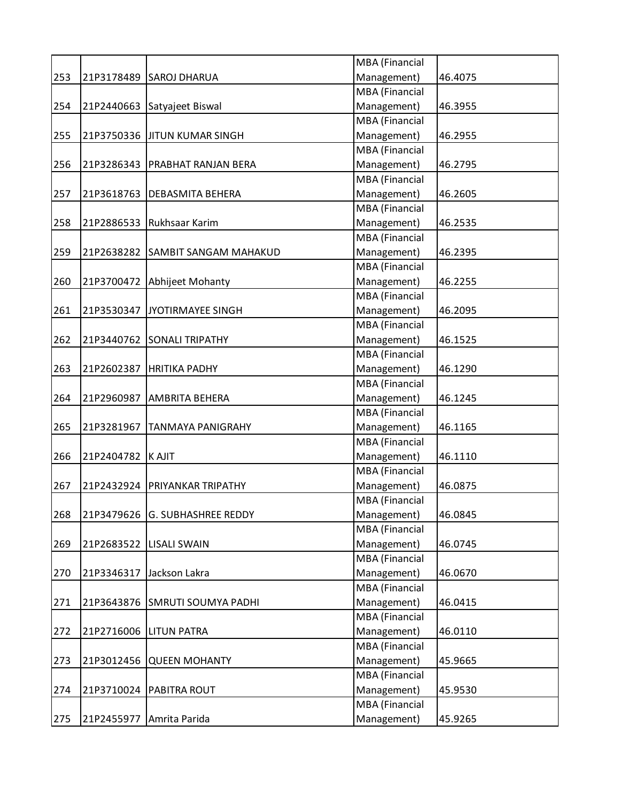| MBA (Financial<br>Management)<br>253<br>21P3178489 SAROJ DHARUA<br>46.4075<br>MBA (Financial<br>Management)<br>254<br>21P2440663 Satyajeet Biswal<br>46.3955<br><b>MBA</b> (Financial<br>Management)<br>255<br>21P3750336 JJITUN KUMAR SINGH<br>46.2955<br><b>MBA</b> (Financial<br>Management)<br>256<br>21P3286343<br><b>PRABHAT RANJAN BERA</b><br>46.2795<br>MBA (Financial<br>Management)<br>257<br>21P3618763<br><b>DEBASMITA BEHERA</b><br>46.2605<br>MBA (Financial<br>21P2886533 Rukhsaar Karim<br>Management)<br>258<br>46.2535<br>MBA (Financial<br>Management)<br>259<br>21P2638282 SAMBIT SANGAM MAHAKUD<br>46.2395<br><b>MBA</b> (Financial<br>Management)<br>260<br>21P3700472<br>Abhijeet Mohanty<br>46.2255<br><b>MBA</b> (Financial<br>21P3530347<br>JYOTIRMAYEE SINGH<br>Management)<br>46.2095<br>261<br>MBA (Financial<br>Management)<br>262<br>21P3440762 SONALI TRIPATHY<br>46.1525<br>MBA (Financial<br>21P2602387<br>Management)<br>263<br><b>HRITIKA PADHY</b><br>46.1290<br><b>MBA</b> (Financial<br>Management)<br>264<br>21P2960987<br>AMBRITA BEHERA<br>46.1245<br>MBA (Financial<br>Management)<br>265<br>21P3281967<br>46.1165<br><b>TANMAYA PANIGRAHY</b><br><b>MBA</b> (Financial<br>Management)<br>46.1110<br>266<br>21P2404782<br><b>KAJIT</b><br>MBA (Financial<br>Management)<br>46.0875<br>267<br>21P2432924<br>PRIYANKAR TRIPATHY<br><b>MBA</b> (Financial<br>268<br>21P3479626 G. SUBHASHREE REDDY<br>Management)<br>46.0845<br>MBA (Financial<br>Management)<br>21P2683522<br>46.0745<br>269<br><b>LISALI SWAIN</b><br>MBA (Financial<br>Management)<br>Jackson Lakra<br>46.0670<br>270<br>21P3346317<br>MBA (Financial<br>Management)<br>271<br>21P3643876 SMRUTI SOUMYA PADHI<br>46.0415<br>MBA (Financial<br>Management)<br>21P2716006<br>272<br><b>LITUN PATRA</b><br>46.0110<br>MBA (Financial<br>Management)<br>273<br>21P3012456<br><b>QUEEN MOHANTY</b><br>45.9665<br>MBA (Financial<br>Management)<br>274<br>21P3710024<br>PABITRA ROUT<br>45.9530<br>MBA (Financial<br>Management)<br>21P2455977<br>45.9265<br>275<br>Amrita Parida |  |  |  |
|-----------------------------------------------------------------------------------------------------------------------------------------------------------------------------------------------------------------------------------------------------------------------------------------------------------------------------------------------------------------------------------------------------------------------------------------------------------------------------------------------------------------------------------------------------------------------------------------------------------------------------------------------------------------------------------------------------------------------------------------------------------------------------------------------------------------------------------------------------------------------------------------------------------------------------------------------------------------------------------------------------------------------------------------------------------------------------------------------------------------------------------------------------------------------------------------------------------------------------------------------------------------------------------------------------------------------------------------------------------------------------------------------------------------------------------------------------------------------------------------------------------------------------------------------------------------------------------------------------------------------------------------------------------------------------------------------------------------------------------------------------------------------------------------------------------------------------------------------------------------------------------------------------------------------------------------------------------------------------------------------------------------------------------------------------------------------------------------|--|--|--|
|                                                                                                                                                                                                                                                                                                                                                                                                                                                                                                                                                                                                                                                                                                                                                                                                                                                                                                                                                                                                                                                                                                                                                                                                                                                                                                                                                                                                                                                                                                                                                                                                                                                                                                                                                                                                                                                                                                                                                                                                                                                                                         |  |  |  |
|                                                                                                                                                                                                                                                                                                                                                                                                                                                                                                                                                                                                                                                                                                                                                                                                                                                                                                                                                                                                                                                                                                                                                                                                                                                                                                                                                                                                                                                                                                                                                                                                                                                                                                                                                                                                                                                                                                                                                                                                                                                                                         |  |  |  |
|                                                                                                                                                                                                                                                                                                                                                                                                                                                                                                                                                                                                                                                                                                                                                                                                                                                                                                                                                                                                                                                                                                                                                                                                                                                                                                                                                                                                                                                                                                                                                                                                                                                                                                                                                                                                                                                                                                                                                                                                                                                                                         |  |  |  |
|                                                                                                                                                                                                                                                                                                                                                                                                                                                                                                                                                                                                                                                                                                                                                                                                                                                                                                                                                                                                                                                                                                                                                                                                                                                                                                                                                                                                                                                                                                                                                                                                                                                                                                                                                                                                                                                                                                                                                                                                                                                                                         |  |  |  |
|                                                                                                                                                                                                                                                                                                                                                                                                                                                                                                                                                                                                                                                                                                                                                                                                                                                                                                                                                                                                                                                                                                                                                                                                                                                                                                                                                                                                                                                                                                                                                                                                                                                                                                                                                                                                                                                                                                                                                                                                                                                                                         |  |  |  |
|                                                                                                                                                                                                                                                                                                                                                                                                                                                                                                                                                                                                                                                                                                                                                                                                                                                                                                                                                                                                                                                                                                                                                                                                                                                                                                                                                                                                                                                                                                                                                                                                                                                                                                                                                                                                                                                                                                                                                                                                                                                                                         |  |  |  |
|                                                                                                                                                                                                                                                                                                                                                                                                                                                                                                                                                                                                                                                                                                                                                                                                                                                                                                                                                                                                                                                                                                                                                                                                                                                                                                                                                                                                                                                                                                                                                                                                                                                                                                                                                                                                                                                                                                                                                                                                                                                                                         |  |  |  |
|                                                                                                                                                                                                                                                                                                                                                                                                                                                                                                                                                                                                                                                                                                                                                                                                                                                                                                                                                                                                                                                                                                                                                                                                                                                                                                                                                                                                                                                                                                                                                                                                                                                                                                                                                                                                                                                                                                                                                                                                                                                                                         |  |  |  |
|                                                                                                                                                                                                                                                                                                                                                                                                                                                                                                                                                                                                                                                                                                                                                                                                                                                                                                                                                                                                                                                                                                                                                                                                                                                                                                                                                                                                                                                                                                                                                                                                                                                                                                                                                                                                                                                                                                                                                                                                                                                                                         |  |  |  |
|                                                                                                                                                                                                                                                                                                                                                                                                                                                                                                                                                                                                                                                                                                                                                                                                                                                                                                                                                                                                                                                                                                                                                                                                                                                                                                                                                                                                                                                                                                                                                                                                                                                                                                                                                                                                                                                                                                                                                                                                                                                                                         |  |  |  |
|                                                                                                                                                                                                                                                                                                                                                                                                                                                                                                                                                                                                                                                                                                                                                                                                                                                                                                                                                                                                                                                                                                                                                                                                                                                                                                                                                                                                                                                                                                                                                                                                                                                                                                                                                                                                                                                                                                                                                                                                                                                                                         |  |  |  |
|                                                                                                                                                                                                                                                                                                                                                                                                                                                                                                                                                                                                                                                                                                                                                                                                                                                                                                                                                                                                                                                                                                                                                                                                                                                                                                                                                                                                                                                                                                                                                                                                                                                                                                                                                                                                                                                                                                                                                                                                                                                                                         |  |  |  |
|                                                                                                                                                                                                                                                                                                                                                                                                                                                                                                                                                                                                                                                                                                                                                                                                                                                                                                                                                                                                                                                                                                                                                                                                                                                                                                                                                                                                                                                                                                                                                                                                                                                                                                                                                                                                                                                                                                                                                                                                                                                                                         |  |  |  |
|                                                                                                                                                                                                                                                                                                                                                                                                                                                                                                                                                                                                                                                                                                                                                                                                                                                                                                                                                                                                                                                                                                                                                                                                                                                                                                                                                                                                                                                                                                                                                                                                                                                                                                                                                                                                                                                                                                                                                                                                                                                                                         |  |  |  |
|                                                                                                                                                                                                                                                                                                                                                                                                                                                                                                                                                                                                                                                                                                                                                                                                                                                                                                                                                                                                                                                                                                                                                                                                                                                                                                                                                                                                                                                                                                                                                                                                                                                                                                                                                                                                                                                                                                                                                                                                                                                                                         |  |  |  |
|                                                                                                                                                                                                                                                                                                                                                                                                                                                                                                                                                                                                                                                                                                                                                                                                                                                                                                                                                                                                                                                                                                                                                                                                                                                                                                                                                                                                                                                                                                                                                                                                                                                                                                                                                                                                                                                                                                                                                                                                                                                                                         |  |  |  |
|                                                                                                                                                                                                                                                                                                                                                                                                                                                                                                                                                                                                                                                                                                                                                                                                                                                                                                                                                                                                                                                                                                                                                                                                                                                                                                                                                                                                                                                                                                                                                                                                                                                                                                                                                                                                                                                                                                                                                                                                                                                                                         |  |  |  |
|                                                                                                                                                                                                                                                                                                                                                                                                                                                                                                                                                                                                                                                                                                                                                                                                                                                                                                                                                                                                                                                                                                                                                                                                                                                                                                                                                                                                                                                                                                                                                                                                                                                                                                                                                                                                                                                                                                                                                                                                                                                                                         |  |  |  |
|                                                                                                                                                                                                                                                                                                                                                                                                                                                                                                                                                                                                                                                                                                                                                                                                                                                                                                                                                                                                                                                                                                                                                                                                                                                                                                                                                                                                                                                                                                                                                                                                                                                                                                                                                                                                                                                                                                                                                                                                                                                                                         |  |  |  |
|                                                                                                                                                                                                                                                                                                                                                                                                                                                                                                                                                                                                                                                                                                                                                                                                                                                                                                                                                                                                                                                                                                                                                                                                                                                                                                                                                                                                                                                                                                                                                                                                                                                                                                                                                                                                                                                                                                                                                                                                                                                                                         |  |  |  |
|                                                                                                                                                                                                                                                                                                                                                                                                                                                                                                                                                                                                                                                                                                                                                                                                                                                                                                                                                                                                                                                                                                                                                                                                                                                                                                                                                                                                                                                                                                                                                                                                                                                                                                                                                                                                                                                                                                                                                                                                                                                                                         |  |  |  |
|                                                                                                                                                                                                                                                                                                                                                                                                                                                                                                                                                                                                                                                                                                                                                                                                                                                                                                                                                                                                                                                                                                                                                                                                                                                                                                                                                                                                                                                                                                                                                                                                                                                                                                                                                                                                                                                                                                                                                                                                                                                                                         |  |  |  |
|                                                                                                                                                                                                                                                                                                                                                                                                                                                                                                                                                                                                                                                                                                                                                                                                                                                                                                                                                                                                                                                                                                                                                                                                                                                                                                                                                                                                                                                                                                                                                                                                                                                                                                                                                                                                                                                                                                                                                                                                                                                                                         |  |  |  |
|                                                                                                                                                                                                                                                                                                                                                                                                                                                                                                                                                                                                                                                                                                                                                                                                                                                                                                                                                                                                                                                                                                                                                                                                                                                                                                                                                                                                                                                                                                                                                                                                                                                                                                                                                                                                                                                                                                                                                                                                                                                                                         |  |  |  |
|                                                                                                                                                                                                                                                                                                                                                                                                                                                                                                                                                                                                                                                                                                                                                                                                                                                                                                                                                                                                                                                                                                                                                                                                                                                                                                                                                                                                                                                                                                                                                                                                                                                                                                                                                                                                                                                                                                                                                                                                                                                                                         |  |  |  |
|                                                                                                                                                                                                                                                                                                                                                                                                                                                                                                                                                                                                                                                                                                                                                                                                                                                                                                                                                                                                                                                                                                                                                                                                                                                                                                                                                                                                                                                                                                                                                                                                                                                                                                                                                                                                                                                                                                                                                                                                                                                                                         |  |  |  |
|                                                                                                                                                                                                                                                                                                                                                                                                                                                                                                                                                                                                                                                                                                                                                                                                                                                                                                                                                                                                                                                                                                                                                                                                                                                                                                                                                                                                                                                                                                                                                                                                                                                                                                                                                                                                                                                                                                                                                                                                                                                                                         |  |  |  |
|                                                                                                                                                                                                                                                                                                                                                                                                                                                                                                                                                                                                                                                                                                                                                                                                                                                                                                                                                                                                                                                                                                                                                                                                                                                                                                                                                                                                                                                                                                                                                                                                                                                                                                                                                                                                                                                                                                                                                                                                                                                                                         |  |  |  |
|                                                                                                                                                                                                                                                                                                                                                                                                                                                                                                                                                                                                                                                                                                                                                                                                                                                                                                                                                                                                                                                                                                                                                                                                                                                                                                                                                                                                                                                                                                                                                                                                                                                                                                                                                                                                                                                                                                                                                                                                                                                                                         |  |  |  |
|                                                                                                                                                                                                                                                                                                                                                                                                                                                                                                                                                                                                                                                                                                                                                                                                                                                                                                                                                                                                                                                                                                                                                                                                                                                                                                                                                                                                                                                                                                                                                                                                                                                                                                                                                                                                                                                                                                                                                                                                                                                                                         |  |  |  |
|                                                                                                                                                                                                                                                                                                                                                                                                                                                                                                                                                                                                                                                                                                                                                                                                                                                                                                                                                                                                                                                                                                                                                                                                                                                                                                                                                                                                                                                                                                                                                                                                                                                                                                                                                                                                                                                                                                                                                                                                                                                                                         |  |  |  |
|                                                                                                                                                                                                                                                                                                                                                                                                                                                                                                                                                                                                                                                                                                                                                                                                                                                                                                                                                                                                                                                                                                                                                                                                                                                                                                                                                                                                                                                                                                                                                                                                                                                                                                                                                                                                                                                                                                                                                                                                                                                                                         |  |  |  |
|                                                                                                                                                                                                                                                                                                                                                                                                                                                                                                                                                                                                                                                                                                                                                                                                                                                                                                                                                                                                                                                                                                                                                                                                                                                                                                                                                                                                                                                                                                                                                                                                                                                                                                                                                                                                                                                                                                                                                                                                                                                                                         |  |  |  |
|                                                                                                                                                                                                                                                                                                                                                                                                                                                                                                                                                                                                                                                                                                                                                                                                                                                                                                                                                                                                                                                                                                                                                                                                                                                                                                                                                                                                                                                                                                                                                                                                                                                                                                                                                                                                                                                                                                                                                                                                                                                                                         |  |  |  |
|                                                                                                                                                                                                                                                                                                                                                                                                                                                                                                                                                                                                                                                                                                                                                                                                                                                                                                                                                                                                                                                                                                                                                                                                                                                                                                                                                                                                                                                                                                                                                                                                                                                                                                                                                                                                                                                                                                                                                                                                                                                                                         |  |  |  |
|                                                                                                                                                                                                                                                                                                                                                                                                                                                                                                                                                                                                                                                                                                                                                                                                                                                                                                                                                                                                                                                                                                                                                                                                                                                                                                                                                                                                                                                                                                                                                                                                                                                                                                                                                                                                                                                                                                                                                                                                                                                                                         |  |  |  |
|                                                                                                                                                                                                                                                                                                                                                                                                                                                                                                                                                                                                                                                                                                                                                                                                                                                                                                                                                                                                                                                                                                                                                                                                                                                                                                                                                                                                                                                                                                                                                                                                                                                                                                                                                                                                                                                                                                                                                                                                                                                                                         |  |  |  |
|                                                                                                                                                                                                                                                                                                                                                                                                                                                                                                                                                                                                                                                                                                                                                                                                                                                                                                                                                                                                                                                                                                                                                                                                                                                                                                                                                                                                                                                                                                                                                                                                                                                                                                                                                                                                                                                                                                                                                                                                                                                                                         |  |  |  |
|                                                                                                                                                                                                                                                                                                                                                                                                                                                                                                                                                                                                                                                                                                                                                                                                                                                                                                                                                                                                                                                                                                                                                                                                                                                                                                                                                                                                                                                                                                                                                                                                                                                                                                                                                                                                                                                                                                                                                                                                                                                                                         |  |  |  |
|                                                                                                                                                                                                                                                                                                                                                                                                                                                                                                                                                                                                                                                                                                                                                                                                                                                                                                                                                                                                                                                                                                                                                                                                                                                                                                                                                                                                                                                                                                                                                                                                                                                                                                                                                                                                                                                                                                                                                                                                                                                                                         |  |  |  |
|                                                                                                                                                                                                                                                                                                                                                                                                                                                                                                                                                                                                                                                                                                                                                                                                                                                                                                                                                                                                                                                                                                                                                                                                                                                                                                                                                                                                                                                                                                                                                                                                                                                                                                                                                                                                                                                                                                                                                                                                                                                                                         |  |  |  |
|                                                                                                                                                                                                                                                                                                                                                                                                                                                                                                                                                                                                                                                                                                                                                                                                                                                                                                                                                                                                                                                                                                                                                                                                                                                                                                                                                                                                                                                                                                                                                                                                                                                                                                                                                                                                                                                                                                                                                                                                                                                                                         |  |  |  |
|                                                                                                                                                                                                                                                                                                                                                                                                                                                                                                                                                                                                                                                                                                                                                                                                                                                                                                                                                                                                                                                                                                                                                                                                                                                                                                                                                                                                                                                                                                                                                                                                                                                                                                                                                                                                                                                                                                                                                                                                                                                                                         |  |  |  |
|                                                                                                                                                                                                                                                                                                                                                                                                                                                                                                                                                                                                                                                                                                                                                                                                                                                                                                                                                                                                                                                                                                                                                                                                                                                                                                                                                                                                                                                                                                                                                                                                                                                                                                                                                                                                                                                                                                                                                                                                                                                                                         |  |  |  |
|                                                                                                                                                                                                                                                                                                                                                                                                                                                                                                                                                                                                                                                                                                                                                                                                                                                                                                                                                                                                                                                                                                                                                                                                                                                                                                                                                                                                                                                                                                                                                                                                                                                                                                                                                                                                                                                                                                                                                                                                                                                                                         |  |  |  |
|                                                                                                                                                                                                                                                                                                                                                                                                                                                                                                                                                                                                                                                                                                                                                                                                                                                                                                                                                                                                                                                                                                                                                                                                                                                                                                                                                                                                                                                                                                                                                                                                                                                                                                                                                                                                                                                                                                                                                                                                                                                                                         |  |  |  |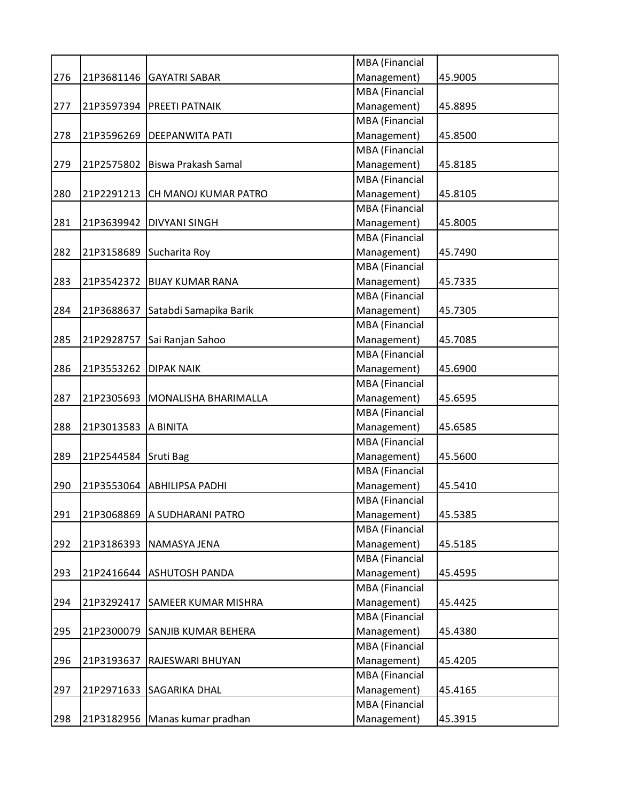|     |                      |                                   | MBA (Financial        |         |
|-----|----------------------|-----------------------------------|-----------------------|---------|
| 276 | 21P3681146           | <b>GAYATRI SABAR</b>              | Management)           | 45.9005 |
|     |                      |                                   | MBA (Financial        |         |
| 277 |                      | 21P3597394   PREETI PATNAIK       | Management)           | 45.8895 |
|     |                      |                                   | MBA (Financial        |         |
| 278 | 21P3596269           | <b>DEEPANWITA PATI</b>            | Management)           | 45.8500 |
|     |                      |                                   | MBA (Financial        |         |
| 279 | 21P2575802           | Biswa Prakash Samal               | Management)           | 45.8185 |
|     |                      |                                   | MBA (Financial        |         |
| 280 | 21P2291213           | CH MANOJ KUMAR PATRO              | Management)           | 45.8105 |
|     |                      |                                   | MBA (Financial        |         |
| 281 | 21P3639942           | <b>DIVYANI SINGH</b>              | Management)           | 45.8005 |
|     |                      |                                   | MBA (Financial        |         |
| 282 | 21P3158689           | Sucharita Roy                     | Management)           | 45.7490 |
|     |                      |                                   | MBA (Financial        |         |
| 283 | 21P3542372           | <b>BIJAY KUMAR RANA</b>           | Management)           | 45.7335 |
|     |                      |                                   | MBA (Financial        |         |
| 284 | 21P3688637           | Satabdi Samapika Barik            | Management)           | 45.7305 |
|     |                      |                                   | MBA (Financial        |         |
| 285 | 21P2928757           | Sai Ranjan Sahoo                  | Management)           | 45.7085 |
|     |                      |                                   | <b>MBA</b> (Financial |         |
| 286 | 21P3553262           | <b>DIPAK NAIK</b>                 | Management)           | 45.6900 |
|     |                      |                                   | MBA (Financial        |         |
| 287 |                      | 21P2305693   MONALISHA BHARIMALLA | Management)           | 45.6595 |
|     |                      |                                   | MBA (Financial        |         |
| 288 | 21P3013583           | A BINITA                          | Management)           | 45.6585 |
|     |                      |                                   | MBA (Financial        |         |
| 289 | 21P2544584 Sruti Bag |                                   | Management)           | 45.5600 |
|     |                      |                                   | MBA (Financial        |         |
| 290 | 21P3553064           | <b>ABHILIPSA PADHI</b>            | Management)           | 45.5410 |
|     |                      |                                   | MBA (Financial        |         |
| 291 | 21P3068869           | A SUDHARANI PATRO                 |                       | 45.5385 |
|     |                      |                                   | Management)           |         |
|     |                      |                                   | MBA (Financial        |         |
| 292 | 21P3186393           | NAMASYA JENA                      | Management)           | 45.5185 |
|     |                      |                                   | MBA (Financial        |         |
| 293 |                      | 21P2416644 ASHUTOSH PANDA         | Management)           | 45.4595 |
|     |                      |                                   | MBA (Financial        |         |
| 294 | 21P3292417           | <b>SAMEER KUMAR MISHRA</b>        | Management)           | 45.4425 |
|     |                      |                                   | MBA (Financial        |         |
| 295 | 21P2300079           | <b>SANJIB KUMAR BEHERA</b>        | Management)           | 45.4380 |
|     |                      |                                   | MBA (Financial        |         |
| 296 | 21P3193637           | RAJESWARI BHUYAN                  | Management)           | 45.4205 |
|     |                      |                                   | MBA (Financial        |         |
| 297 | 21P2971633           | <b>SAGARIKA DHAL</b>              | Management)           | 45.4165 |
|     |                      |                                   | MBA (Financial        |         |
| 298 |                      | 21P3182956   Manas kumar pradhan  | Management)           | 45.3915 |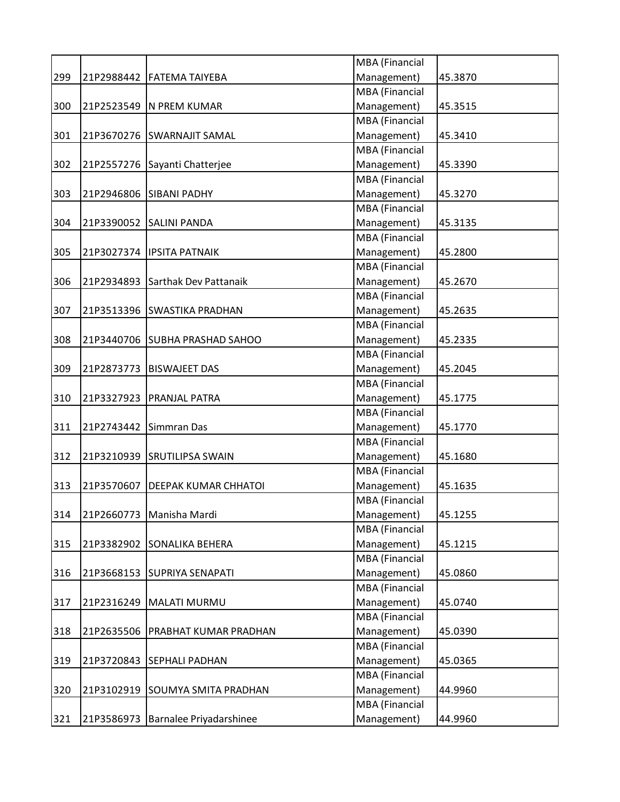|     |            |                                  | MBA (Financial        |         |
|-----|------------|----------------------------------|-----------------------|---------|
| 299 | 21P2988442 | <b>FATEMA TAIYEBA</b>            | Management)           | 45.3870 |
|     |            |                                  | MBA (Financial        |         |
| 300 |            | 21P2523549   N PREM KUMAR        | Management)           | 45.3515 |
|     |            |                                  | MBA (Financial        |         |
| 301 | 21P3670276 | <b>SWARNAJIT SAMAL</b>           | Management)           | 45.3410 |
|     |            |                                  | MBA (Financial        |         |
| 302 |            | 21P2557276 Sayanti Chatterjee    | Management)           | 45.3390 |
|     |            |                                  | MBA (Financial        |         |
| 303 | 21P2946806 | <b>SIBANI PADHY</b>              | Management)           | 45.3270 |
|     |            |                                  | MBA (Financial        |         |
| 304 | 21P3390052 | <b>SALINI PANDA</b>              | Management)           | 45.3135 |
|     |            |                                  | MBA (Financial        |         |
| 305 |            | 21P3027374   IPSITA PATNAIK      | Management)           | 45.2800 |
|     |            |                                  | <b>MBA</b> (Financial |         |
| 306 |            | 21P2934893 Sarthak Dev Pattanaik | Management)           | 45.2670 |
|     |            |                                  | MBA (Financial        |         |
| 307 | 21P3513396 | <b>SWASTIKA PRADHAN</b>          | Management)           | 45.2635 |
|     |            |                                  | <b>MBA</b> (Financial |         |
| 308 | 21P3440706 | <b>SUBHA PRASHAD SAHOO</b>       | Management)           | 45.2335 |
|     |            |                                  | MBA (Financial        |         |
| 309 | 21P2873773 | <b>BISWAJEET DAS</b>             | Management)           | 45.2045 |
|     |            |                                  | MBA (Financial        |         |
| 310 | 21P3327923 | <b>PRANJAL PATRA</b>             | Management)           | 45.1775 |
|     |            |                                  | MBA (Financial        |         |
| 311 | 21P2743442 | Simmran Das                      | Management)           | 45.1770 |
|     |            |                                  | MBA (Financial        |         |
| 312 | 21P3210939 | <b>SRUTILIPSA SWAIN</b>          | Management)           | 45.1680 |
|     |            |                                  | MBA (Financial        |         |
| 313 | 21P3570607 | <b>DEEPAK KUMAR CHHATOI</b>      | Management)           | 45.1635 |
|     |            |                                  | MBA (Financial        |         |
| 314 | 21P2660773 | Manisha Mardi                    | Management)           | 45.1255 |
|     |            |                                  | <b>MBA</b> (Financial |         |
| 315 | 21P3382902 | <b>SONALIKA BEHERA</b>           | Management)           | 45.1215 |
|     |            |                                  | MBA (Financial        |         |
|     |            |                                  | Management)           |         |
| 316 |            | 21P3668153 SUPRIYA SENAPATI      | MBA (Financial        | 45.0860 |
|     |            |                                  |                       |         |
| 317 | 21P2316249 | <b>MALATI MURMU</b>              | Management)           | 45.0740 |
|     |            |                                  | MBA (Financial        |         |
| 318 | 21P2635506 | <b>PRABHAT KUMAR PRADHAN</b>     | Management)           | 45.0390 |
|     |            |                                  | MBA (Financial        |         |
| 319 | 21P3720843 | <b>SEPHALI PADHAN</b>            | Management)           | 45.0365 |
|     |            |                                  | MBA (Financial        |         |
| 320 | 21P3102919 | <b>SOUMYA SMITA PRADHAN</b>      | Management)           | 44.9960 |
|     |            |                                  | MBA (Financial        |         |
| 321 | 21P3586973 | Barnalee Priyadarshinee          | Management)           | 44.9960 |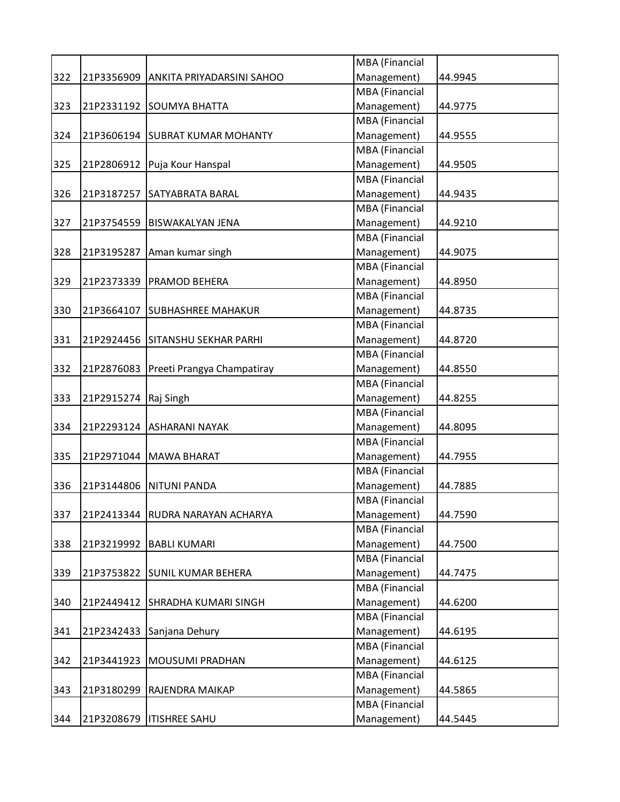|     |            |                                  | MBA (Financial        |         |
|-----|------------|----------------------------------|-----------------------|---------|
| 322 | 21P3356909 | ANKITA PRIYADARSINI SAHOO        | Management)           | 44.9945 |
|     |            |                                  | <b>MBA</b> (Financial |         |
| 323 | 21P2331192 | <b>SOUMYA BHATTA</b>             | Management)           | 44.9775 |
|     |            |                                  | <b>MBA</b> (Financial |         |
| 324 |            | 21P3606194 SUBRAT KUMAR MOHANTY  | Management)           | 44.9555 |
|     |            |                                  | <b>MBA</b> (Financial |         |
| 325 |            | 21P2806912   Puja Kour Hanspal   | Management)           | 44.9505 |
|     |            |                                  | MBA (Financial        |         |
| 326 |            | 21P3187257 SATYABRATA BARAL      | Management)           | 44.9435 |
|     |            |                                  | MBA (Financial        |         |
| 327 | 21P3754559 | <b>BISWAKALYAN JENA</b>          | Management)           | 44.9210 |
|     |            |                                  | MBA (Financial        |         |
| 328 | 21P3195287 | Aman kumar singh                 | Management)           | 44.9075 |
|     |            |                                  | MBA (Financial        |         |
| 329 | 21P2373339 | <b>PRAMOD BEHERA</b>             | Management)           | 44.8950 |
|     |            |                                  | MBA (Financial        |         |
| 330 | 21P3664107 | <b>SUBHASHREE MAHAKUR</b>        | Management)           | 44.8735 |
|     |            |                                  | MBA (Financial        |         |
| 331 |            | 21P2924456 SITANSHU SEKHAR PARHI | Management)           | 44.8720 |
|     |            |                                  | MBA (Financial        |         |
| 332 | 21P2876083 | Preeti Prangya Champatiray       | Management)           | 44.8550 |
|     |            |                                  | MBA (Financial        |         |
| 333 | 21P2915274 | Raj Singh                        | Management)           | 44.8255 |
|     |            |                                  | <b>MBA</b> (Financial |         |
| 334 |            | 21P2293124 ASHARANI NAYAK        | Management)           | 44.8095 |
|     |            |                                  | MBA (Financial        |         |
| 335 | 21P2971044 | <b>MAWA BHARAT</b>               | Management)           | 44.7955 |
|     |            |                                  | MBA (Financial        |         |
| 336 | 21P3144806 | <b>NITUNI PANDA</b>              | Management)           | 44.7885 |
|     |            |                                  | MBA (Financial        |         |
| 337 |            | 21P2413344 RUDRA NARAYAN ACHARYA | Management)           | 44.7590 |
|     |            |                                  | MBA (Financial        |         |
| 338 | 21P3219992 | <b>BABLI KUMARI</b>              | Management)           | 44.7500 |
|     |            |                                  | MBA (Financial        |         |
| 339 | 21P3753822 | <b>SUNIL KUMAR BEHERA</b>        | Management)           | 44.7475 |
|     |            |                                  | MBA (Financial        |         |
| 340 |            | 21P2449412 SHRADHA KUMARI SINGH  | Management)           | 44.6200 |
|     |            |                                  | MBA (Financial        |         |
| 341 | 21P2342433 | Sanjana Dehury                   | Management)           | 44.6195 |
|     |            |                                  | MBA (Financial        |         |
| 342 | 21P3441923 | <b>MOUSUMI PRADHAN</b>           | Management)           | 44.6125 |
|     |            |                                  | MBA (Financial        |         |
| 343 | 21P3180299 | RAJENDRA MAIKAP                  | Management)           | 44.5865 |
|     |            |                                  | MBA (Financial        |         |
| 344 | 21P3208679 | <b>ITISHREE SAHU</b>             | Management)           | 44.5445 |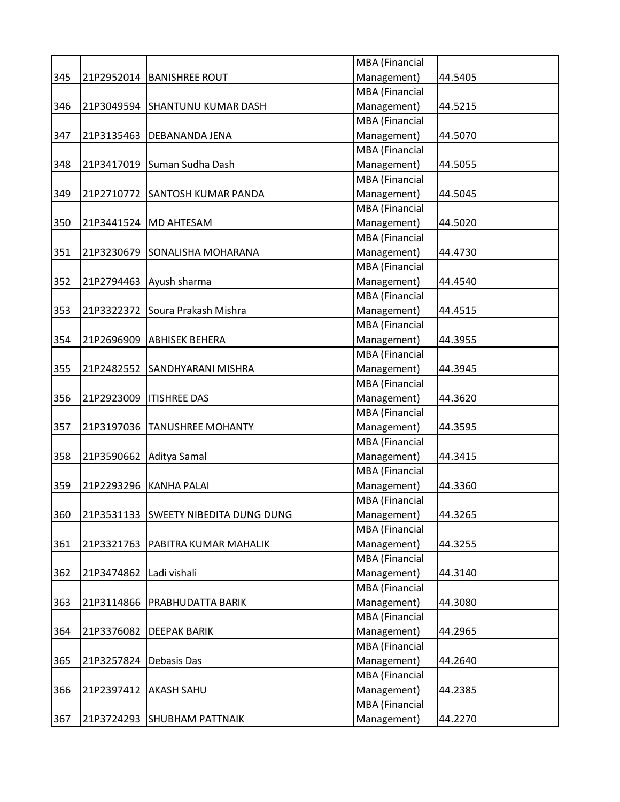|     |            |                                      | MBA (Financial        |         |
|-----|------------|--------------------------------------|-----------------------|---------|
| 345 |            | 21P2952014   BANISHREE ROUT          | Management)           | 44.5405 |
|     |            |                                      | MBA (Financial        |         |
| 346 | 21P3049594 | <b>SHANTUNU KUMAR DASH</b>           | Management)           | 44.5215 |
|     |            |                                      | <b>MBA</b> (Financial |         |
| 347 | 21P3135463 | <b>DEBANANDA JENA</b>                | Management)           | 44.5070 |
|     |            |                                      | <b>MBA</b> (Financial |         |
| 348 |            | 21P3417019 Suman Sudha Dash          | Management)           | 44.5055 |
|     |            |                                      | MBA (Financial        |         |
| 349 |            | 21P2710772 SANTOSH KUMAR PANDA       | Management)           | 44.5045 |
|     |            |                                      | MBA (Financial        |         |
| 350 |            | 21P3441524   MD AHTESAM              | Management)           | 44.5020 |
|     |            |                                      | MBA (Financial        |         |
| 351 |            | 21P3230679 SONALISHA MOHARANA        | Management)           | 44.4730 |
|     |            |                                      | MBA (Financial        |         |
| 352 | 21P2794463 | Ayush sharma                         | Management)           | 44.4540 |
|     |            |                                      | <b>MBA</b> (Financial |         |
| 353 |            | 21P3322372 Soura Prakash Mishra      | Management)           | 44.4515 |
|     |            |                                      | MBA (Financial        |         |
| 354 | 21P2696909 | <b>ABHISEK BEHERA</b>                | Management)           | 44.3955 |
|     |            |                                      | MBA (Financial        |         |
| 355 |            | 21P2482552 SANDHYARANI MISHRA        | Management)           | 44.3945 |
|     |            |                                      | <b>MBA</b> (Financial |         |
| 356 | 21P2923009 | <b>ITISHREE DAS</b>                  | Management)           | 44.3620 |
|     |            |                                      | MBA (Financial        |         |
| 357 | 21P3197036 | <b>TANUSHREE MOHANTY</b>             | Management)           | 44.3595 |
|     |            |                                      | <b>MBA</b> (Financial |         |
| 358 | 21P3590662 | Aditya Samal                         | Management)           | 44.3415 |
|     |            |                                      | MBA (Financial        |         |
| 359 |            | 21P2293296 KANHA PALAI               | Management)           | 44.3360 |
|     |            |                                      | <b>MBA</b> (Financial |         |
| 360 |            | 21P3531133 SWEETY NIBEDITA DUNG DUNG | Management)           | 44.3265 |
|     |            |                                      | <b>MBA</b> (Financial |         |
| 361 | 21P3321763 | PABITRA KUMAR MAHALIK                | Management)           | 44.3255 |
|     |            |                                      | MBA (Financial        |         |
| 362 | 21P3474862 | Ladi vishali                         | Management)           | 44.3140 |
|     |            |                                      | MBA (Financial        |         |
| 363 | 21P3114866 | PRABHUDATTA BARIK                    | Management)           | 44.3080 |
|     |            |                                      | MBA (Financial        |         |
| 364 | 21P3376082 | <b>DEEPAK BARIK</b>                  | Management)           | 44.2965 |
|     |            |                                      | MBA (Financial        |         |
| 365 | 21P3257824 | Debasis Das                          | Management)           | 44.2640 |
|     |            |                                      | MBA (Financial        |         |
| 366 | 21P2397412 | AKASH SAHU                           | Management)           | 44.2385 |
|     |            |                                      | MBA (Financial        |         |
| 367 | 21P3724293 | <b>SHUBHAM PATTNAIK</b>              | Management)           | 44.2270 |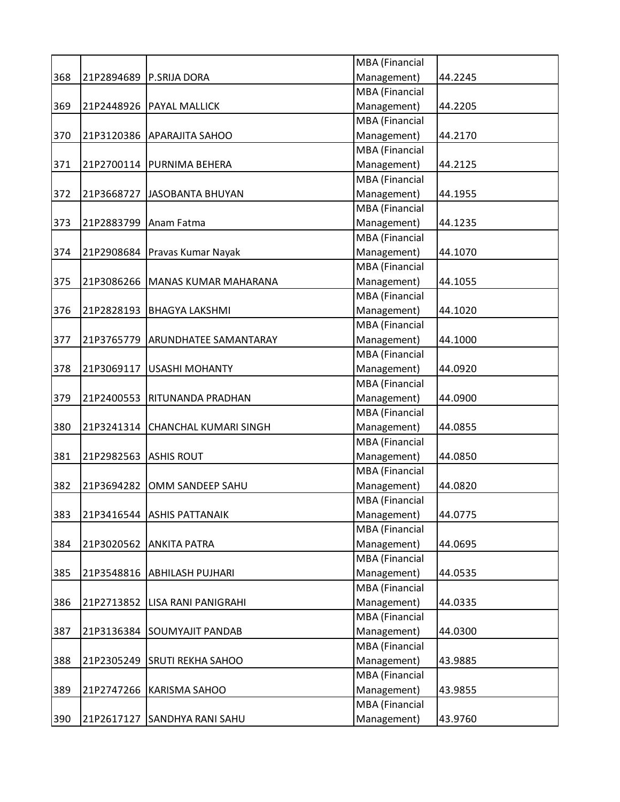|     |            |                               | MBA (Financial        |         |
|-----|------------|-------------------------------|-----------------------|---------|
| 368 | 21P2894689 | P.SRIJA DORA                  | Management)           | 44.2245 |
|     |            |                               | MBA (Financial        |         |
| 369 |            | 21P2448926   PAYAL MALLICK    | Management)           | 44.2205 |
|     |            |                               | MBA (Financial        |         |
| 370 | 21P3120386 | <b>APARAJITA SAHOO</b>        | Management)           | 44.2170 |
|     |            |                               | MBA (Financial        |         |
| 371 |            | 21P2700114   PURNIMA BEHERA   | Management)           | 44.2125 |
|     |            |                               | MBA (Financial        |         |
| 372 | 21P3668727 | JASOBANTA BHUYAN              | Management)           | 44.1955 |
|     |            |                               | MBA (Financial        |         |
| 373 | 21P2883799 | Anam Fatma                    | Management)           | 44.1235 |
|     |            |                               | MBA (Financial        |         |
| 374 |            | 21P2908684 Pravas Kumar Nayak | Management)           | 44.1070 |
|     |            |                               | <b>MBA</b> (Financial |         |
| 375 | 21P3086266 | MANAS KUMAR MAHARANA          | Management)           | 44.1055 |
|     |            |                               | MBA (Financial        |         |
| 376 | 21P2828193 | <b>BHAGYA LAKSHMI</b>         | Management)           | 44.1020 |
|     |            |                               | MBA (Financial        |         |
| 377 | 21P3765779 | <b>ARUNDHATEE SAMANTARAY</b>  | Management)           | 44.1000 |
|     |            |                               | MBA (Financial        |         |
| 378 | 21P3069117 | <b>USASHI MOHANTY</b>         | Management)           | 44.0920 |
|     |            |                               | MBA (Financial        |         |
| 379 | 21P2400553 | <b>RITUNANDA PRADHAN</b>      | Management)           | 44.0900 |
|     |            |                               | MBA (Financial        |         |
|     |            |                               |                       |         |
| 380 | 21P3241314 | <b>CHANCHAL KUMARI SINGH</b>  | Management)           | 44.0855 |
|     |            |                               | MBA (Financial        |         |
| 381 | 21P2982563 | <b>ASHIS ROUT</b>             | Management)           | 44.0850 |
|     |            |                               | MBA (Financial        |         |
| 382 | 21P3694282 | OMM SANDEEP SAHU              | Management)           | 44.0820 |
|     |            |                               | MBA (Financial        |         |
| 383 | 21P3416544 | <b>ASHIS PATTANAIK</b>        | Management)           | 44.0775 |
|     |            |                               | MBA (Financial        |         |
| 384 | 21P3020562 | <b>ANKITA PATRA</b>           | Management)           | 44.0695 |
|     |            |                               | MBA (Financial        |         |
| 385 | 21P3548816 | <b>ABHILASH PUJHARI</b>       | Management)           | 44.0535 |
|     |            |                               | MBA (Financial        |         |
| 386 | 21P2713852 | <b>LISA RANI PANIGRAHI</b>    | Management)           | 44.0335 |
|     |            |                               | MBA (Financial        |         |
| 387 | 21P3136384 | <b>SOUMYAJIT PANDAB</b>       | Management)           | 44.0300 |
|     |            |                               | MBA (Financial        |         |
| 388 | 21P2305249 | <b>SRUTI REKHA SAHOO</b>      | Management)           | 43.9885 |
|     |            |                               | MBA (Financial        |         |
| 389 | 21P2747266 | <b>KARISMA SAHOO</b>          | Management)           | 43.9855 |
|     |            |                               | MBA (Financial        |         |
| 390 |            | 21P2617127 SANDHYA RANI SAHU  | Management)           | 43.9760 |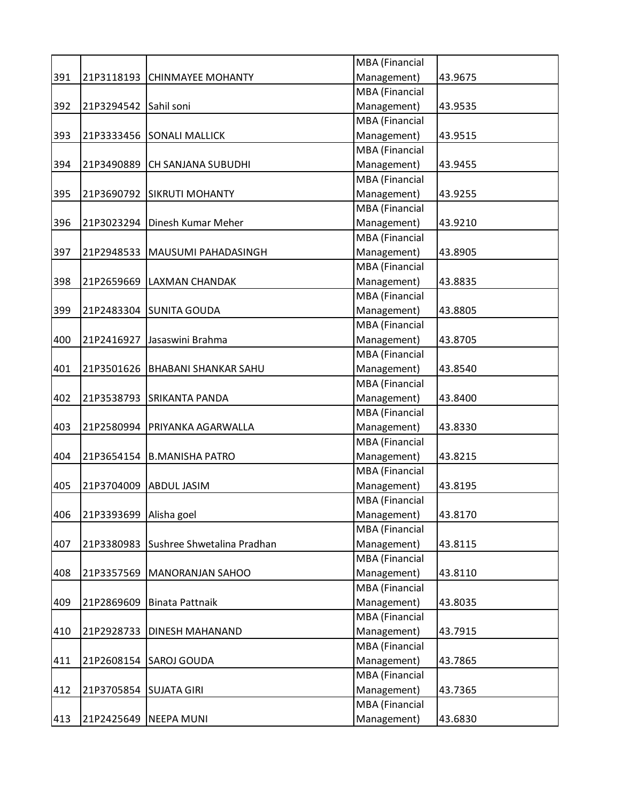|     |            |                             | MBA (Financial        |         |
|-----|------------|-----------------------------|-----------------------|---------|
| 391 | 21P3118193 | <b>CHINMAYEE MOHANTY</b>    | Management)           | 43.9675 |
|     |            |                             | <b>MBA</b> (Financial |         |
| 392 | 21P3294542 | Sahil soni                  | Management)           | 43.9535 |
|     |            |                             | <b>MBA</b> (Financial |         |
| 393 |            | 21P3333456 SONALI MALLICK   | Management)           | 43.9515 |
|     |            |                             | <b>MBA</b> (Financial |         |
| 394 | 21P3490889 | CH SANJANA SUBUDHI          | Management)           | 43.9455 |
|     |            |                             | <b>MBA</b> (Financial |         |
| 395 | 21P3690792 | <b>SIKRUTI MOHANTY</b>      | Management)           | 43.9255 |
|     |            |                             | <b>MBA</b> (Financial |         |
| 396 | 21P3023294 | Dinesh Kumar Meher          | Management)           | 43.9210 |
|     |            |                             | MBA (Financial        |         |
| 397 | 21P2948533 | MAUSUMI PAHADASINGH         | Management)           | 43.8905 |
|     |            |                             | MBA (Financial        |         |
| 398 | 21P2659669 | <b>LAXMAN CHANDAK</b>       | Management)           | 43.8835 |
|     |            |                             | <b>MBA</b> (Financial |         |
| 399 | 21P2483304 | <b>SUNITA GOUDA</b>         | Management)           | 43.8805 |
|     |            |                             | MBA (Financial        |         |
| 400 | 21P2416927 | Jasaswini Brahma            | Management)           | 43.8705 |
|     |            |                             | MBA (Financial        |         |
| 401 | 21P3501626 | <b>BHABANI SHANKAR SAHU</b> | Management)           | 43.8540 |
|     |            |                             | MBA (Financial        |         |
| 402 | 21P3538793 | <b>SRIKANTA PANDA</b>       | Management)           | 43.8400 |
|     |            |                             | <b>MBA</b> (Financial |         |
| 403 | 21P2580994 | PRIYANKA AGARWALLA          | Management)           | 43.8330 |
|     |            |                             | MBA (Financial        |         |
| 404 | 21P3654154 | <b>B.MANISHA PATRO</b>      | Management)           | 43.8215 |
|     |            |                             | MBA (Financial        |         |
| 405 | 21P3704009 | <b>ABDUL JASIM</b>          | Management)           | 43.8195 |
|     |            |                             | MBA (Financial        |         |
| 406 | 21P3393699 | Alisha goel                 | Management)           | 43.8170 |
|     |            |                             | <b>MBA</b> (Financial |         |
| 407 | 21P3380983 | Sushree Shwetalina Pradhan  | Management)           | 43.8115 |
|     |            |                             | MBA (Financial        |         |
| 408 | 21P3357569 | <b>MANORANJAN SAHOO</b>     | Management)           | 43.8110 |
|     |            |                             | MBA (Financial        |         |
| 409 | 21P2869609 | <b>Binata Pattnaik</b>      | Management)           | 43.8035 |
|     |            |                             | MBA (Financial        |         |
| 410 | 21P2928733 | <b>DINESH MAHANAND</b>      | Management)           | 43.7915 |
|     |            |                             | MBA (Financial        |         |
| 411 | 21P2608154 | <b>SAROJ GOUDA</b>          | Management)           | 43.7865 |
|     |            |                             | MBA (Financial        |         |
| 412 | 21P3705854 | <b>SUJATA GIRI</b>          | Management)           | 43.7365 |
|     |            |                             | MBA (Financial        |         |
| 413 | 21P2425649 | <b>NEEPA MUNI</b>           | Management)           | 43.6830 |
|     |            |                             |                       |         |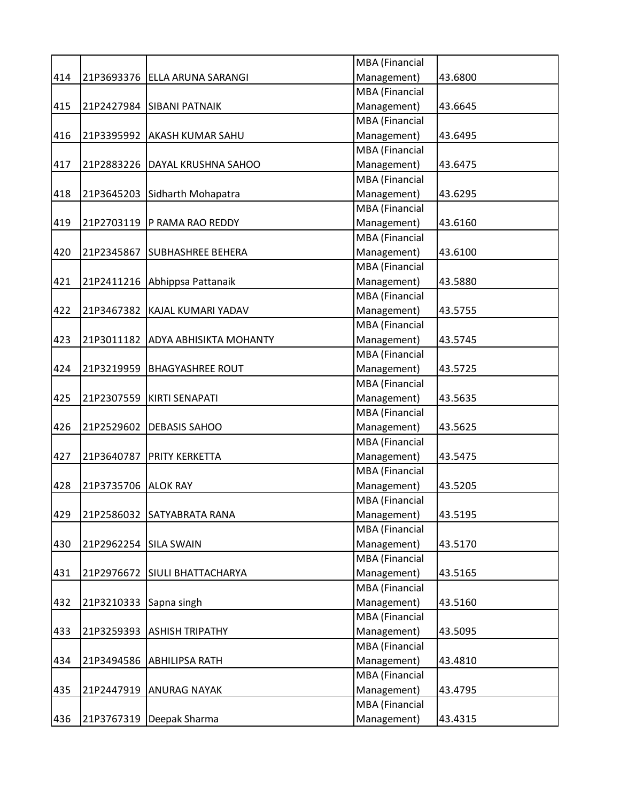|     |                       |                               | MBA (Financial |         |
|-----|-----------------------|-------------------------------|----------------|---------|
| 414 |                       | 21P3693376 ELLA ARUNA SARANGI | Management)    | 43.6800 |
|     |                       |                               | MBA (Financial |         |
| 415 |                       | 21P2427984 SIBANI PATNAIK     | Management)    | 43.6645 |
|     |                       |                               | MBA (Financial |         |
| 416 |                       | 21P3395992 AKASH KUMAR SAHU   | Management)    | 43.6495 |
|     |                       |                               | MBA (Financial |         |
| 417 | 21P2883226            | DAYAL KRUSHNA SAHOO           | Management)    | 43.6475 |
|     |                       |                               | MBA (Financial |         |
| 418 | 21P3645203            | Sidharth Mohapatra            | Management)    | 43.6295 |
|     |                       |                               | MBA (Financial |         |
| 419 | 21P2703119            | P RAMA RAO REDDY              | Management)    | 43.6160 |
|     |                       |                               | MBA (Financial |         |
| 420 | 21P2345867            | <b>SUBHASHREE BEHERA</b>      | Management)    | 43.6100 |
|     |                       |                               | MBA (Financial |         |
| 421 |                       | 21P2411216 Abhippsa Pattanaik | Management)    | 43.5880 |
|     |                       |                               | MBA (Financial |         |
| 422 | 21P3467382            | KAJAL KUMARI YADAV            | Management)    | 43.5755 |
|     |                       |                               | MBA (Financial |         |
| 423 | 21P3011182            | <b>ADYA ABHISIKTA MOHANTY</b> | Management)    | 43.5745 |
|     |                       |                               | MBA (Financial |         |
| 424 | 21P3219959            | <b>BHAGYASHREE ROUT</b>       | Management)    | 43.5725 |
|     |                       |                               | MBA (Financial |         |
| 425 | 21P2307559            | KIRTI SENAPATI                | Management)    | 43.5635 |
|     |                       |                               | MBA (Financial |         |
| 426 | 21P2529602            | <b>DEBASIS SAHOO</b>          | Management)    | 43.5625 |
|     |                       |                               | MBA (Financial |         |
| 427 | 21P3640787            | <b>PRITY KERKETTA</b>         | Management)    | 43.5475 |
|     |                       |                               | MBA (Financial |         |
| 428 | 21P3735706            | <b>ALOK RAY</b>               | Management)    | 43.5205 |
|     |                       |                               | MBA (Financial |         |
| 429 | 21P2586032            | <b>SATYABRATA RANA</b>        | Management)    | 43.5195 |
|     |                       |                               | MBA (Financial |         |
| 430 | 21P2962254 SILA SWAIN |                               | Management)    | 43.5170 |
|     |                       |                               | MBA (Financial |         |
| 431 |                       | 21P2976672 SIULI BHATTACHARYA | Management)    | 43.5165 |
|     |                       |                               | MBA (Financial |         |
| 432 | 21P3210333            | Sapna singh                   | Management)    | 43.5160 |
|     |                       |                               | MBA (Financial |         |
| 433 | 21P3259393            | <b>ASHISH TRIPATHY</b>        | Management)    | 43.5095 |
|     |                       |                               | MBA (Financial |         |
| 434 | 21P3494586            | <b>ABHILIPSA RATH</b>         | Management)    | 43.4810 |
|     |                       |                               |                |         |
|     |                       |                               | MBA (Financial |         |
| 435 | 21P2447919            | <b>ANURAG NAYAK</b>           | Management)    | 43.4795 |
|     |                       |                               | MBA (Financial |         |
| 436 |                       | 21P3767319   Deepak Sharma    | Management)    | 43.4315 |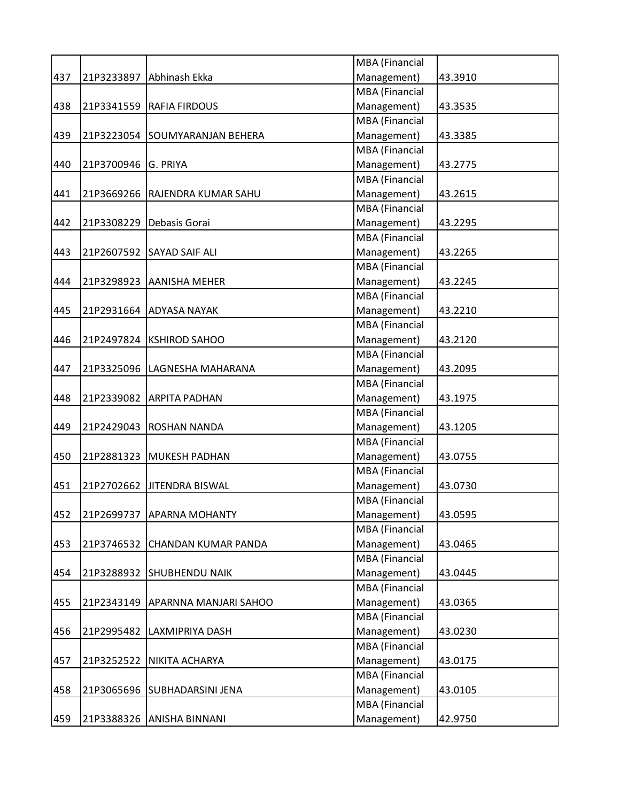|     |            |                              | MBA (Financial        |         |
|-----|------------|------------------------------|-----------------------|---------|
| 437 | 21P3233897 | Abhinash Ekka                | Management)           | 43.3910 |
|     |            |                              | MBA (Financial        |         |
| 438 | 21P3341559 | <b>RAFIA FIRDOUS</b>         | Management)           | 43.3535 |
|     |            |                              | <b>MBA</b> (Financial |         |
| 439 | 21P3223054 | <b>SOUMYARANJAN BEHERA</b>   | Management)           | 43.3385 |
|     |            |                              | <b>MBA</b> (Financial |         |
| 440 | 21P3700946 | G. PRIYA                     | Management)           | 43.2775 |
|     |            |                              | MBA (Financial        |         |
| 441 | 21P3669266 | RAJENDRA KUMAR SAHU          | Management)           | 43.2615 |
|     |            |                              | MBA (Financial        |         |
| 442 | 21P3308229 | Debasis Gorai                | Management)           | 43.2295 |
|     |            |                              | MBA (Financial        |         |
| 443 |            | 21P2607592 SAYAD SAIF ALI    | Management)           | 43.2265 |
|     |            |                              | <b>MBA</b> (Financial |         |
| 444 | 21P3298923 | <b>AANISHA MEHER</b>         | Management)           | 43.2245 |
|     |            |                              | <b>MBA</b> (Financial |         |
| 445 | 21P2931664 | <b>ADYASA NAYAK</b>          | Management)           | 43.2210 |
|     |            |                              | MBA (Financial        |         |
| 446 |            | 21P2497824 KSHIROD SAHOO     | Management)           | 43.2120 |
|     |            |                              | MBA (Financial        |         |
| 447 |            | 21P3325096 LAGNESHA MAHARANA | Management)           | 43.2095 |
|     |            |                              | <b>MBA</b> (Financial |         |
| 448 | 21P2339082 | <b>ARPITA PADHAN</b>         | Management)           | 43.1975 |
|     |            |                              | MBA (Financial        |         |
| 449 | 21P2429043 | <b>ROSHAN NANDA</b>          | Management)           | 43.1205 |
|     |            |                              | <b>MBA</b> (Financial |         |
| 450 | 21P2881323 | <b>MUKESH PADHAN</b>         | Management)           | 43.0755 |
|     |            |                              | MBA (Financial        |         |
| 451 | 21P2702662 | <b>JITENDRA BISWAL</b>       | Management)           | 43.0730 |
|     |            |                              | <b>MBA</b> (Financial |         |
| 452 | 21P2699737 | <b>APARNA MOHANTY</b>        | Management)           | 43.0595 |
|     |            |                              | <b>MBA</b> (Financial |         |
| 453 | 21P3746532 | CHANDAN KUMAR PANDA          | Management)           | 43.0465 |
|     |            |                              | MBA (Financial        |         |
| 454 | 21P3288932 | <b>SHUBHENDU NAIK</b>        | Management)           | 43.0445 |
|     |            |                              | MBA (Financial        |         |
| 455 | 21P2343149 | APARNNA MANJARI SAHOO        | Management)           | 43.0365 |
|     |            |                              | MBA (Financial        |         |
| 456 | 21P2995482 | <b>LAXMIPRIYA DASH</b>       | Management)           | 43.0230 |
|     |            |                              | MBA (Financial        |         |
| 457 | 21P3252522 | NIKITA ACHARYA               | Management)           | 43.0175 |
|     |            |                              | MBA (Financial        |         |
| 458 |            | 21P3065696 SUBHADARSINI JENA | Management)           | 43.0105 |
|     |            |                              | MBA (Financial        |         |
| 459 | 21P3388326 | <b>ANISHA BINNANI</b>        | Management)           | 42.9750 |
|     |            |                              |                       |         |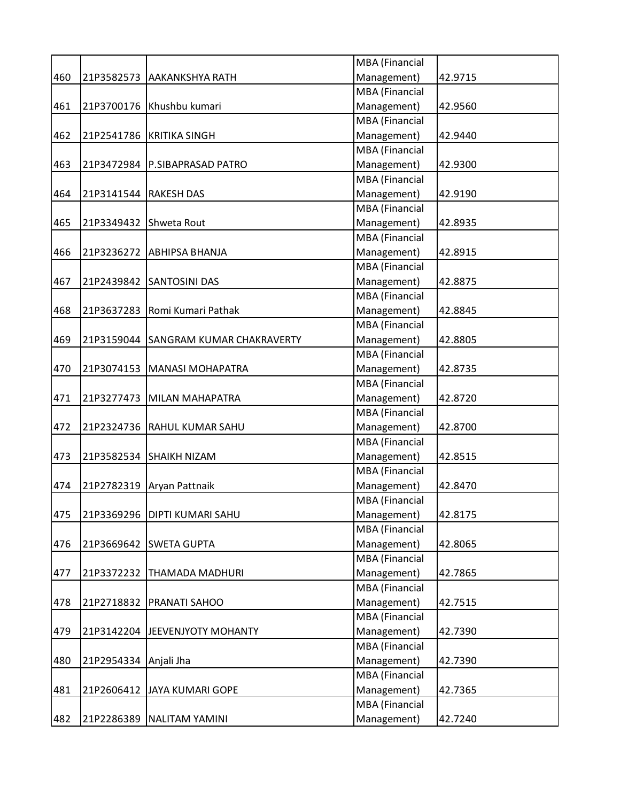|     |                         |                                  | <b>MBA</b> (Financial |         |
|-----|-------------------------|----------------------------------|-----------------------|---------|
| 460 | 21P3582573              | <b>AAKANKSHYA RATH</b>           | Management)           | 42.9715 |
|     |                         |                                  | <b>MBA</b> (Financial |         |
| 461 |                         | 21P3700176 Khushbu kumari        | Management)           | 42.9560 |
|     |                         |                                  | <b>MBA</b> (Financial |         |
| 462 |                         | 21P2541786 KRITIKA SINGH         | Management)           | 42.9440 |
|     |                         |                                  | MBA (Financial        |         |
| 463 |                         | 21P3472984 P.SIBAPRASAD PATRO    | Management)           | 42.9300 |
|     |                         |                                  | <b>MBA</b> (Financial |         |
| 464 | 21P3141544   RAKESH DAS |                                  | Management)           | 42.9190 |
|     |                         |                                  | <b>MBA</b> (Financial |         |
| 465 |                         | 21P3349432 Shweta Rout           | Management)           | 42.8935 |
|     |                         |                                  | <b>MBA</b> (Financial |         |
| 466 |                         | 21P3236272 ABHIPSA BHANJA        | Management)           | 42.8915 |
|     |                         |                                  | <b>MBA</b> (Financial |         |
| 467 |                         | 21P2439842 SANTOSINI DAS         | Management)           | 42.8875 |
|     |                         |                                  | MBA (Financial        |         |
| 468 |                         | 21P3637283   Romi Kumari Pathak  | Management)           | 42.8845 |
|     |                         |                                  | <b>MBA</b> (Financial |         |
| 469 | 21P3159044              | <b>SANGRAM KUMAR CHAKRAVERTY</b> | Management)           | 42.8805 |
|     |                         |                                  | <b>MBA</b> (Financial |         |
| 470 | 21P3074153              | MANASI MOHAPATRA                 | Management)           | 42.8735 |
|     |                         |                                  | <b>MBA</b> (Financial |         |
| 471 | 21P3277473              | MILAN MAHAPATRA                  | Management)           | 42.8720 |
|     |                         |                                  | <b>MBA</b> (Financial |         |
| 472 |                         | 21P2324736 RAHUL KUMAR SAHU      | Management)           | 42.8700 |
|     |                         |                                  | MBA (Financial        |         |
| 473 |                         | 21P3582534 SHAIKH NIZAM          | Management)           | 42.8515 |
|     |                         |                                  | <b>MBA</b> (Financial |         |
| 474 | 21P2782319              | Aryan Pattnaik                   | Management)           | 42.8470 |
|     |                         |                                  | <b>MBA</b> (Financial |         |
| 475 |                         | 21P3369296   DIPTI KUMARI SAHU   | Management)           | 42.8175 |
|     |                         |                                  | <b>MBA</b> (Financial |         |
| 476 |                         | 21P3669642 SWETA GUPTA           | Management)           | 42.8065 |
|     |                         |                                  | <b>MBA</b> (Financial |         |
| 477 |                         | 21P3372232 THAMADA MADHURI       | Management)           | 42.7865 |
|     |                         |                                  | MBA (Financial        |         |
| 478 | 21P2718832              | <b>PRANATI SAHOO</b>             | Management)           | 42.7515 |
|     |                         |                                  | MBA (Financial        |         |
| 479 |                         | 21P3142204   JEEVENJYOTY MOHANTY | Management)           | 42.7390 |
|     |                         |                                  | <b>MBA</b> (Financial |         |
| 480 | 21P2954334              | Anjali Jha                       | Management)           | 42.7390 |
|     |                         |                                  | MBA (Financial        |         |
| 481 |                         | 21P2606412 JAYA KUMARI GOPE      | Management)           | 42.7365 |
|     |                         |                                  | MBA (Financial        |         |
| 482 |                         | 21P2286389 NALITAM YAMINI        | Management)           | 42.7240 |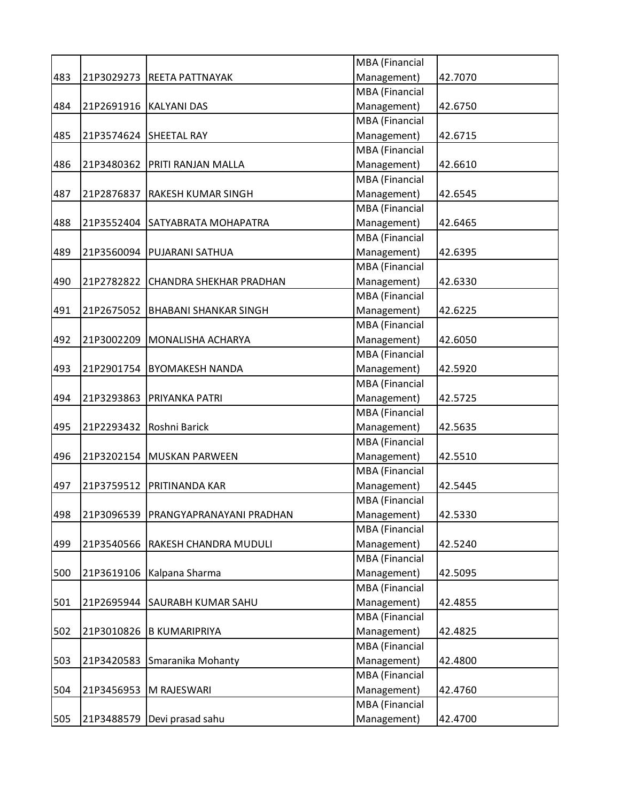|     |            |                                 | MBA (Financial        |         |
|-----|------------|---------------------------------|-----------------------|---------|
| 483 | 21P3029273 | <b>REETA PATTNAYAK</b>          | Management)           | 42.7070 |
|     |            |                                 | <b>MBA</b> (Financial |         |
| 484 |            | 21P2691916   KALYANI DAS        | Management)           | 42.6750 |
|     |            |                                 | <b>MBA</b> (Financial |         |
| 485 |            | 21P3574624 SHEETAL RAY          | Management)           | 42.6715 |
|     |            |                                 | MBA (Financial        |         |
| 486 | 21P3480362 | <b>PRITI RANJAN MALLA</b>       | Management)           | 42.6610 |
|     |            |                                 | <b>MBA</b> (Financial |         |
| 487 | 21P2876837 | <b>RAKESH KUMAR SINGH</b>       | Management)           | 42.6545 |
|     |            |                                 | <b>MBA</b> (Financial |         |
| 488 |            | 21P3552404 SATYABRATA MOHAPATRA | Management)           | 42.6465 |
|     |            |                                 | <b>MBA</b> (Financial |         |
| 489 |            | 21P3560094   PUJARANI SATHUA    | Management)           | 42.6395 |
|     |            |                                 | MBA (Financial        |         |
| 490 | 21P2782822 | <b>CHANDRA SHEKHAR PRADHAN</b>  | Management)           | 42.6330 |
|     |            |                                 | MBA (Financial        |         |
| 491 | 21P2675052 | <b>BHABANI SHANKAR SINGH</b>    | Management)           | 42.6225 |
|     |            |                                 | MBA (Financial        |         |
| 492 |            | 21P3002209   MONALISHA ACHARYA  | Management)           | 42.6050 |
|     |            |                                 | MBA (Financial        |         |
| 493 | 21P2901754 | <b>BYOMAKESH NANDA</b>          | Management)           | 42.5920 |
|     |            |                                 | MBA (Financial        |         |
|     |            |                                 |                       |         |
| 494 | 21P3293863 | <b>PRIYANKA PATRI</b>           | Management)           | 42.5725 |
|     |            |                                 | MBA (Financial        |         |
| 495 |            | 21P2293432 Roshni Barick        | Management)           | 42.5635 |
|     |            |                                 | MBA (Financial        |         |
| 496 |            | 21P3202154   MUSKAN PARWEEN     | Management)           | 42.5510 |
|     |            |                                 | MBA (Financial        |         |
| 497 | 21P3759512 | <b>PRITINANDA KAR</b>           | Management)           | 42.5445 |
|     |            |                                 | <b>MBA</b> (Financial |         |
| 498 | 21P3096539 | PRANGYAPRANAYANI PRADHAN        | Management)           | 42.5330 |
|     |            |                                 | MBA (Financial        |         |
| 499 | 21P3540566 | <b>RAKESH CHANDRA MUDULI</b>    | Management)           | 42.5240 |
|     |            |                                 | MBA (Financial        |         |
| 500 | 21P3619106 | Kalpana Sharma                  | Management)           | 42.5095 |
|     |            |                                 | MBA (Financial        |         |
| 501 | 21P2695944 | <b>SAURABH KUMAR SAHU</b>       | Management)           | 42.4855 |
|     |            |                                 | MBA (Financial        |         |
| 502 | 21P3010826 | <b>B KUMARIPRIYA</b>            | Management)           | 42.4825 |
|     |            |                                 | MBA (Financial        |         |
| 503 | 21P3420583 | Smaranika Mohanty               | Management)           | 42.4800 |
|     |            |                                 | MBA (Financial        |         |
| 504 | 21P3456953 | M RAJESWARI                     | Management)           | 42.4760 |
|     |            |                                 | MBA (Financial        |         |
| 505 |            | 21P3488579   Devi prasad sahu   | Management)           | 42.4700 |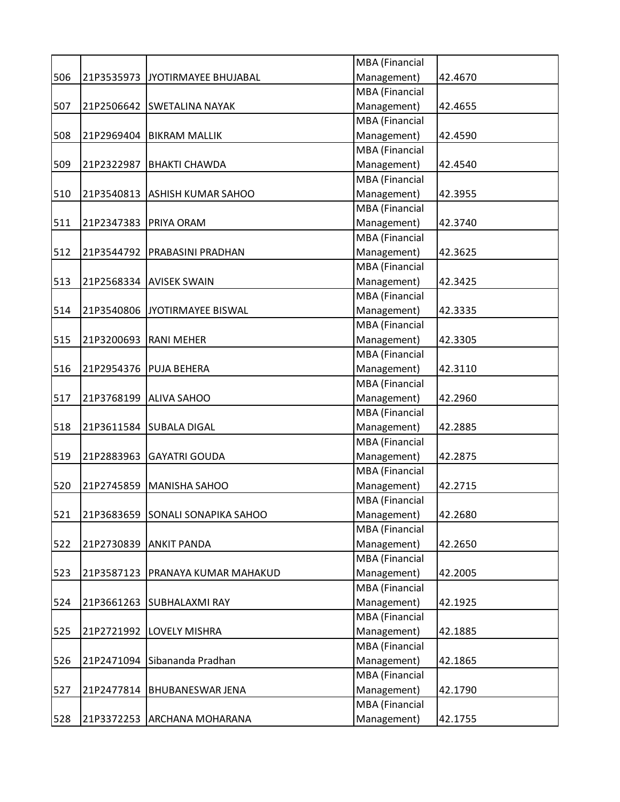|     |            |                                | MBA (Financial |         |
|-----|------------|--------------------------------|----------------|---------|
| 506 | 21P3535973 | JYOTIRMAYEE BHUJABAL           | Management)    | 42.4670 |
|     |            |                                | MBA (Financial |         |
| 507 |            | 21P2506642 SWETALINA NAYAK     | Management)    | 42.4655 |
|     |            |                                | MBA (Financial |         |
| 508 | 21P2969404 | <b>BIKRAM MALLIK</b>           | Management)    | 42.4590 |
|     |            |                                | MBA (Financial |         |
| 509 | 21P2322987 | <b>BHAKTI CHAWDA</b>           | Management)    | 42.4540 |
|     |            |                                | MBA (Financial |         |
| 510 | 21P3540813 | <b>ASHISH KUMAR SAHOO</b>      | Management)    | 42.3955 |
|     |            |                                | MBA (Financial |         |
| 511 | 21P2347383 | PRIYA ORAM                     | Management)    | 42.3740 |
|     |            |                                | MBA (Financial |         |
| 512 |            | 21P3544792   PRABASINI PRADHAN | Management)    | 42.3625 |
|     |            |                                | MBA (Financial |         |
| 513 |            | 21P2568334 AVISEK SWAIN        | Management)    | 42.3425 |
|     |            |                                | MBA (Financial |         |
| 514 |            | 21P3540806 JYOTIRMAYEE BISWAL  | Management)    | 42.3335 |
|     |            |                                | MBA (Financial |         |
| 515 | 21P3200693 | <b>RANI MEHER</b>              | Management)    | 42.3305 |
|     |            |                                | MBA (Financial |         |
| 516 | 21P2954376 | <b>PUJA BEHERA</b>             | Management)    | 42.3110 |
|     |            |                                |                |         |
|     |            |                                | MBA (Financial |         |
| 517 |            | 21P3768199 ALIVA SAHOO         | Management)    | 42.2960 |
|     |            |                                | MBA (Financial |         |
| 518 |            | 21P3611584 SUBALA DIGAL        | Management)    | 42.2885 |
|     |            |                                | MBA (Financial |         |
| 519 | 21P2883963 | <b>GAYATRI GOUDA</b>           | Management)    | 42.2875 |
|     |            |                                | MBA (Financial |         |
| 520 | 21P2745859 | MANISHA SAHOO                  | Management)    | 42.2715 |
|     |            |                                | MBA (Financial |         |
| 521 | 21P3683659 | <b>SONALI SONAPIKA SAHOO</b>   | Management)    | 42.2680 |
|     |            |                                | MBA (Financial |         |
| 522 | 21P2730839 | <b>ANKIT PANDA</b>             | Management)    | 42.2650 |
|     |            |                                | MBA (Financial |         |
| 523 | 21P3587123 | <b>PRANAYA KUMAR MAHAKUD</b>   | Management)    | 42.2005 |
|     |            |                                | MBA (Financial |         |
| 524 | 21P3661263 | <b>SUBHALAXMI RAY</b>          | Management)    | 42.1925 |
|     |            |                                | MBA (Financial |         |
| 525 | 21P2721992 | <b>LOVELY MISHRA</b>           | Management)    | 42.1885 |
|     |            |                                | MBA (Financial |         |
| 526 | 21P2471094 | Sibananda Pradhan              | Management)    | 42.1865 |
|     |            |                                | MBA (Financial |         |
| 527 | 21P2477814 | <b>BHUBANESWAR JENA</b>        | Management)    | 42.1790 |
|     |            |                                | MBA (Financial |         |
| 528 |            | 21P3372253 ARCHANA MOHARANA    | Management)    | 42.1755 |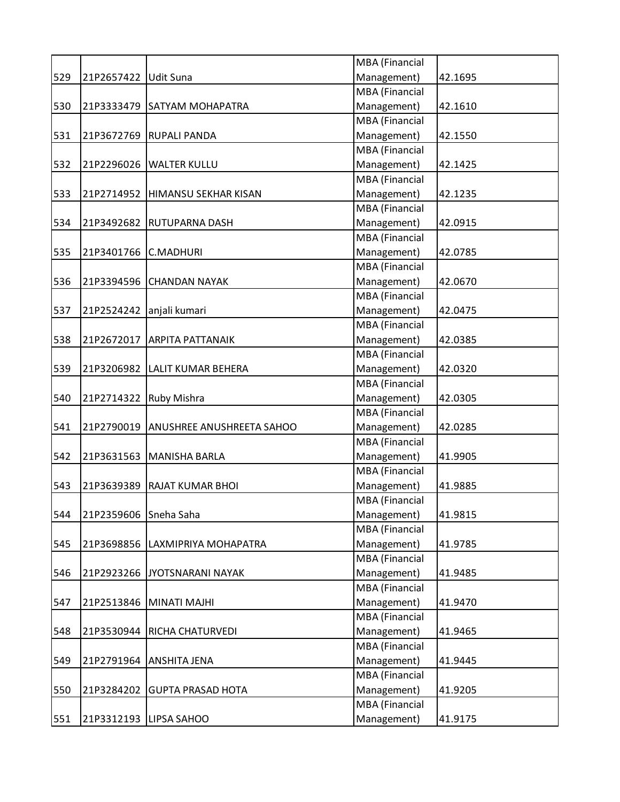|     |                        |                               | MBA (Financial        |         |
|-----|------------------------|-------------------------------|-----------------------|---------|
| 529 | 21P2657422             | <b>Udit Suna</b>              | Management)           | 42.1695 |
|     |                        |                               | MBA (Financial        |         |
| 530 | 21P3333479             | <b>SATYAM MOHAPATRA</b>       | Management)           | 42.1610 |
|     |                        |                               | MBA (Financial        |         |
| 531 |                        | 21P3672769 RUPALI PANDA       | Management)           | 42.1550 |
|     |                        |                               | <b>MBA</b> (Financial |         |
| 532 | 21P2296026             | <b>WALTER KULLU</b>           | Management)           | 42.1425 |
|     |                        |                               | <b>MBA</b> (Financial |         |
| 533 | 21P2714952             | <b>HIMANSU SEKHAR KISAN</b>   | Management)           | 42.1235 |
|     |                        |                               | MBA (Financial        |         |
| 534 | 21P3492682             | <b>RUTUPARNA DASH</b>         | Management)           | 42.0915 |
|     |                        |                               | MBA (Financial        |         |
| 535 | 21P3401766             | <b>C.MADHURI</b>              | Management)           | 42.0785 |
|     |                        |                               | MBA (Financial        |         |
| 536 | 21P3394596             | <b>CHANDAN NAYAK</b>          | Management)           | 42.0670 |
|     |                        |                               | <b>MBA</b> (Financial |         |
| 537 | 21P2524242             | anjali kumari                 | Management)           | 42.0475 |
|     |                        |                               | <b>MBA</b> (Financial |         |
| 538 | 21P2672017             | <b>ARPITA PATTANAIK</b>       | Management)           | 42.0385 |
|     |                        |                               | MBA (Financial        |         |
| 539 |                        | 21P3206982 LALIT KUMAR BEHERA | Management)           | 42.0320 |
|     |                        |                               | MBA (Financial        |         |
| 540 | 21P2714322 Ruby Mishra |                               | Management)           | 42.0305 |
|     |                        |                               | <b>MBA</b> (Financial |         |
| 541 | 21P2790019             | ANUSHREE ANUSHREETA SAHOO     | Management)           | 42.0285 |
|     |                        |                               | <b>MBA</b> (Financial |         |
| 542 | 21P3631563             | <b>MANISHA BARLA</b>          | Management)           | 41.9905 |
|     |                        |                               | MBA (Financial        |         |
| 543 | 21P3639389             | <b>RAJAT KUMAR BHOI</b>       | Management)           | 41.9885 |
|     |                        |                               | MBA (Financial        |         |
| 544 | 21P2359606 Sneha Saha  |                               | Management)           | 41.9815 |
|     |                        |                               | MBA (Financial        |         |
| 545 | 21P3698856             | LAXMIPRIYA MOHAPATRA          | Management)           | 41.9785 |
|     |                        |                               | <b>MBA</b> (Financial |         |
| 546 | 21P2923266             | JYOTSNARANI NAYAK             | Management)           | 41.9485 |
|     |                        |                               | MBA (Financial        |         |
| 547 | 21P2513846             | <b>MINATI MAJHI</b>           | Management)           | 41.9470 |
|     |                        |                               | MBA (Financial        |         |
| 548 | 21P3530944             | RICHA CHATURVEDI              | Management)           | 41.9465 |
|     |                        |                               | MBA (Financial        |         |
| 549 | 21P2791964             | <b>ANSHITA JENA</b>           | Management)           | 41.9445 |
|     |                        |                               | MBA (Financial        |         |
| 550 | 21P3284202             | <b>GUPTA PRASAD HOTA</b>      | Management)           | 41.9205 |
|     |                        |                               | MBA (Financial        |         |
| 551 | 21P3312193             | LIPSA SAHOO                   | Management)           | 41.9175 |
|     |                        |                               |                       |         |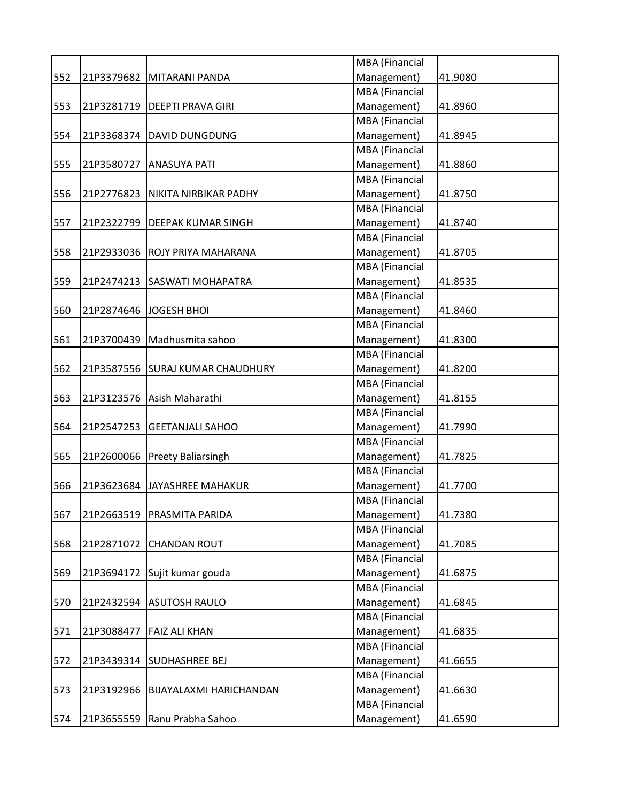|     |            |                                | MBA (Financial        |         |
|-----|------------|--------------------------------|-----------------------|---------|
| 552 | 21P3379682 | MITARANI PANDA                 | Management)           | 41.9080 |
|     |            |                                | MBA (Financial        |         |
| 553 | 21P3281719 | <b>DEEPTI PRAVA GIRI</b>       | Management)           | 41.8960 |
|     |            |                                | MBA (Financial        |         |
| 554 | 21P3368374 | <b>DAVID DUNGDUNG</b>          | Management)           | 41.8945 |
|     |            |                                | MBA (Financial        |         |
| 555 | 21P3580727 | <b>ANASUYA PATI</b>            | Management)           | 41.8860 |
|     |            |                                | MBA (Financial        |         |
| 556 | 21P2776823 | NIKITA NIRBIKAR PADHY          | Management)           | 41.8750 |
|     |            |                                | MBA (Financial        |         |
| 557 | 21P2322799 | <b>DEEPAK KUMAR SINGH</b>      | Management)           | 41.8740 |
|     |            |                                | MBA (Financial        |         |
| 558 |            | 21P2933036 ROJY PRIYA MAHARANA | Management)           | 41.8705 |
|     |            |                                | MBA (Financial        |         |
| 559 |            | 21P2474213 SASWATI MOHAPATRA   | Management)           | 41.8535 |
|     |            |                                | MBA (Financial        |         |
| 560 | 21P2874646 | JOGESH BHOI                    | Management)           | 41.8460 |
|     |            |                                | <b>MBA</b> (Financial |         |
| 561 | 21P3700439 | Madhusmita sahoo               | Management)           | 41.8300 |
|     |            |                                | MBA (Financial        |         |
| 562 | 21P3587556 | <b>SURAJ KUMAR CHAUDHURY</b>   | Management)           | 41.8200 |
|     |            |                                | MBA (Financial        |         |
| 563 |            | 21P3123576 Asish Maharathi     | Management)           | 41.8155 |
|     |            |                                | MBA (Financial        |         |
| 564 | 21P2547253 | <b>GEETANJALI SAHOO</b>        | Management)           | 41.7990 |
|     |            |                                | MBA (Financial        |         |
| 565 |            | 21P2600066 Preety Baliarsingh  | Management)           | 41.7825 |
|     |            |                                | MBA (Financial        |         |
| 566 | 21P3623684 | JAYASHREE MAHAKUR              | Management)           | 41.7700 |
|     |            |                                | MBA (Financial        |         |
| 567 | 21P2663519 | PRASMITA PARIDA                | Management)           | 41.7380 |
|     |            |                                | MBA (Financial        |         |
|     | 21P2871072 |                                | Management)           | 41.7085 |
| 568 |            | <b>CHANDAN ROUT</b>            |                       |         |
|     |            |                                | MBA (Financial        |         |
| 569 |            | 21P3694172 Sujit kumar gouda   | Management)           | 41.6875 |
|     |            |                                | MBA (Financial        |         |
| 570 | 21P2432594 | <b>ASUTOSH RAULO</b>           | Management)           | 41.6845 |
|     |            |                                | MBA (Financial        |         |
| 571 | 21P3088477 | <b>FAIZ ALI KHAN</b>           | Management)           | 41.6835 |
|     |            |                                | MBA (Financial        |         |
| 572 | 21P3439314 | <b>SUDHASHREE BEJ</b>          | Management)           | 41.6655 |
|     |            |                                | MBA (Financial        |         |
| 573 | 21P3192966 | <b>BIJAYALAXMI HARICHANDAN</b> | Management)           | 41.6630 |
|     |            |                                | MBA (Financial        |         |
| 574 | 21P3655559 | Ranu Prabha Sahoo              | Management)           | 41.6590 |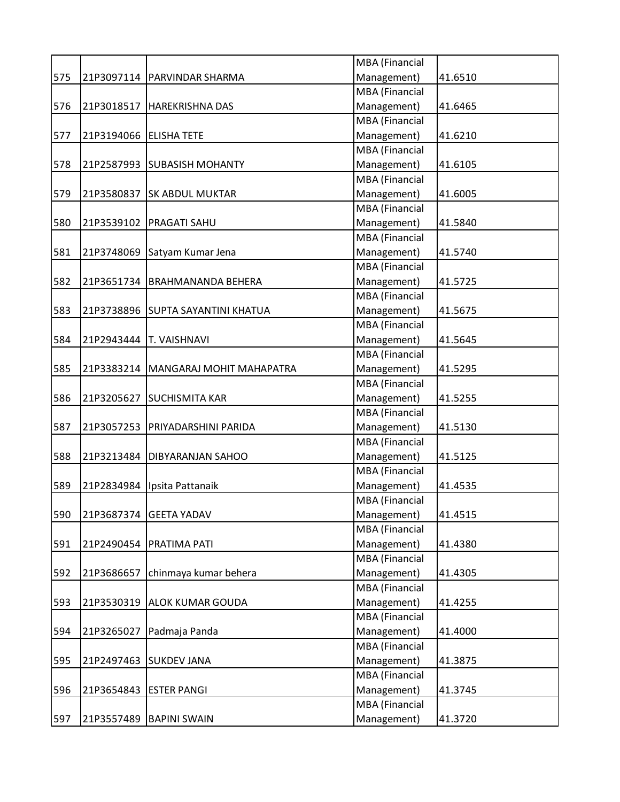|     |            |                                       | MBA (Financial        |         |
|-----|------------|---------------------------------------|-----------------------|---------|
| 575 |            | 21P3097114   PARVINDAR SHARMA         | Management)           | 41.6510 |
|     |            |                                       | <b>MBA</b> (Financial |         |
| 576 | 21P3018517 | <b>HAREKRISHNA DAS</b>                | Management)           | 41.6465 |
|     |            |                                       | <b>MBA</b> (Financial |         |
| 577 | 21P3194066 | <b>ELISHA TETE</b>                    | Management)           | 41.6210 |
|     |            |                                       | MBA (Financial        |         |
| 578 | 21P2587993 | <b>SUBASISH MOHANTY</b>               | Management)           | 41.6105 |
|     |            |                                       | MBA (Financial        |         |
| 579 | 21P3580837 | <b>SK ABDUL MUKTAR</b>                | Management)           | 41.6005 |
|     |            |                                       | <b>MBA</b> (Financial |         |
| 580 |            | 21P3539102   PRAGATI SAHU             | Management)           | 41.5840 |
|     |            |                                       | MBA (Financial        |         |
| 581 |            | 21P3748069 Satyam Kumar Jena          | Management)           | 41.5740 |
|     |            |                                       | MBA (Financial        |         |
| 582 | 21P3651734 | BRAHMANANDA BEHERA                    | Management)           | 41.5725 |
|     |            |                                       | <b>MBA</b> (Financial |         |
| 583 | 21P3738896 | <b>SUPTA SAYANTINI KHATUA</b>         | Management)           | 41.5675 |
|     |            |                                       | MBA (Financial        |         |
| 584 | 21P2943444 | <b>T. VAISHNAVI</b>                   | Management)           | 41.5645 |
|     |            |                                       | MBA (Financial        |         |
|     |            |                                       | Management)           |         |
| 585 |            | 21P3383214   MANGARAJ MOHIT MAHAPATRA |                       | 41.5295 |
|     |            |                                       | MBA (Financial        |         |
| 586 | 21P3205627 | <b>SUCHISMITA KAR</b>                 | Management)           | 41.5255 |
|     |            |                                       | MBA (Financial        |         |
| 587 |            | 21P3057253   PRIYADARSHINI PARIDA     | Management)           | 41.5130 |
|     |            |                                       | MBA (Financial        |         |
| 588 |            | 21P3213484   DIBYARANJAN SAHOO        | Management)           | 41.5125 |
|     |            |                                       | MBA (Financial        |         |
| 589 | 21P2834984 | Ipsita Pattanaik                      | Management)           | 41.4535 |
|     |            |                                       | <b>MBA</b> (Financial |         |
| 590 | 21P3687374 | <b>GEETA YADAV</b>                    | Management)           | 41.4515 |
|     |            |                                       | MBA (Financial        |         |
| 591 |            | 21P2490454   PRATIMA PATI             | Management)           | 41.4380 |
|     |            |                                       | MBA (Financial        |         |
| 592 | 21P3686657 | chinmaya kumar behera                 | Management)           | 41.4305 |
|     |            |                                       | MBA (Financial        |         |
| 593 | 21P3530319 | <b>ALOK KUMAR GOUDA</b>               | Management)           | 41.4255 |
|     |            |                                       | MBA (Financial        |         |
| 594 | 21P3265027 | Padmaja Panda                         | Management)           | 41.4000 |
|     |            |                                       | MBA (Financial        |         |
| 595 | 21P2497463 | <b>SUKDEV JANA</b>                    | Management)           | 41.3875 |
|     |            |                                       | MBA (Financial        |         |
| 596 | 21P3654843 | <b>ESTER PANGI</b>                    | Management)           | 41.3745 |
|     |            |                                       |                       |         |
|     |            |                                       | MBA (Financial        |         |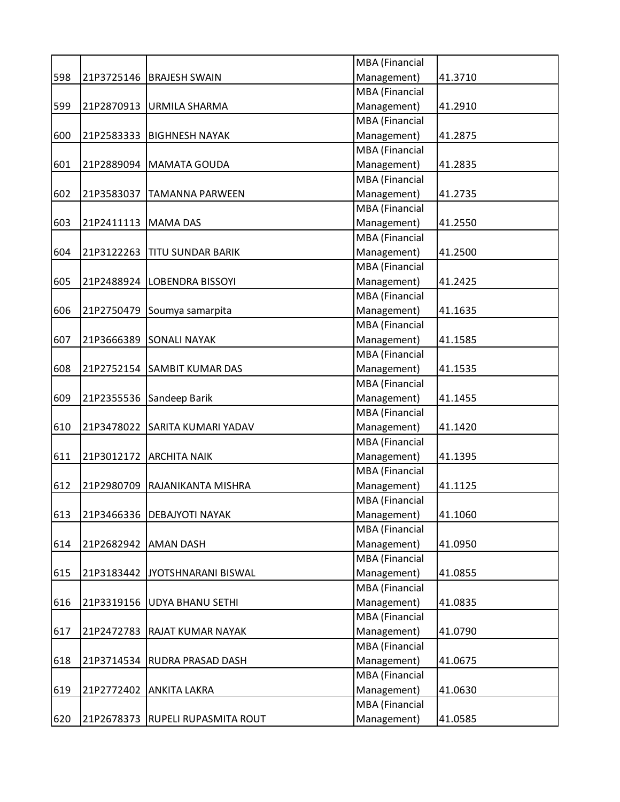|     |            |                                  | MBA (Financial        |         |
|-----|------------|----------------------------------|-----------------------|---------|
| 598 | 21P3725146 | <b>BRAJESH SWAIN</b>             | Management)           | 41.3710 |
|     |            |                                  | MBA (Financial        |         |
| 599 |            | 21P2870913 URMILA SHARMA         | Management)           | 41.2910 |
|     |            |                                  | MBA (Financial        |         |
| 600 | 21P2583333 | <b>BIGHNESH NAYAK</b>            | Management)           | 41.2875 |
|     |            |                                  | MBA (Financial        |         |
| 601 |            | 21P2889094   MAMATA GOUDA        | Management)           | 41.2835 |
|     |            |                                  | MBA (Financial        |         |
| 602 | 21P3583037 | <b>TAMANNA PARWEEN</b>           | Management)           | 41.2735 |
|     |            |                                  | MBA (Financial        |         |
| 603 | 21P2411113 | <b>MAMA DAS</b>                  | Management)           | 41.2550 |
|     |            |                                  | MBA (Financial        |         |
| 604 | 21P3122263 | <b>TITU SUNDAR BARIK</b>         | Management)           | 41.2500 |
|     |            |                                  | MBA (Financial        |         |
| 605 |            | 21P2488924 LOBENDRA BISSOYI      | Management)           | 41.2425 |
|     |            |                                  | MBA (Financial        |         |
| 606 | 21P2750479 | Soumya samarpita                 | Management)           | 41.1635 |
|     |            |                                  | MBA (Financial        |         |
| 607 | 21P3666389 | <b>SONALI NAYAK</b>              | Management)           | 41.1585 |
|     |            |                                  | <b>MBA</b> (Financial |         |
| 608 | 21P2752154 | <b>SAMBIT KUMAR DAS</b>          | Management)           | 41.1535 |
|     |            |                                  |                       |         |
|     |            |                                  | MBA (Financial        |         |
| 609 | 21P2355536 | Sandeep Barik                    | Management)           | 41.1455 |
|     |            |                                  | MBA (Financial        |         |
| 610 |            | 21P3478022 SARITA KUMARI YADAV   | Management)           | 41.1420 |
|     |            |                                  | MBA (Financial        |         |
| 611 | 21P3012172 | <b>ARCHITA NAIK</b>              | Management)           | 41.1395 |
|     |            |                                  | MBA (Financial        |         |
| 612 | 21P2980709 | RAJANIKANTA MISHRA               | Management)           | 41.1125 |
|     |            |                                  | MBA (Financial        |         |
| 613 | 21P3466336 | <b>DEBAJYOTI NAYAK</b>           | Management)           | 41.1060 |
|     |            |                                  | MBA (Financial        |         |
| 614 | 21P2682942 | <b>AMAN DASH</b>                 | Management)           | 41.0950 |
|     |            |                                  | MBA (Financial        |         |
| 615 |            | 21P3183442 JYOTSHNARANI BISWAL   | Management)           | 41.0855 |
|     |            |                                  | MBA (Financial        |         |
| 616 | 21P3319156 | <b>UDYA BHANU SETHI</b>          | Management)           | 41.0835 |
|     |            |                                  | MBA (Financial        |         |
| 617 | 21P2472783 | <b>RAJAT KUMAR NAYAK</b>         | Management)           | 41.0790 |
|     |            |                                  | MBA (Financial        |         |
| 618 | 21P3714534 | <b>RUDRA PRASAD DASH</b>         | Management)           | 41.0675 |
|     |            |                                  | MBA (Financial        |         |
| 619 | 21P2772402 | <b>ANKITA LAKRA</b>              | Management)           | 41.0630 |
|     |            |                                  | MBA (Financial        |         |
| 620 |            | 21P2678373 RUPELI RUPASMITA ROUT | Management)           | 41.0585 |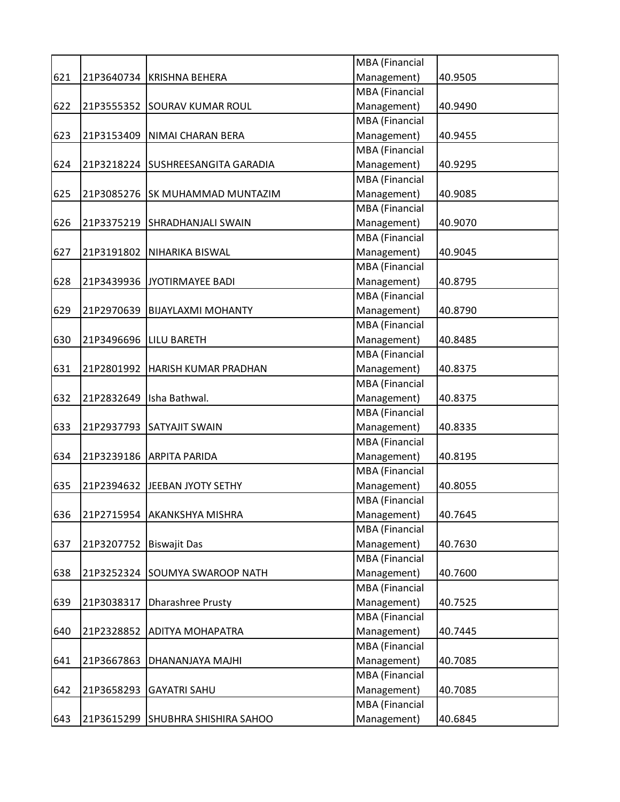|     |            |                                   | MBA (Financial        |         |
|-----|------------|-----------------------------------|-----------------------|---------|
| 621 | 21P3640734 | <b>KRISHNA BEHERA</b>             | Management)           | 40.9505 |
|     |            |                                   | <b>MBA</b> (Financial |         |
| 622 |            | 21P3555352 SOURAV KUMAR ROUL      | Management)           | 40.9490 |
|     |            |                                   | <b>MBA</b> (Financial |         |
| 623 | 21P3153409 | NIMAI CHARAN BERA                 | Management)           | 40.9455 |
|     |            |                                   | <b>MBA</b> (Financial |         |
| 624 |            | 21P3218224 SUSHREESANGITA GARADIA | Management)           | 40.9295 |
|     |            |                                   | <b>MBA</b> (Financial |         |
| 625 | 21P3085276 | <b>SK MUHAMMAD MUNTAZIM</b>       | Management)           | 40.9085 |
|     |            |                                   | <b>MBA</b> (Financial |         |
| 626 | 21P3375219 | <b>SHRADHANJALI SWAIN</b>         | Management)           | 40.9070 |
|     |            |                                   | <b>MBA</b> (Financial |         |
| 627 | 21P3191802 | NIHARIKA BISWAL                   | Management)           | 40.9045 |
|     |            |                                   | <b>MBA</b> (Financial |         |
| 628 | 21P3439936 | JYOTIRMAYEE BADI                  | Management)           | 40.8795 |
|     |            |                                   | MBA (Financial        |         |
| 629 | 21P2970639 | <b>BIJAYLAXMI MOHANTY</b>         | Management)           | 40.8790 |
|     |            |                                   | <b>MBA</b> (Financial |         |
| 630 | 21P3496696 | <b>LILU BARETH</b>                | Management)           | 40.8485 |
|     |            |                                   | <b>MBA</b> (Financial |         |
| 631 | 21P2801992 | <b>HARISH KUMAR PRADHAN</b>       | Management)           | 40.8375 |
|     |            |                                   | <b>MBA</b> (Financial |         |
| 632 | 21P2832649 | Isha Bathwal.                     | Management)           | 40.8375 |
|     |            |                                   | <b>MBA</b> (Financial |         |
| 633 | 21P2937793 | <b>SATYAJIT SWAIN</b>             | Management)           | 40.8335 |
|     |            |                                   | MBA (Financial        |         |
| 634 | 21P3239186 | <b>ARPITA PARIDA</b>              | Management)           | 40.8195 |
|     |            |                                   | <b>MBA</b> (Financial |         |
| 635 | 21P2394632 | JEEBAN JYOTY SETHY                | Management)           | 40.8055 |
|     |            |                                   | <b>MBA</b> (Financial |         |
| 636 | 21P2715954 | <b>AKANKSHYA MISHRA</b>           | Management)           | 40.7645 |
|     |            |                                   | <b>MBA</b> (Financial |         |
| 637 | 21P3207752 | <b>Biswajit Das</b>               | Management)           | 40.7630 |
|     |            |                                   | <b>MBA</b> (Financial |         |
| 638 | 21P3252324 | SOUMYA SWAROOP NATH               | Management)           | 40.7600 |
|     |            |                                   | <b>MBA</b> (Financial |         |
| 639 | 21P3038317 | <b>Dharashree Prusty</b>          | Management)           | 40.7525 |
|     |            |                                   | MBA (Financial        |         |
| 640 | 21P2328852 | <b>ADITYA MOHAPATRA</b>           | Management)           | 40.7445 |
|     |            |                                   | <b>MBA</b> (Financial |         |
| 641 | 21P3667863 | DHANANJAYA MAJHI                  | Management)           | 40.7085 |
|     |            |                                   | <b>MBA</b> (Financial |         |
| 642 | 21P3658293 | <b>GAYATRI SAHU</b>               | Management)           | 40.7085 |
|     |            |                                   | <b>MBA</b> (Financial |         |
| 643 |            | 21P3615299 SHUBHRA SHISHIRA SAHOO | Management)           | 40.6845 |
|     |            |                                   |                       |         |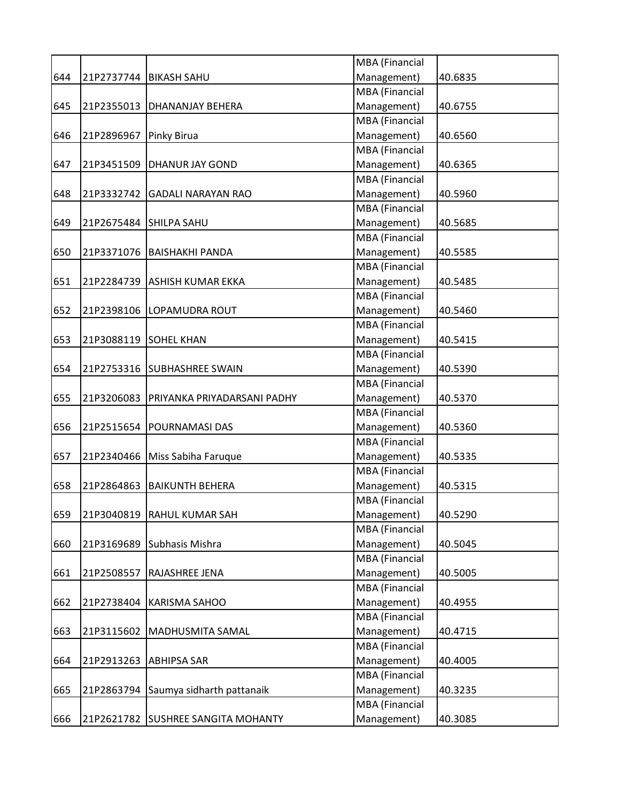| MBA (Financial<br>Management)<br>40.6835<br>21P2737744<br><b>BIKASH SAHU</b><br><b>MBA</b> (Financial<br>Management)<br>21P2355013<br>40.6755<br><b>DHANANJAY BEHERA</b><br><b>MBA</b> (Financial<br>Management)<br>21P2896967<br>Pinky Birua<br>40.6560<br>MBA (Financial<br>Management)<br>21P3451509<br><b>DHANUR JAY GOND</b><br>40.6365<br><b>MBA</b> (Financial<br>Management)<br>21P3332742<br><b>GADALI NARAYAN RAO</b><br>40.5960<br><b>MBA</b> (Financial<br>Management)<br>21P2675484<br>40.5685<br><b>SHILPA SAHU</b><br><b>MBA</b> (Financial<br>Management)<br>21P3371076<br>40.5585<br><b>BAISHAKHI PANDA</b><br><b>MBA</b> (Financial<br>Management)<br>21P2284739<br><b>ASHISH KUMAR EKKA</b><br>40.5485<br><b>MBA</b> (Financial<br>Management)<br>21P2398106<br>40.5460<br>LOPAMUDRA ROUT<br><b>MBA</b> (Financial<br>Management)<br>21P3088119<br><b>SOHEL KHAN</b><br>40.5415<br><b>MBA</b> (Financial<br>Management)<br>21P2753316<br><b>SUBHASHREE SWAIN</b><br>40.5390<br><b>MBA</b> (Financial<br>Management)<br>21P3206083<br>40.5370<br>PRIYANKA PRIYADARSANI PADHY<br><b>MBA</b> (Financial<br>Management)<br>21P2515654<br><b>POURNAMASI DAS</b><br>40.5360<br>MBA (Financial<br>Management)<br>21P2340466<br>Miss Sabiha Faruque<br>40.5335<br><b>MBA</b> (Financial<br>Management)<br>21P2864863<br><b>BAIKUNTH BEHERA</b><br>40.5315<br><b>MBA</b> (Financial<br>21P3040819<br>40.5290<br><b>RAHUL KUMAR SAH</b><br>Management)<br><b>MBA</b> (Financial<br>Management)<br>21P3169689<br>Subhasis Mishra<br>40.5045<br><b>MBA</b> (Financial<br>Management)<br>21P2508557<br><b>RAJASHREE JENA</b><br>40.5005<br><b>MBA</b> (Financial<br>Management)<br>21P2738404<br><b>KARISMA SAHOO</b><br>40.4955<br>MBA (Financial<br>Management)<br>21P3115602<br>MADHUSMITA SAMAL<br>40.4715<br><b>MBA</b> (Financial<br>Management)<br>21P2913263<br><b>ABHIPSA SAR</b><br>40.4005<br><b>MBA</b> (Financial<br>Management)<br>Saumya sidharth pattanaik<br>21P2863794<br>40.3235<br>MBA (Financial<br>Management)<br>21P2621782 SUSHREE SANGITA MOHANTY<br>40.3085 |     |  |  |
|---------------------------------------------------------------------------------------------------------------------------------------------------------------------------------------------------------------------------------------------------------------------------------------------------------------------------------------------------------------------------------------------------------------------------------------------------------------------------------------------------------------------------------------------------------------------------------------------------------------------------------------------------------------------------------------------------------------------------------------------------------------------------------------------------------------------------------------------------------------------------------------------------------------------------------------------------------------------------------------------------------------------------------------------------------------------------------------------------------------------------------------------------------------------------------------------------------------------------------------------------------------------------------------------------------------------------------------------------------------------------------------------------------------------------------------------------------------------------------------------------------------------------------------------------------------------------------------------------------------------------------------------------------------------------------------------------------------------------------------------------------------------------------------------------------------------------------------------------------------------------------------------------------------------------------------------------------------------------------------------------------------------------------------------------------------------------------------------|-----|--|--|
|                                                                                                                                                                                                                                                                                                                                                                                                                                                                                                                                                                                                                                                                                                                                                                                                                                                                                                                                                                                                                                                                                                                                                                                                                                                                                                                                                                                                                                                                                                                                                                                                                                                                                                                                                                                                                                                                                                                                                                                                                                                                                             |     |  |  |
|                                                                                                                                                                                                                                                                                                                                                                                                                                                                                                                                                                                                                                                                                                                                                                                                                                                                                                                                                                                                                                                                                                                                                                                                                                                                                                                                                                                                                                                                                                                                                                                                                                                                                                                                                                                                                                                                                                                                                                                                                                                                                             | 644 |  |  |
|                                                                                                                                                                                                                                                                                                                                                                                                                                                                                                                                                                                                                                                                                                                                                                                                                                                                                                                                                                                                                                                                                                                                                                                                                                                                                                                                                                                                                                                                                                                                                                                                                                                                                                                                                                                                                                                                                                                                                                                                                                                                                             |     |  |  |
|                                                                                                                                                                                                                                                                                                                                                                                                                                                                                                                                                                                                                                                                                                                                                                                                                                                                                                                                                                                                                                                                                                                                                                                                                                                                                                                                                                                                                                                                                                                                                                                                                                                                                                                                                                                                                                                                                                                                                                                                                                                                                             | 645 |  |  |
|                                                                                                                                                                                                                                                                                                                                                                                                                                                                                                                                                                                                                                                                                                                                                                                                                                                                                                                                                                                                                                                                                                                                                                                                                                                                                                                                                                                                                                                                                                                                                                                                                                                                                                                                                                                                                                                                                                                                                                                                                                                                                             |     |  |  |
|                                                                                                                                                                                                                                                                                                                                                                                                                                                                                                                                                                                                                                                                                                                                                                                                                                                                                                                                                                                                                                                                                                                                                                                                                                                                                                                                                                                                                                                                                                                                                                                                                                                                                                                                                                                                                                                                                                                                                                                                                                                                                             | 646 |  |  |
|                                                                                                                                                                                                                                                                                                                                                                                                                                                                                                                                                                                                                                                                                                                                                                                                                                                                                                                                                                                                                                                                                                                                                                                                                                                                                                                                                                                                                                                                                                                                                                                                                                                                                                                                                                                                                                                                                                                                                                                                                                                                                             |     |  |  |
|                                                                                                                                                                                                                                                                                                                                                                                                                                                                                                                                                                                                                                                                                                                                                                                                                                                                                                                                                                                                                                                                                                                                                                                                                                                                                                                                                                                                                                                                                                                                                                                                                                                                                                                                                                                                                                                                                                                                                                                                                                                                                             | 647 |  |  |
|                                                                                                                                                                                                                                                                                                                                                                                                                                                                                                                                                                                                                                                                                                                                                                                                                                                                                                                                                                                                                                                                                                                                                                                                                                                                                                                                                                                                                                                                                                                                                                                                                                                                                                                                                                                                                                                                                                                                                                                                                                                                                             |     |  |  |
|                                                                                                                                                                                                                                                                                                                                                                                                                                                                                                                                                                                                                                                                                                                                                                                                                                                                                                                                                                                                                                                                                                                                                                                                                                                                                                                                                                                                                                                                                                                                                                                                                                                                                                                                                                                                                                                                                                                                                                                                                                                                                             | 648 |  |  |
|                                                                                                                                                                                                                                                                                                                                                                                                                                                                                                                                                                                                                                                                                                                                                                                                                                                                                                                                                                                                                                                                                                                                                                                                                                                                                                                                                                                                                                                                                                                                                                                                                                                                                                                                                                                                                                                                                                                                                                                                                                                                                             |     |  |  |
|                                                                                                                                                                                                                                                                                                                                                                                                                                                                                                                                                                                                                                                                                                                                                                                                                                                                                                                                                                                                                                                                                                                                                                                                                                                                                                                                                                                                                                                                                                                                                                                                                                                                                                                                                                                                                                                                                                                                                                                                                                                                                             | 649 |  |  |
|                                                                                                                                                                                                                                                                                                                                                                                                                                                                                                                                                                                                                                                                                                                                                                                                                                                                                                                                                                                                                                                                                                                                                                                                                                                                                                                                                                                                                                                                                                                                                                                                                                                                                                                                                                                                                                                                                                                                                                                                                                                                                             |     |  |  |
|                                                                                                                                                                                                                                                                                                                                                                                                                                                                                                                                                                                                                                                                                                                                                                                                                                                                                                                                                                                                                                                                                                                                                                                                                                                                                                                                                                                                                                                                                                                                                                                                                                                                                                                                                                                                                                                                                                                                                                                                                                                                                             | 650 |  |  |
|                                                                                                                                                                                                                                                                                                                                                                                                                                                                                                                                                                                                                                                                                                                                                                                                                                                                                                                                                                                                                                                                                                                                                                                                                                                                                                                                                                                                                                                                                                                                                                                                                                                                                                                                                                                                                                                                                                                                                                                                                                                                                             |     |  |  |
|                                                                                                                                                                                                                                                                                                                                                                                                                                                                                                                                                                                                                                                                                                                                                                                                                                                                                                                                                                                                                                                                                                                                                                                                                                                                                                                                                                                                                                                                                                                                                                                                                                                                                                                                                                                                                                                                                                                                                                                                                                                                                             | 651 |  |  |
|                                                                                                                                                                                                                                                                                                                                                                                                                                                                                                                                                                                                                                                                                                                                                                                                                                                                                                                                                                                                                                                                                                                                                                                                                                                                                                                                                                                                                                                                                                                                                                                                                                                                                                                                                                                                                                                                                                                                                                                                                                                                                             |     |  |  |
|                                                                                                                                                                                                                                                                                                                                                                                                                                                                                                                                                                                                                                                                                                                                                                                                                                                                                                                                                                                                                                                                                                                                                                                                                                                                                                                                                                                                                                                                                                                                                                                                                                                                                                                                                                                                                                                                                                                                                                                                                                                                                             | 652 |  |  |
|                                                                                                                                                                                                                                                                                                                                                                                                                                                                                                                                                                                                                                                                                                                                                                                                                                                                                                                                                                                                                                                                                                                                                                                                                                                                                                                                                                                                                                                                                                                                                                                                                                                                                                                                                                                                                                                                                                                                                                                                                                                                                             |     |  |  |
|                                                                                                                                                                                                                                                                                                                                                                                                                                                                                                                                                                                                                                                                                                                                                                                                                                                                                                                                                                                                                                                                                                                                                                                                                                                                                                                                                                                                                                                                                                                                                                                                                                                                                                                                                                                                                                                                                                                                                                                                                                                                                             | 653 |  |  |
|                                                                                                                                                                                                                                                                                                                                                                                                                                                                                                                                                                                                                                                                                                                                                                                                                                                                                                                                                                                                                                                                                                                                                                                                                                                                                                                                                                                                                                                                                                                                                                                                                                                                                                                                                                                                                                                                                                                                                                                                                                                                                             |     |  |  |
|                                                                                                                                                                                                                                                                                                                                                                                                                                                                                                                                                                                                                                                                                                                                                                                                                                                                                                                                                                                                                                                                                                                                                                                                                                                                                                                                                                                                                                                                                                                                                                                                                                                                                                                                                                                                                                                                                                                                                                                                                                                                                             | 654 |  |  |
|                                                                                                                                                                                                                                                                                                                                                                                                                                                                                                                                                                                                                                                                                                                                                                                                                                                                                                                                                                                                                                                                                                                                                                                                                                                                                                                                                                                                                                                                                                                                                                                                                                                                                                                                                                                                                                                                                                                                                                                                                                                                                             |     |  |  |
|                                                                                                                                                                                                                                                                                                                                                                                                                                                                                                                                                                                                                                                                                                                                                                                                                                                                                                                                                                                                                                                                                                                                                                                                                                                                                                                                                                                                                                                                                                                                                                                                                                                                                                                                                                                                                                                                                                                                                                                                                                                                                             | 655 |  |  |
|                                                                                                                                                                                                                                                                                                                                                                                                                                                                                                                                                                                                                                                                                                                                                                                                                                                                                                                                                                                                                                                                                                                                                                                                                                                                                                                                                                                                                                                                                                                                                                                                                                                                                                                                                                                                                                                                                                                                                                                                                                                                                             |     |  |  |
|                                                                                                                                                                                                                                                                                                                                                                                                                                                                                                                                                                                                                                                                                                                                                                                                                                                                                                                                                                                                                                                                                                                                                                                                                                                                                                                                                                                                                                                                                                                                                                                                                                                                                                                                                                                                                                                                                                                                                                                                                                                                                             | 656 |  |  |
|                                                                                                                                                                                                                                                                                                                                                                                                                                                                                                                                                                                                                                                                                                                                                                                                                                                                                                                                                                                                                                                                                                                                                                                                                                                                                                                                                                                                                                                                                                                                                                                                                                                                                                                                                                                                                                                                                                                                                                                                                                                                                             |     |  |  |
|                                                                                                                                                                                                                                                                                                                                                                                                                                                                                                                                                                                                                                                                                                                                                                                                                                                                                                                                                                                                                                                                                                                                                                                                                                                                                                                                                                                                                                                                                                                                                                                                                                                                                                                                                                                                                                                                                                                                                                                                                                                                                             | 657 |  |  |
|                                                                                                                                                                                                                                                                                                                                                                                                                                                                                                                                                                                                                                                                                                                                                                                                                                                                                                                                                                                                                                                                                                                                                                                                                                                                                                                                                                                                                                                                                                                                                                                                                                                                                                                                                                                                                                                                                                                                                                                                                                                                                             |     |  |  |
|                                                                                                                                                                                                                                                                                                                                                                                                                                                                                                                                                                                                                                                                                                                                                                                                                                                                                                                                                                                                                                                                                                                                                                                                                                                                                                                                                                                                                                                                                                                                                                                                                                                                                                                                                                                                                                                                                                                                                                                                                                                                                             | 658 |  |  |
|                                                                                                                                                                                                                                                                                                                                                                                                                                                                                                                                                                                                                                                                                                                                                                                                                                                                                                                                                                                                                                                                                                                                                                                                                                                                                                                                                                                                                                                                                                                                                                                                                                                                                                                                                                                                                                                                                                                                                                                                                                                                                             |     |  |  |
|                                                                                                                                                                                                                                                                                                                                                                                                                                                                                                                                                                                                                                                                                                                                                                                                                                                                                                                                                                                                                                                                                                                                                                                                                                                                                                                                                                                                                                                                                                                                                                                                                                                                                                                                                                                                                                                                                                                                                                                                                                                                                             | 659 |  |  |
|                                                                                                                                                                                                                                                                                                                                                                                                                                                                                                                                                                                                                                                                                                                                                                                                                                                                                                                                                                                                                                                                                                                                                                                                                                                                                                                                                                                                                                                                                                                                                                                                                                                                                                                                                                                                                                                                                                                                                                                                                                                                                             |     |  |  |
|                                                                                                                                                                                                                                                                                                                                                                                                                                                                                                                                                                                                                                                                                                                                                                                                                                                                                                                                                                                                                                                                                                                                                                                                                                                                                                                                                                                                                                                                                                                                                                                                                                                                                                                                                                                                                                                                                                                                                                                                                                                                                             | 660 |  |  |
|                                                                                                                                                                                                                                                                                                                                                                                                                                                                                                                                                                                                                                                                                                                                                                                                                                                                                                                                                                                                                                                                                                                                                                                                                                                                                                                                                                                                                                                                                                                                                                                                                                                                                                                                                                                                                                                                                                                                                                                                                                                                                             |     |  |  |
|                                                                                                                                                                                                                                                                                                                                                                                                                                                                                                                                                                                                                                                                                                                                                                                                                                                                                                                                                                                                                                                                                                                                                                                                                                                                                                                                                                                                                                                                                                                                                                                                                                                                                                                                                                                                                                                                                                                                                                                                                                                                                             | 661 |  |  |
|                                                                                                                                                                                                                                                                                                                                                                                                                                                                                                                                                                                                                                                                                                                                                                                                                                                                                                                                                                                                                                                                                                                                                                                                                                                                                                                                                                                                                                                                                                                                                                                                                                                                                                                                                                                                                                                                                                                                                                                                                                                                                             |     |  |  |
|                                                                                                                                                                                                                                                                                                                                                                                                                                                                                                                                                                                                                                                                                                                                                                                                                                                                                                                                                                                                                                                                                                                                                                                                                                                                                                                                                                                                                                                                                                                                                                                                                                                                                                                                                                                                                                                                                                                                                                                                                                                                                             | 662 |  |  |
|                                                                                                                                                                                                                                                                                                                                                                                                                                                                                                                                                                                                                                                                                                                                                                                                                                                                                                                                                                                                                                                                                                                                                                                                                                                                                                                                                                                                                                                                                                                                                                                                                                                                                                                                                                                                                                                                                                                                                                                                                                                                                             |     |  |  |
|                                                                                                                                                                                                                                                                                                                                                                                                                                                                                                                                                                                                                                                                                                                                                                                                                                                                                                                                                                                                                                                                                                                                                                                                                                                                                                                                                                                                                                                                                                                                                                                                                                                                                                                                                                                                                                                                                                                                                                                                                                                                                             | 663 |  |  |
|                                                                                                                                                                                                                                                                                                                                                                                                                                                                                                                                                                                                                                                                                                                                                                                                                                                                                                                                                                                                                                                                                                                                                                                                                                                                                                                                                                                                                                                                                                                                                                                                                                                                                                                                                                                                                                                                                                                                                                                                                                                                                             |     |  |  |
|                                                                                                                                                                                                                                                                                                                                                                                                                                                                                                                                                                                                                                                                                                                                                                                                                                                                                                                                                                                                                                                                                                                                                                                                                                                                                                                                                                                                                                                                                                                                                                                                                                                                                                                                                                                                                                                                                                                                                                                                                                                                                             | 664 |  |  |
|                                                                                                                                                                                                                                                                                                                                                                                                                                                                                                                                                                                                                                                                                                                                                                                                                                                                                                                                                                                                                                                                                                                                                                                                                                                                                                                                                                                                                                                                                                                                                                                                                                                                                                                                                                                                                                                                                                                                                                                                                                                                                             |     |  |  |
|                                                                                                                                                                                                                                                                                                                                                                                                                                                                                                                                                                                                                                                                                                                                                                                                                                                                                                                                                                                                                                                                                                                                                                                                                                                                                                                                                                                                                                                                                                                                                                                                                                                                                                                                                                                                                                                                                                                                                                                                                                                                                             | 665 |  |  |
|                                                                                                                                                                                                                                                                                                                                                                                                                                                                                                                                                                                                                                                                                                                                                                                                                                                                                                                                                                                                                                                                                                                                                                                                                                                                                                                                                                                                                                                                                                                                                                                                                                                                                                                                                                                                                                                                                                                                                                                                                                                                                             |     |  |  |
|                                                                                                                                                                                                                                                                                                                                                                                                                                                                                                                                                                                                                                                                                                                                                                                                                                                                                                                                                                                                                                                                                                                                                                                                                                                                                                                                                                                                                                                                                                                                                                                                                                                                                                                                                                                                                                                                                                                                                                                                                                                                                             | 666 |  |  |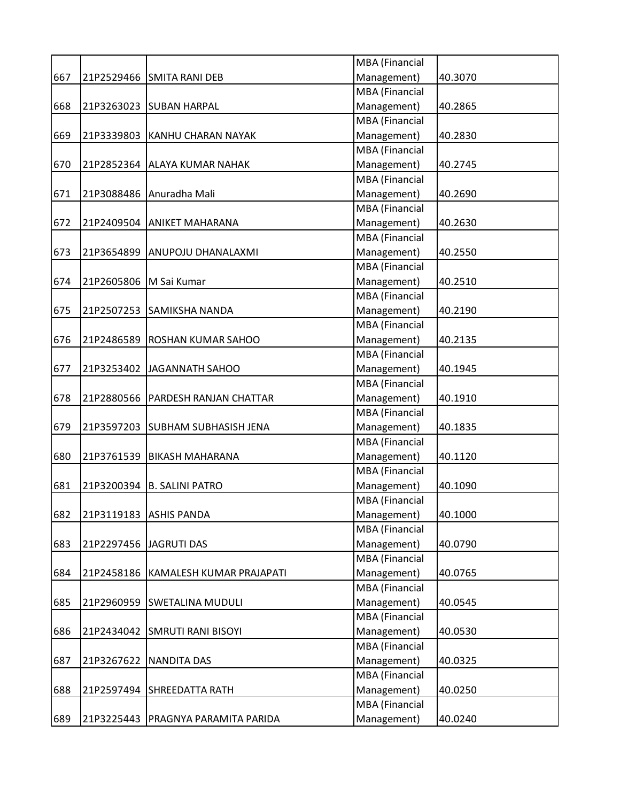|     |            |                                  | MBA (Financial        |         |
|-----|------------|----------------------------------|-----------------------|---------|
| 667 |            | 21P2529466 SMITA RANI DEB        | Management)           | 40.3070 |
|     |            |                                  | MBA (Financial        |         |
| 668 |            | 21P3263023 SUBAN HARPAL          | Management)           | 40.2865 |
|     |            |                                  | <b>MBA</b> (Financial |         |
| 669 |            | 21P3339803 KANHU CHARAN NAYAK    | Management)           | 40.2830 |
|     |            |                                  | <b>MBA</b> (Financial |         |
| 670 | 21P2852364 | <b>ALAYA KUMAR NAHAK</b>         | Management)           | 40.2745 |
|     |            |                                  | MBA (Financial        |         |
| 671 | 21P3088486 | Anuradha Mali                    | Management)           | 40.2690 |
|     |            |                                  | MBA (Financial        |         |
| 672 | 21P2409504 | <b>ANIKET MAHARANA</b>           | Management)           | 40.2630 |
|     |            |                                  | MBA (Financial        |         |
| 673 | 21P3654899 | ANUPOJU DHANALAXMI               | Management)           | 40.2550 |
|     |            |                                  | MBA (Financial        |         |
| 674 |            | 21P2605806   M Sai Kumar         | Management)           | 40.2510 |
|     |            |                                  | <b>MBA</b> (Financial |         |
| 675 | 21P2507253 | <b>SAMIKSHA NANDA</b>            | Management)           | 40.2190 |
|     |            |                                  | MBA (Financial        |         |
| 676 | 21P2486589 | <b>ROSHAN KUMAR SAHOO</b>        | Management)           | 40.2135 |
|     |            |                                  | MBA (Financial        |         |
| 677 | 21P3253402 | JAGANNATH SAHOO                  | Management)           | 40.1945 |
|     |            |                                  | <b>MBA</b> (Financial |         |
| 678 | 21P2880566 | PARDESH RANJAN CHATTAR           | Management)           | 40.1910 |
|     |            |                                  | MBA (Financial        |         |
| 679 |            | 21P3597203 SUBHAM SUBHASISH JENA | Management)           | 40.1835 |
|     |            |                                  | <b>MBA</b> (Financial |         |
| 680 | 21P3761539 | <b>BIKASH MAHARANA</b>           | Management)           | 40.1120 |
|     |            |                                  | MBA (Financial        |         |
| 681 | 21P3200394 | <b>B. SALINI PATRO</b>           | Management)           | 40.1090 |
|     |            |                                  | <b>MBA</b> (Financial |         |
| 682 |            | 21P3119183 ASHIS PANDA           | Management)           | 40.1000 |
|     |            |                                  | <b>MBA</b> (Financial |         |
| 683 | 21P2297456 | <b>JAGRUTI DAS</b>               | Management)           | 40.0790 |
|     |            |                                  | MBA (Financial        |         |
| 684 | 21P2458186 | KAMALESH KUMAR PRAJAPATI         | Management)           | 40.0765 |
|     |            |                                  | MBA (Financial        |         |
| 685 | 21P2960959 | <b>SWETALINA MUDULI</b>          | Management)           | 40.0545 |
|     |            |                                  | MBA (Financial        |         |
| 686 |            | 21P2434042 SMRUTI RANI BISOYI    | Management)           | 40.0530 |
|     |            |                                  | MBA (Financial        |         |
| 687 | 21P3267622 | <b>NANDITA DAS</b>               | Management)           | 40.0325 |
|     |            |                                  | MBA (Financial        |         |
| 688 | 21P2597494 | <b>SHREEDATTA RATH</b>           | Management)           | 40.0250 |
|     |            |                                  | MBA (Financial        |         |
| 689 | 21P3225443 | PRAGNYA PARAMITA PARIDA          | Management)           | 40.0240 |
|     |            |                                  |                       |         |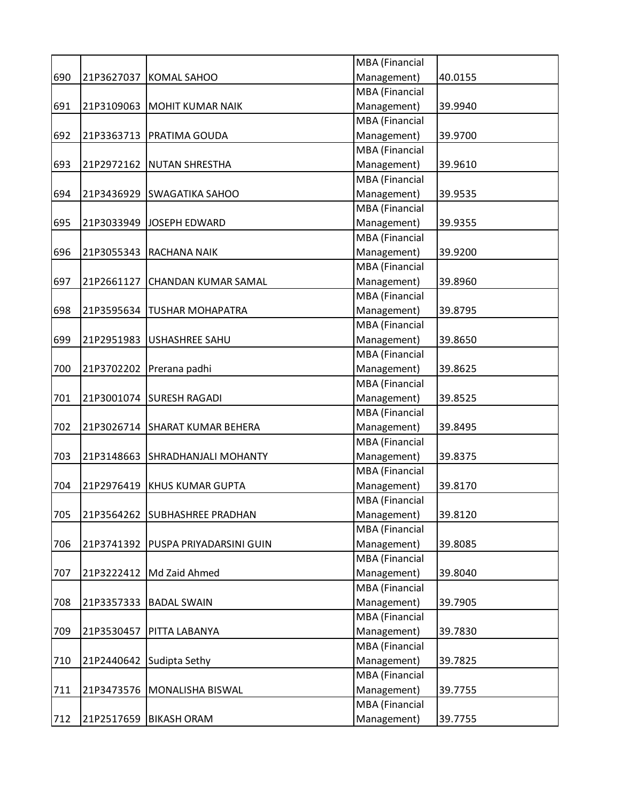|     |            |                                      | MBA (Financial        |         |
|-----|------------|--------------------------------------|-----------------------|---------|
| 690 | 21P3627037 | <b>KOMAL SAHOO</b>                   | Management)           | 40.0155 |
|     |            |                                      | MBA (Financial        |         |
| 691 |            | 21P3109063 MOHIT KUMAR NAIK          | Management)           | 39.9940 |
|     |            |                                      | <b>MBA</b> (Financial |         |
| 692 |            | 21P3363713   PRATIMA GOUDA           | Management)           | 39.9700 |
|     |            |                                      | MBA (Financial        |         |
| 693 |            | 21P2972162 NUTAN SHRESTHA            | Management)           | 39.9610 |
|     |            |                                      | <b>MBA</b> (Financial |         |
| 694 | 21P3436929 | <b>SWAGATIKA SAHOO</b>               | Management)           | 39.9535 |
|     |            |                                      | <b>MBA</b> (Financial |         |
| 695 |            | 21P3033949 JOSEPH EDWARD             | Management)           | 39.9355 |
|     |            |                                      | MBA (Financial        |         |
| 696 |            | 21P3055343 RACHANA NAIK              | Management)           | 39.9200 |
|     |            |                                      | MBA (Financial        |         |
| 697 | 21P2661127 | <b>CHANDAN KUMAR SAMAL</b>           | Management)           | 39.8960 |
|     |            |                                      | MBA (Financial        |         |
| 698 |            | 21P3595634   TUSHAR MOHAPATRA        | Management)           | 39.8795 |
|     |            |                                      | MBA (Financial        |         |
| 699 | 21P2951983 | USHASHREE SAHU                       | Management)           | 39.8650 |
|     |            |                                      | MBA (Financial        |         |
| 700 |            | 21P3702202 Prerana padhi             | Management)           | 39.8625 |
|     |            |                                      | MBA (Financial        |         |
| 701 |            | 21P3001074 SURESH RAGADI             | Management)           | 39.8525 |
|     |            |                                      | MBA (Financial        |         |
|     |            |                                      |                       |         |
| 702 |            | 21P3026714 SHARAT KUMAR BEHERA       | Management)           | 39.8495 |
|     |            |                                      | MBA (Financial        |         |
| 703 | 21P3148663 | <b>SHRADHANJALI MOHANTY</b>          | Management)           | 39.8375 |
|     |            |                                      | <b>MBA</b> (Financial |         |
| 704 | 21P2976419 | <b>KHUS KUMAR GUPTA</b>              | Management)           | 39.8170 |
|     |            |                                      | <b>MBA</b> (Financial |         |
| 705 |            | 21P3564262 SUBHASHREE PRADHAN        | Management)           | 39.8120 |
|     |            |                                      | MBA (Financial        |         |
| 706 |            | 21P3741392   PUSPA PRIYADARSINI GUIN | Management)           | 39.8085 |
|     |            |                                      | MBA (Financial        |         |
| 707 |            | 21P3222412   Md Zaid Ahmed           | Management)           | 39.8040 |
|     |            |                                      | MBA (Financial        |         |
| 708 | 21P3357333 | <b>BADAL SWAIN</b>                   | Management)           | 39.7905 |
|     |            |                                      | MBA (Financial        |         |
| 709 | 21P3530457 | PITTA LABANYA                        | Management)           | 39.7830 |
|     |            |                                      | MBA (Financial        |         |
| 710 | 21P2440642 | Sudipta Sethy                        | Management)           | 39.7825 |
|     |            |                                      | MBA (Financial        |         |
| 711 | 21P3473576 | MONALISHA BISWAL                     | Management)           | 39.7755 |
|     |            |                                      | MBA (Financial        |         |
| 712 |            | 21P2517659   BIKASH ORAM             | Management)           | 39.7755 |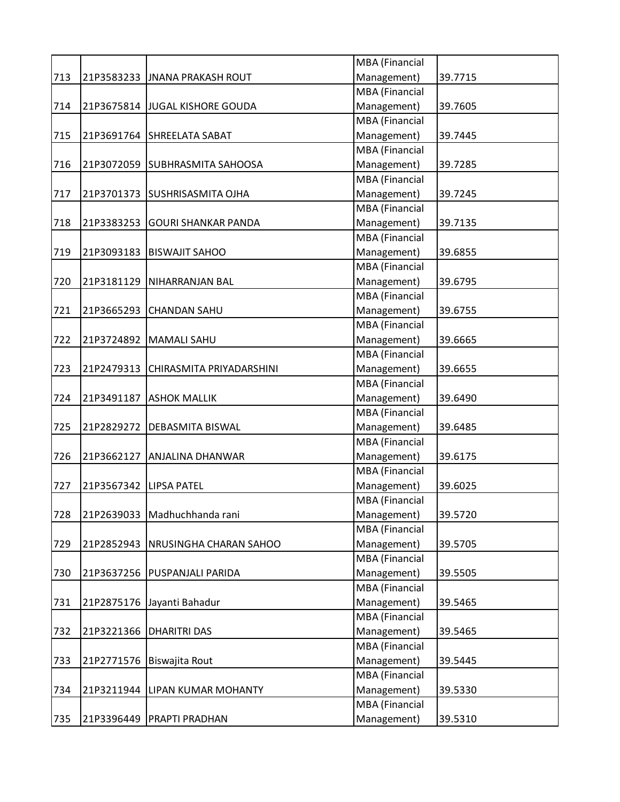|     |            |                                | MBA (Financial        |         |
|-----|------------|--------------------------------|-----------------------|---------|
| 713 |            | 21P3583233 JJNANA PRAKASH ROUT | Management)           | 39.7715 |
|     |            |                                | <b>MBA</b> (Financial |         |
| 714 | 21P3675814 | <b>JUGAL KISHORE GOUDA</b>     | Management)           | 39.7605 |
|     |            |                                | MBA (Financial        |         |
| 715 |            | 21P3691764 SHREELATA SABAT     | Management)           | 39.7445 |
|     |            |                                | <b>MBA</b> (Financial |         |
| 716 | 21P3072059 | SUBHRASMITA SAHOOSA            | Management)           | 39.7285 |
|     |            |                                | <b>MBA</b> (Financial |         |
| 717 | 21P3701373 | <b>SUSHRISASMITA OJHA</b>      | Management)           | 39.7245 |
|     |            |                                | <b>MBA</b> (Financial |         |
| 718 | 21P3383253 | <b>GOURI SHANKAR PANDA</b>     | Management)           | 39.7135 |
|     |            |                                | MBA (Financial        |         |
| 719 | 21P3093183 | <b>BISWAJIT SAHOO</b>          | Management)           | 39.6855 |
|     |            |                                | MBA (Financial        |         |
| 720 |            | 21P3181129   NIHARRANJAN BAL   | Management)           | 39.6795 |
|     |            |                                | MBA (Financial        |         |
| 721 | 21P3665293 | <b>CHANDAN SAHU</b>            | Management)           | 39.6755 |
|     |            |                                | MBA (Financial        |         |
| 722 | 21P3724892 | <b>MAMALI SAHU</b>             | Management)           | 39.6665 |
|     |            |                                | MBA (Financial        |         |
| 723 | 21P2479313 | CHIRASMITA PRIYADARSHINI       | Management)           | 39.6655 |
|     |            |                                | MBA (Financial        |         |
| 724 | 21P3491187 | <b>ASHOK MALLIK</b>            | Management)           | 39.6490 |
|     |            |                                | <b>MBA</b> (Financial |         |
| 725 | 21P2829272 | <b>DEBASMITA BISWAL</b>        | Management)           | 39.6485 |
|     |            |                                | MBA (Financial        |         |
| 726 | 21P3662127 | ANJALINA DHANWAR               | Management)           | 39.6175 |
|     |            |                                | MBA (Financial        |         |
| 727 | 21P3567342 | <b>LIPSA PATEL</b>             | Management)           | 39.6025 |
|     |            |                                | MBA (Financial        |         |
| 728 |            | 21P2639033 Madhuchhanda rani   | Management)           | 39.5720 |
|     |            |                                | <b>MBA</b> (Financial |         |
| 729 | 21P2852943 | <b>NRUSINGHA CHARAN SAHOO</b>  | Management)           | 39.5705 |
|     |            |                                | MBA (Financial        |         |
| 730 | 21P3637256 | PUSPANJALI PARIDA              | Management)           | 39.5505 |
|     |            |                                | MBA (Financial        |         |
| 731 | 21P2875176 | Jayanti Bahadur                | Management)           | 39.5465 |
|     |            |                                | MBA (Financial        |         |
| 732 | 21P3221366 | <b>DHARITRI DAS</b>            | Management)           | 39.5465 |
|     |            |                                | MBA (Financial        |         |
| 733 | 21P2771576 | Biswajita Rout                 | Management)           | 39.5445 |
|     |            |                                | MBA (Financial        |         |
| 734 | 21P3211944 | LIPAN KUMAR MOHANTY            | Management)           | 39.5330 |
|     |            |                                | MBA (Financial        |         |
| 735 | 21P3396449 | PRAPTI PRADHAN                 | Management)           | 39.5310 |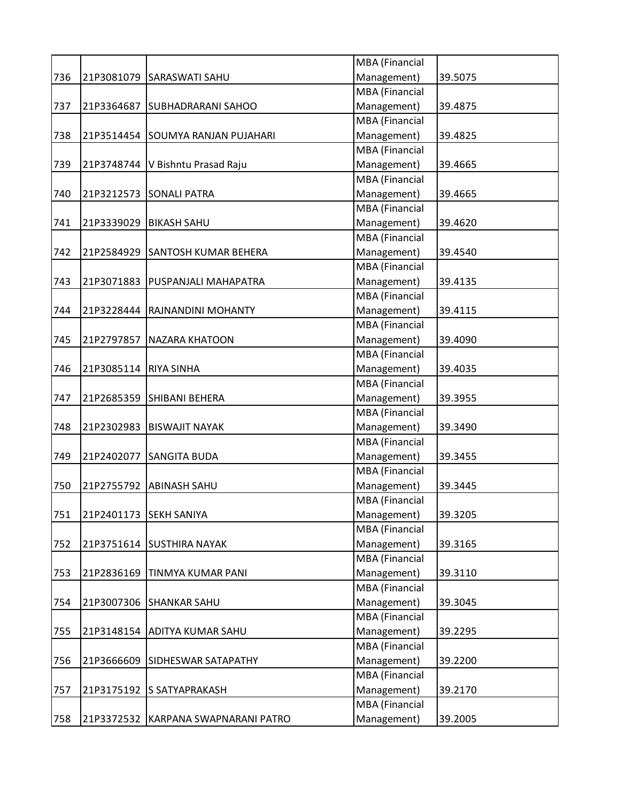|     |            |                                     | MBA (Financial        |         |
|-----|------------|-------------------------------------|-----------------------|---------|
| 736 | 21P3081079 | <b>SARASWATI SAHU</b>               | Management)           | 39.5075 |
|     |            |                                     | <b>MBA</b> (Financial |         |
| 737 | 21P3364687 | <b>SUBHADRARANI SAHOO</b>           | Management)           | 39.4875 |
|     |            |                                     | <b>MBA</b> (Financial |         |
| 738 | 21P3514454 | SOUMYA RANJAN PUJAHARI              | Management)           | 39.4825 |
|     |            |                                     | MBA (Financial        |         |
| 739 |            | 21P3748744   V Bishntu Prasad Raju  | Management)           | 39.4665 |
|     |            |                                     | <b>MBA</b> (Financial |         |
| 740 | 21P3212573 | <b>SONALI PATRA</b>                 | Management)           | 39.4665 |
|     |            |                                     | <b>MBA</b> (Financial |         |
| 741 | 21P3339029 | <b>BIKASH SAHU</b>                  | Management)           | 39.4620 |
|     |            |                                     | <b>MBA</b> (Financial |         |
| 742 | 21P2584929 | <b>SANTOSH KUMAR BEHERA</b>         | Management)           | 39.4540 |
|     |            |                                     | <b>MBA</b> (Financial |         |
| 743 | 21P3071883 | <b>PUSPANJALI MAHAPATRA</b>         | Management)           | 39.4135 |
|     |            |                                     | MBA (Financial        |         |
| 744 | 21P3228444 | <b>RAJNANDINI MOHANTY</b>           | Management)           | 39.4115 |
|     |            |                                     | <b>MBA</b> (Financial |         |
| 745 | 21P2797857 | <b>NAZARA KHATOON</b>               | Management)           | 39.4090 |
|     |            |                                     | <b>MBA</b> (Financial |         |
| 746 | 21P3085114 | <b>RIYA SINHA</b>                   | Management)           | 39.4035 |
|     |            |                                     | <b>MBA</b> (Financial |         |
| 747 | 21P2685359 | <b>SHIBANI BEHERA</b>               | Management)           | 39.3955 |
|     |            |                                     | <b>MBA</b> (Financial |         |
| 748 | 21P2302983 | <b>BISWAJIT NAYAK</b>               | Management)           | 39.3490 |
|     |            |                                     | MBA (Financial        |         |
| 749 | 21P2402077 | <b>SANGITA BUDA</b>                 | Management)           | 39.3455 |
|     |            |                                     | <b>MBA</b> (Financial |         |
| 750 | 21P2755792 | <b>ABINASH SAHU</b>                 | Management)           | 39.3445 |
|     |            |                                     | <b>MBA</b> (Financial |         |
| 751 | 21P2401173 | <b>SEKH SANIYA</b>                  | Management)           | 39.3205 |
|     |            |                                     | <b>MBA</b> (Financial |         |
| 752 |            | 21P3751614 SUSTHIRA NAYAK           | Management)           | 39.3165 |
|     |            |                                     | <b>MBA</b> (Financial |         |
| 753 | 21P2836169 | <b>TINMYA KUMAR PANI</b>            | Management)           | 39.3110 |
|     |            |                                     | MBA (Financial        |         |
| 754 | 21P3007306 | <b>SHANKAR SAHU</b>                 | Management)           | 39.3045 |
|     |            |                                     | MBA (Financial        |         |
| 755 | 21P3148154 | <b>ADITYA KUMAR SAHU</b>            | Management)           | 39.2295 |
|     |            |                                     | <b>MBA</b> (Financial |         |
| 756 | 21P3666609 | SIDHESWAR SATAPATHY                 | Management)           | 39.2200 |
|     |            |                                     | <b>MBA</b> (Financial |         |
| 757 | 21P3175192 | <b>S SATYAPRAKASH</b>               | Management)           | 39.2170 |
|     |            |                                     | <b>MBA</b> (Financial |         |
| 758 |            | 21P3372532 KARPANA SWAPNARANI PATRO | Management)           | 39.2005 |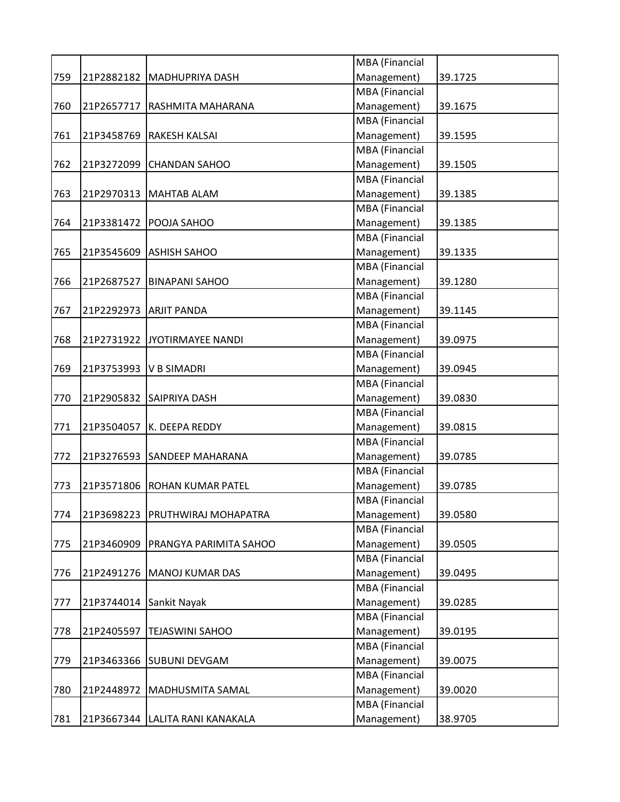|     |            |                                   | MBA (Financial                |         |
|-----|------------|-----------------------------------|-------------------------------|---------|
| 759 | 21P2882182 | MADHUPRIYA DASH                   | Management)                   | 39.1725 |
|     |            |                                   | MBA (Financial                |         |
| 760 | 21P2657717 | <b>RASHMITA MAHARANA</b>          | Management)                   | 39.1675 |
|     |            |                                   | MBA (Financial                |         |
| 761 | 21P3458769 | <b>RAKESH KALSAI</b>              | Management)                   | 39.1595 |
|     |            |                                   | MBA (Financial                |         |
| 762 | 21P3272099 | <b>CHANDAN SAHOO</b>              | Management)                   | 39.1505 |
|     |            |                                   | <b>MBA</b> (Financial         |         |
| 763 | 21P2970313 | <b>MAHTAB ALAM</b>                | Management)                   | 39.1385 |
|     |            |                                   | MBA (Financial                |         |
| 764 | 21P3381472 | POOJA SAHOO                       | Management)                   | 39.1385 |
|     |            |                                   | MBA (Financial                |         |
| 765 |            | 21P3545609 ASHISH SAHOO           | Management)                   | 39.1335 |
|     |            |                                   | MBA (Financial                |         |
| 766 | 21P2687527 | <b>BINAPANI SAHOO</b>             | Management)                   | 39.1280 |
|     |            |                                   | MBA (Financial                |         |
| 767 | 21P2292973 | <b>ARJIT PANDA</b>                | Management)                   | 39.1145 |
|     |            |                                   | <b>MBA</b> (Financial         |         |
| 768 | 21P2731922 | JYOTIRMAYEE NANDI                 | Management)                   | 39.0975 |
|     |            |                                   | MBA (Financial                |         |
| 769 | 21P3753993 | <b>V B SIMADRI</b>                | Management)                   | 39.0945 |
|     |            |                                   | MBA (Financial                |         |
| 770 | 21P2905832 | <b>SAIPRIYA DASH</b>              | Management)                   | 39.0830 |
|     |            |                                   | MBA (Financial                |         |
| 771 | 21P3504057 | K. DEEPA REDDY                    | Management)                   | 39.0815 |
|     |            |                                   | MBA (Financial                |         |
| 772 | 21P3276593 | <b>SANDEEP MAHARANA</b>           | Management)                   | 39.0785 |
|     |            |                                   | MBA (Financial                |         |
| 773 | 21P3571806 | <b>ROHAN KUMAR PATEL</b>          | Management)                   | 39.0785 |
|     |            |                                   | MBA (Financial                |         |
| 774 | 21P3698223 | PRUTHWIRAJ MOHAPATRA              | Management)                   | 39.0580 |
|     |            |                                   | MBA (Financial                |         |
| 775 | 21P3460909 | PRANGYA PARIMITA SAHOO            | Management)                   | 39.0505 |
|     |            |                                   | MBA (Financial                |         |
| 776 | 21P2491276 | MANOJ KUMAR DAS                   | Management)                   | 39.0495 |
|     |            |                                   | MBA (Financial                |         |
| 777 | 21P3744014 | Sankit Nayak                      | Management)                   | 39.0285 |
|     |            |                                   | MBA (Financial                |         |
| 778 | 21P2405597 | <b>TEJASWINI SAHOO</b>            | Management)                   | 39.0195 |
|     |            |                                   | MBA (Financial                |         |
| 779 | 21P3463366 | <b>SUBUNI DEVGAM</b>              | Management)                   | 39.0075 |
|     |            |                                   | MBA (Financial                |         |
|     | 21P2448972 |                                   |                               |         |
| 780 |            | MADHUSMITA SAMAL                  | Management)                   | 39.0020 |
|     |            |                                   | MBA (Financial<br>Management) |         |
| 781 |            | 21P3667344   LALITA RANI KANAKALA |                               | 38.9705 |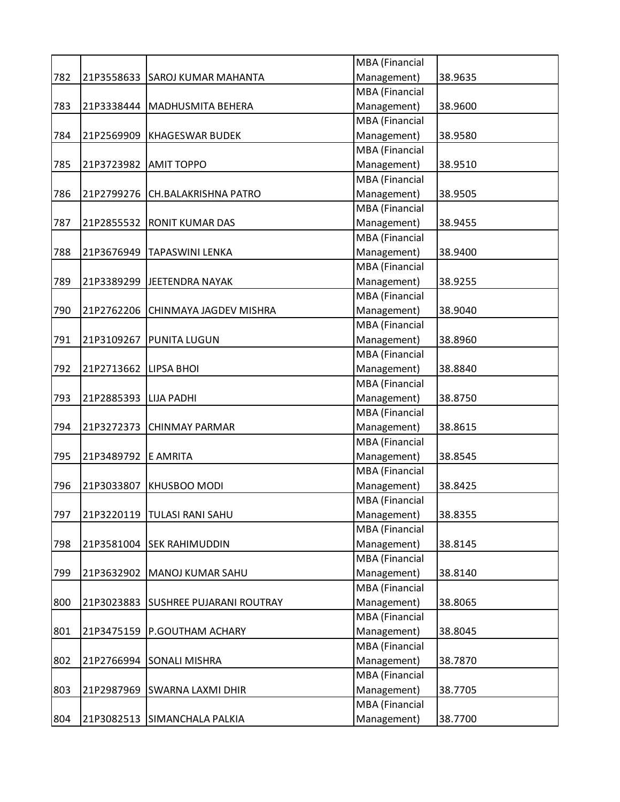|     |            |                                 | MBA (Financial        |         |
|-----|------------|---------------------------------|-----------------------|---------|
| 782 |            | 21P3558633 SAROJ KUMAR MAHANTA  | Management)           | 38.9635 |
|     |            |                                 | <b>MBA</b> (Financial |         |
| 783 | 21P3338444 | <b>MADHUSMITA BEHERA</b>        | Management)           | 38.9600 |
|     |            |                                 | MBA (Financial        |         |
| 784 |            | 21P2569909 KHAGESWAR BUDEK      | Management)           | 38.9580 |
|     |            |                                 | <b>MBA</b> (Financial |         |
| 785 | 21P3723982 | <b>AMIT TOPPO</b>               | Management)           | 38.9510 |
|     |            |                                 | <b>MBA</b> (Financial |         |
| 786 | 21P2799276 | CH.BALAKRISHNA PATRO            | Management)           | 38.9505 |
|     |            |                                 | <b>MBA</b> (Financial |         |
| 787 |            | 21P2855532 RONIT KUMAR DAS      | Management)           | 38.9455 |
|     |            |                                 | MBA (Financial        |         |
| 788 | 21P3676949 | <b>TAPASWINI LENKA</b>          | Management)           | 38.9400 |
|     |            |                                 | MBA (Financial        |         |
| 789 | 21P3389299 | JEETENDRA NAYAK                 | Management)           | 38.9255 |
|     |            |                                 | MBA (Financial        |         |
| 790 | 21P2762206 | CHINMAYA JAGDEV MISHRA          | Management)           | 38.9040 |
|     |            |                                 | MBA (Financial        |         |
| 791 | 21P3109267 | <b>PUNITA LUGUN</b>             | Management)           | 38.8960 |
|     |            |                                 | MBA (Financial        |         |
| 792 | 21P2713662 | <b>LIPSA BHOI</b>               | Management)           | 38.8840 |
|     |            |                                 | MBA (Financial        |         |
| 793 | 21P2885393 | <b>LIJA PADHI</b>               | Management)           | 38.8750 |
|     |            |                                 | <b>MBA</b> (Financial |         |
| 794 | 21P3272373 | <b>CHINMAY PARMAR</b>           | Management)           | 38.8615 |
|     |            |                                 | MBA (Financial        |         |
| 795 | 21P3489792 | E AMRITA                        | Management)           | 38.8545 |
|     |            |                                 | MBA (Financial        |         |
| 796 | 21P3033807 | <b>KHUSBOO MODI</b>             | Management)           | 38.8425 |
|     |            |                                 | MBA (Financial        |         |
| 797 |            | 21P3220119  TULASI RANI SAHU    | Management)           | 38.8355 |
|     |            |                                 | MBA (Financial        |         |
| 798 | 21P3581004 | <b>SEK RAHIMUDDIN</b>           | Management)           | 38.8145 |
|     |            |                                 | MBA (Financial        |         |
| 799 | 21P3632902 | MANOJ KUMAR SAHU                | Management)           | 38.8140 |
|     |            |                                 | MBA (Financial        |         |
| 800 | 21P3023883 | <b>SUSHREE PUJARANI ROUTRAY</b> | Management)           | 38.8065 |
|     |            |                                 | MBA (Financial        |         |
| 801 | 21P3475159 | P.GOUTHAM ACHARY                | Management)           | 38.8045 |
|     |            |                                 | MBA (Financial        |         |
| 802 | 21P2766994 | <b>SONALI MISHRA</b>            | Management)           | 38.7870 |
|     |            |                                 | MBA (Financial        |         |
| 803 | 21P2987969 | SWARNA LAXMI DHIR               | Management)           | 38.7705 |
|     |            |                                 | MBA (Financial        |         |
| 804 | 21P3082513 | SIMANCHALA PALKIA               | Management)           | 38.7700 |
|     |            |                                 |                       |         |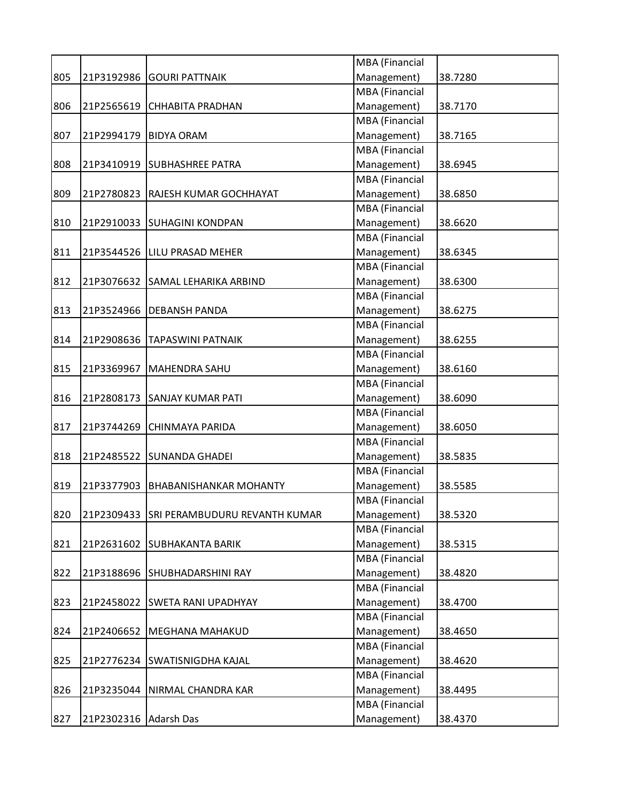|     |            |                                          | MBA (Financial        |         |
|-----|------------|------------------------------------------|-----------------------|---------|
| 805 | 21P3192986 | <b>GOURI PATTNAIK</b>                    | Management)           | 38.7280 |
|     |            |                                          | <b>MBA</b> (Financial |         |
| 806 | 21P2565619 | <b>CHHABITA PRADHAN</b>                  | Management)           | 38.7170 |
|     |            |                                          | MBA (Financial        |         |
| 807 | 21P2994179 | <b>BIDYA ORAM</b>                        | Management)           | 38.7165 |
|     |            |                                          | <b>MBA</b> (Financial |         |
| 808 |            | 21P3410919 SUBHASHREE PATRA              | Management)           | 38.6945 |
|     |            |                                          | <b>MBA</b> (Financial |         |
| 809 | 21P2780823 | <b>RAJESH KUMAR GOCHHAYAT</b>            | Management)           | 38.6850 |
|     |            |                                          | MBA (Financial        |         |
| 810 |            | 21P2910033 SUHAGINI KONDPAN              | Management)           | 38.6620 |
|     |            |                                          | MBA (Financial        |         |
| 811 |            | 21P3544526 LILU PRASAD MEHER             | Management)           | 38.6345 |
|     |            |                                          | MBA (Financial        |         |
| 812 | 21P3076632 | SAMAL LEHARIKA ARBIND                    | Management)           | 38.6300 |
|     |            |                                          | <b>MBA</b> (Financial |         |
| 813 | 21P3524966 | <b>DEBANSH PANDA</b>                     | Management)           | 38.6275 |
|     |            |                                          | <b>MBA</b> (Financial |         |
| 814 | 21P2908636 | <b>TAPASWINI PATNAIK</b>                 | Management)           | 38.6255 |
|     |            |                                          | MBA (Financial        |         |
| 815 | 21P3369967 | MAHENDRA SAHU                            | Management)           | 38.6160 |
|     |            |                                          | MBA (Financial        |         |
| 816 | 21P2808173 | <b>SANJAY KUMAR PATI</b>                 | Management)           | 38.6090 |
|     |            |                                          | <b>MBA</b> (Financial |         |
| 817 | 21P3744269 | <b>CHINMAYA PARIDA</b>                   | Management)           | 38.6050 |
|     |            |                                          | <b>MBA</b> (Financial |         |
| 818 |            | 21P2485522 SUNANDA GHADEI                | Management)           | 38.5835 |
|     |            |                                          | <b>MBA</b> (Financial |         |
| 819 | 21P3377903 | <b>BHABANISHANKAR MOHANTY</b>            | Management)           | 38.5585 |
|     |            |                                          | MBA (Financial        |         |
| 820 |            | 21P2309433 SRI PERAMBUDURU REVANTH KUMAR | Management)           | 38.5320 |
|     |            |                                          | <b>MBA</b> (Financial |         |
| 821 |            | 21P2631602 SUBHAKANTA BARIK              | Management)           | 38.5315 |
|     |            |                                          | <b>MBA</b> (Financial |         |
| 822 | 21P3188696 | SHUBHADARSHINI RAY                       | Management)           | 38.4820 |
|     |            |                                          | MBA (Financial        |         |
| 823 |            | 21P2458022 SWETA RANI UPADHYAY           | Management)           | 38.4700 |
|     |            |                                          | MBA (Financial        |         |
| 824 | 21P2406652 | <b>MEGHANA MAHAKUD</b>                   | Management)           | 38.4650 |
|     |            |                                          | MBA (Financial        |         |
| 825 |            | 21P2776234 SWATISNIGDHA KAJAL            | Management)           | 38.4620 |
|     |            |                                          | MBA (Financial        |         |
| 826 | 21P3235044 | NIRMAL CHANDRA KAR                       | Management)           | 38.4495 |
|     |            |                                          | MBA (Financial        |         |
| 827 | 21P2302316 | <b>Adarsh Das</b>                        | Management)           | 38.4370 |
|     |            |                                          |                       |         |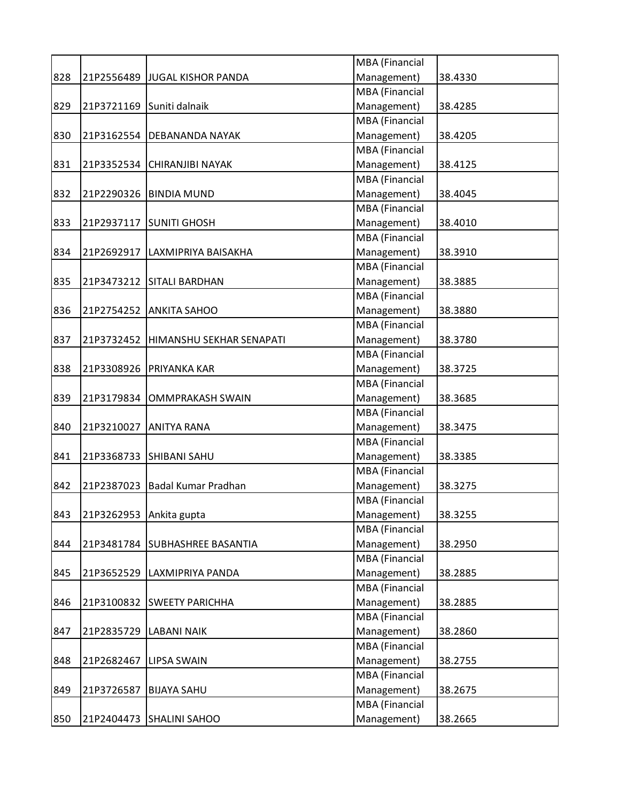|     |            |                                | MBA (Financial        |         |
|-----|------------|--------------------------------|-----------------------|---------|
| 828 |            | 21P2556489 JJUGAL KISHOR PANDA | Management)           | 38.4330 |
|     |            |                                | <b>MBA</b> (Financial |         |
| 829 | 21P3721169 | Suniti dalnaik                 | Management)           | 38.4285 |
|     |            |                                | <b>MBA</b> (Financial |         |
| 830 | 21P3162554 | <b>DEBANANDA NAYAK</b>         | Management)           | 38.4205 |
|     |            |                                | <b>MBA</b> (Financial |         |
| 831 | 21P3352534 | <b>CHIRANJIBI NAYAK</b>        | Management)           | 38.4125 |
|     |            |                                | <b>MBA</b> (Financial |         |
| 832 |            | 21P2290326 BINDIA MUND         | Management)           | 38.4045 |
|     |            |                                | <b>MBA</b> (Financial |         |
| 833 | 21P2937117 | <b>SUNITI GHOSH</b>            | Management)           | 38.4010 |
|     |            |                                | MBA (Financial        |         |
| 834 | 21P2692917 | LAXMIPRIYA BAISAKHA            | Management)           | 38.3910 |
|     |            |                                | MBA (Financial        |         |
| 835 |            | 21P3473212 SITALI BARDHAN      | Management)           | 38.3885 |
|     |            |                                | <b>MBA</b> (Financial |         |
| 836 | 21P2754252 | <b>ANKITA SAHOO</b>            | Management)           | 38.3880 |
|     |            |                                | MBA (Financial        |         |
| 837 | 21P3732452 | HIMANSHU SEKHAR SENAPATI       | Management)           | 38.3780 |
|     |            |                                | MBA (Financial        |         |
| 838 | 21P3308926 | PRIYANKA KAR                   | Management)           | 38.3725 |
|     |            |                                | MBA (Financial        |         |
| 839 | 21P3179834 | <b>OMMPRAKASH SWAIN</b>        | Management)           | 38.3685 |
|     |            |                                | <b>MBA</b> (Financial |         |
| 840 | 21P3210027 | <b>ANITYA RANA</b>             | Management)           | 38.3475 |
|     |            |                                | MBA (Financial        |         |
| 841 | 21P3368733 | <b>SHIBANI SAHU</b>            | Management)           | 38.3385 |
|     |            |                                | MBA (Financial        |         |
| 842 | 21P2387023 | <b>Badal Kumar Pradhan</b>     | Management)           | 38.3275 |
|     |            |                                | MBA (Financial        |         |
| 843 | 21P3262953 | Ankita gupta                   | Management)           | 38.3255 |
|     |            |                                | MBA (Financial        |         |
| 844 | 21P3481784 | <b>SUBHASHREE BASANTIA</b>     | Management)           | 38.2950 |
|     |            |                                | MBA (Financial        |         |
| 845 | 21P3652529 | LAXMIPRIYA PANDA               | Management)           | 38.2885 |
|     |            |                                | MBA (Financial        |         |
| 846 |            | 21P3100832 SWEETY PARICHHA     | Management)           | 38.2885 |
|     |            |                                | MBA (Financial        |         |
| 847 | 21P2835729 | <b>LABANI NAIK</b>             | Management)           | 38.2860 |
|     |            |                                | MBA (Financial        |         |
| 848 | 21P2682467 | <b>LIPSA SWAIN</b>             | Management)           | 38.2755 |
|     |            |                                | MBA (Financial        |         |
| 849 | 21P3726587 | <b>BIJAYA SAHU</b>             | Management)           | 38.2675 |
|     |            |                                | MBA (Financial        |         |
| 850 | 21P2404473 | <b>SHALINI SAHOO</b>           | Management)           | 38.2665 |
|     |            |                                |                       |         |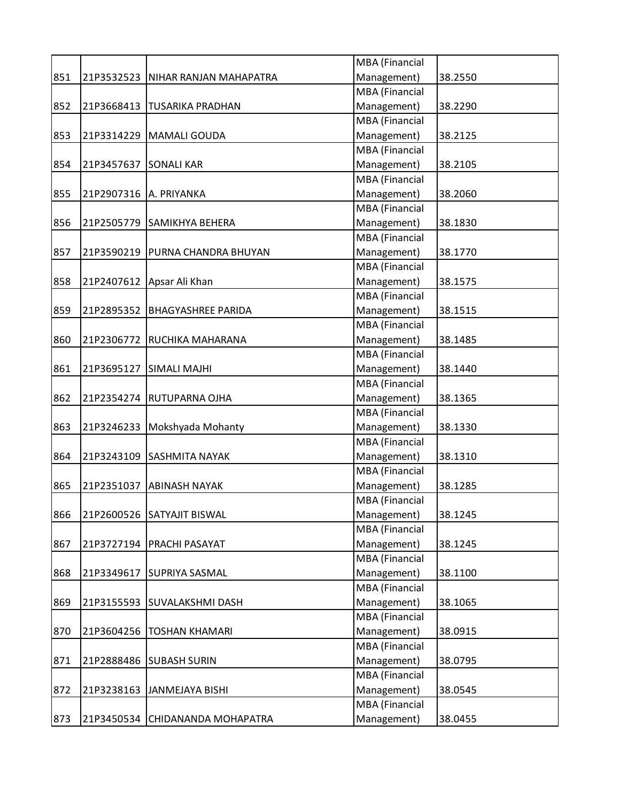|     |                          |                                   | <b>MBA</b> (Financial |         |
|-----|--------------------------|-----------------------------------|-----------------------|---------|
| 851 | 21P3532523               | NIHAR RANJAN MAHAPATRA            | Management)           | 38.2550 |
|     |                          |                                   | <b>MBA</b> (Financial |         |
| 852 |                          | 21P3668413   TUSARIKA PRADHAN     | Management)           | 38.2290 |
|     |                          |                                   | <b>MBA</b> (Financial |         |
| 853 |                          | 21P3314229   MAMALI GOUDA         | Management)           | 38.2125 |
|     |                          |                                   | MBA (Financial        |         |
| 854 | 21P3457637 SONALI KAR    |                                   | Management)           | 38.2105 |
|     |                          |                                   | <b>MBA</b> (Financial |         |
| 855 | 21P2907316   A. PRIYANKA |                                   | Management)           | 38.2060 |
|     |                          |                                   | MBA (Financial        |         |
| 856 | 21P2505779               | SAMIKHYA BEHERA                   | Management)           | 38.1830 |
|     |                          |                                   | <b>MBA</b> (Financial |         |
| 857 |                          | 21P3590219   PURNA CHANDRA BHUYAN | Management)           | 38.1770 |
|     |                          |                                   | <b>MBA</b> (Financial |         |
| 858 |                          | 21P2407612 Apsar Ali Khan         | Management)           | 38.1575 |
|     |                          |                                   | MBA (Financial        |         |
| 859 |                          | 21P2895352 BHAGYASHREE PARIDA     | Management)           | 38.1515 |
|     |                          |                                   | <b>MBA</b> (Financial |         |
| 860 | 21P2306772               | RUCHIKA MAHARANA                  | Management)           | 38.1485 |
|     |                          |                                   | MBA (Financial        |         |
| 861 | 21P3695127               | <b>SIMALI MAJHI</b>               | Management)           | 38.1440 |
|     |                          |                                   | <b>MBA</b> (Financial |         |
| 862 |                          | 21P2354274 RUTUPARNA OJHA         | Management)           | 38.1365 |
|     |                          |                                   | <b>MBA</b> (Financial |         |
| 863 |                          | 21P3246233 Mokshyada Mohanty      | Management)           | 38.1330 |
|     |                          |                                   | MBA (Financial        |         |
| 864 |                          | 21P3243109 SASHMITA NAYAK         | Management)           | 38.1310 |
|     |                          |                                   | <b>MBA</b> (Financial |         |
| 865 | 21P2351037               | <b>ABINASH NAYAK</b>              | Management)           | 38.1285 |
|     |                          |                                   | <b>MBA</b> (Financial |         |
| 866 |                          | 21P2600526 SATYAJIT BISWAL        | Management)           | 38.1245 |
|     |                          |                                   | <b>MBA</b> (Financial |         |
| 867 |                          | 21P3727194   PRACHI PASAYAT       | Management)           | 38.1245 |
|     |                          |                                   | <b>MBA</b> (Financial |         |
| 868 |                          | 21P3349617 SUPRIYA SASMAL         | Management)           | 38.1100 |
|     |                          |                                   | MBA (Financial        |         |
| 869 |                          | 21P3155593 SUVALAKSHMI DASH       | Management)           | 38.1065 |
|     |                          |                                   | MBA (Financial        |         |
| 870 |                          | 21P3604256   TOSHAN KHAMARI       | Management)           | 38.0915 |
|     |                          |                                   | <b>MBA</b> (Financial |         |
| 871 |                          | 21P2888486 SUBASH SURIN           | Management)           | 38.0795 |
|     |                          |                                   | <b>MBA</b> (Financial |         |
| 872 | 21P3238163               | JANMEJAYA BISHI                   | Management)           | 38.0545 |
|     |                          |                                   | MBA (Financial        |         |
| 873 |                          | 21P3450534 CHIDANANDA MOHAPATRA   | Management)           | 38.0455 |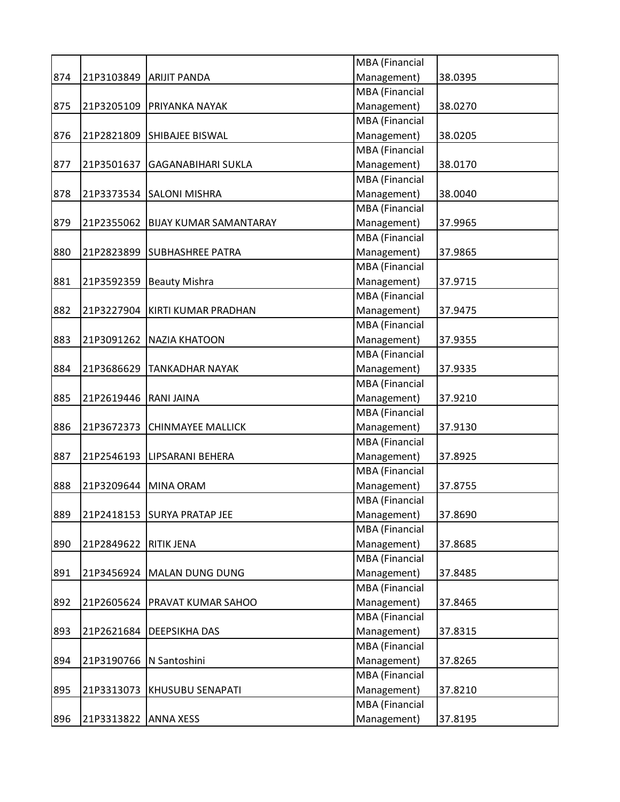|     |                      |                                 | MBA (Financial        |         |
|-----|----------------------|---------------------------------|-----------------------|---------|
| 874 |                      | 21P3103849 ARIJIT PANDA         | Management)           | 38.0395 |
|     |                      |                                 | <b>MBA</b> (Financial |         |
| 875 |                      | 21P3205109 PRIYANKA NAYAK       | Management)           | 38.0270 |
|     |                      |                                 | <b>MBA</b> (Financial |         |
| 876 |                      | 21P2821809 SHIBAJEE BISWAL      | Management)           | 38.0205 |
|     |                      |                                 | MBA (Financial        |         |
| 877 | 21P3501637           | <b>GAGANABIHARI SUKLA</b>       | Management)           | 38.0170 |
|     |                      |                                 | MBA (Financial        |         |
| 878 |                      | 21P3373534 SALONI MISHRA        | Management)           | 38.0040 |
|     |                      |                                 | <b>MBA</b> (Financial |         |
| 879 | 21P2355062           | <b>BIJAY KUMAR SAMANTARAY</b>   | Management)           | 37.9965 |
|     |                      |                                 | MBA (Financial        |         |
| 880 |                      | 21P2823899 SUBHASHREE PATRA     | Management)           | 37.9865 |
|     |                      |                                 | MBA (Financial        |         |
| 881 | 21P3592359           | <b>Beauty Mishra</b>            | Management)           | 37.9715 |
|     |                      |                                 | MBA (Financial        |         |
| 882 |                      | 21P3227904 KIRTI KUMAR PRADHAN  | Management)           | 37.9475 |
|     |                      |                                 | MBA (Financial        |         |
| 883 |                      | 21P3091262   NAZIA KHATOON      | Management)           | 37.9355 |
|     |                      |                                 | MBA (Financial        |         |
| 884 | 21P3686629           | <b>TANKADHAR NAYAK</b>          | Management)           | 37.9335 |
|     |                      |                                 | MBA (Financial        |         |
| 885 | 21P2619446           | <b>RANI JAINA</b>               | Management)           | 37.9210 |
|     |                      |                                 | MBA (Financial        |         |
| 886 | 21P3672373           | <b>CHINMAYEE MALLICK</b>        | Management)           | 37.9130 |
|     |                      |                                 | MBA (Financial        |         |
| 887 |                      | 21P2546193 LIPSARANI BEHERA     | Management)           | 37.8925 |
|     |                      |                                 | MBA (Financial        |         |
| 888 | 21P3209644           | <b>MINA ORAM</b>                | Management)           | 37.8755 |
|     |                      |                                 | <b>MBA</b> (Financial |         |
| 889 |                      | 21P2418153 SURYA PRATAP JEE     | Management)           | 37.8690 |
|     |                      |                                 | MBA (Financial        |         |
| 890 | 21P2849622           | <b>RITIK JENA</b>               | Management)           | 37.8685 |
|     |                      |                                 | MBA (Financial        |         |
| 891 |                      | 21P3456924   MALAN DUNG DUNG    | Management)           | 37.8485 |
|     |                      |                                 | MBA (Financial        |         |
| 892 |                      | 21P2605624   PRAVAT KUMAR SAHOO | Management)           | 37.8465 |
|     |                      |                                 | MBA (Financial        |         |
|     |                      |                                 | Management)           |         |
| 893 | 21P2621684           | <b>DEEPSIKHA DAS</b>            | MBA (Financial        | 37.8315 |
|     |                      |                                 |                       |         |
| 894 | 21P3190766           | N Santoshini                    | Management)           | 37.8265 |
|     |                      |                                 | MBA (Financial        |         |
| 895 | 21P3313073           | <b>KHUSUBU SENAPATI</b>         | Management)           | 37.8210 |
|     |                      |                                 | MBA (Financial        |         |
| 896 | 21P3313822 ANNA XESS |                                 | Management)           | 37.8195 |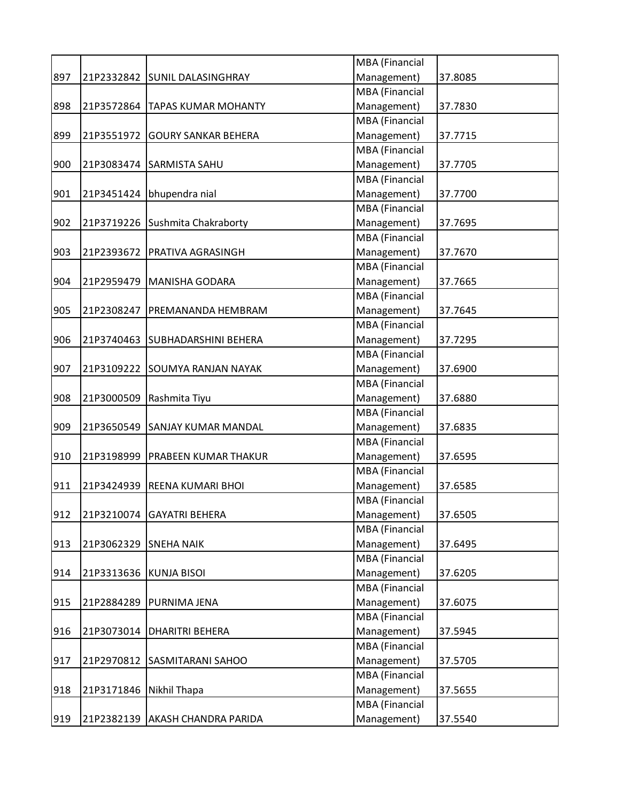|     |            |                                   | MBA (Financial        |         |
|-----|------------|-----------------------------------|-----------------------|---------|
| 897 |            | 21P2332842 SUNIL DALASINGHRAY     | Management)           | 37.8085 |
|     |            |                                   | MBA (Financial        |         |
| 898 | 21P3572864 | <b>TAPAS KUMAR MOHANTY</b>        | Management)           | 37.7830 |
|     |            |                                   | MBA (Financial        |         |
| 899 | 21P3551972 | <b>GOURY SANKAR BEHERA</b>        | Management)           | 37.7715 |
|     |            |                                   | <b>MBA</b> (Financial |         |
| 900 |            | 21P3083474 SARMISTA SAHU          | Management)           | 37.7705 |
|     |            |                                   | <b>MBA</b> (Financial |         |
| 901 | 21P3451424 | bhupendra nial                    | Management)           | 37.7700 |
|     |            |                                   | MBA (Financial        |         |
| 902 |            | 21P3719226 Sushmita Chakraborty   | Management)           | 37.7695 |
|     |            |                                   | MBA (Financial        |         |
| 903 | 21P2393672 | PRATIVA AGRASINGH                 | Management)           | 37.7670 |
|     |            |                                   | MBA (Financial        |         |
| 904 |            | 21P2959479   MANISHA GODARA       | Management)           | 37.7665 |
|     |            |                                   | <b>MBA</b> (Financial |         |
| 905 | 21P2308247 | PREMANANDA HEMBRAM                | Management)           | 37.7645 |
|     |            |                                   | <b>MBA</b> (Financial |         |
| 906 | 21P3740463 | <b>SUBHADARSHINI BEHERA</b>       | Management)           | 37.7295 |
|     |            |                                   | MBA (Financial        |         |
| 907 |            | 21P3109222 SOUMYA RANJAN NAYAK    | Management)           | 37.6900 |
|     |            |                                   | MBA (Financial        |         |
| 908 | 21P3000509 | Rashmita Tiyu                     | Management)           | 37.6880 |
|     |            |                                   | MBA (Financial        |         |
| 909 | 21P3650549 | <b>SANJAY KUMAR MANDAL</b>        | Management)           | 37.6835 |
|     |            |                                   | MBA (Financial        |         |
| 910 |            | 21P3198999   PRABEEN KUMAR THAKUR | Management)           | 37.6595 |
|     |            |                                   | MBA (Financial        |         |
| 911 | 21P3424939 | <b>REENA KUMARI BHOI</b>          | Management)           | 37.6585 |
|     |            |                                   | MBA (Financial        |         |
| 912 | 21P3210074 | <b>GAYATRI BEHERA</b>             | Management)           | 37.6505 |
|     |            |                                   | MBA (Financial        |         |
| 913 | 21P3062329 | <b>SNEHA NAIK</b>                 | Management)           | 37.6495 |
|     |            |                                   | <b>MBA</b> (Financial |         |
| 914 | 21P3313636 | <b>KUNJA BISOI</b>                | Management)           | 37.6205 |
|     |            |                                   | MBA (Financial        |         |
| 915 |            | 21P2884289   PURNIMA JENA         | Management)           | 37.6075 |
|     |            |                                   | MBA (Financial        |         |
| 916 | 21P3073014 | <b>DHARITRI BEHERA</b>            | Management)           | 37.5945 |
|     |            |                                   | MBA (Financial        |         |
| 917 | 21P2970812 | <b>SASMITARANI SAHOO</b>          | Management)           | 37.5705 |
|     |            |                                   | MBA (Financial        |         |
| 918 | 21P3171846 | Nikhil Thapa                      | Management)           | 37.5655 |
|     |            |                                   | MBA (Financial        |         |
| 919 | 21P2382139 | AKASH CHANDRA PARIDA              | Management)           | 37.5540 |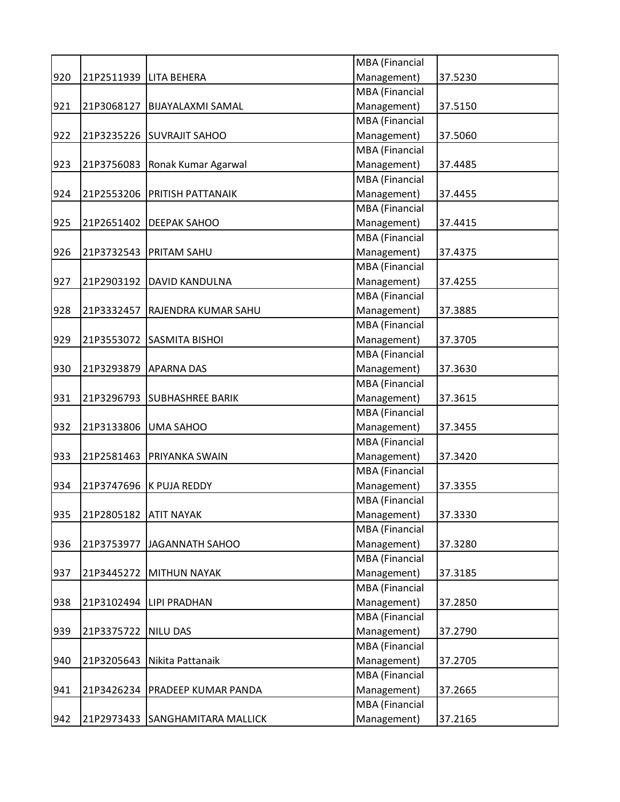|     |                       |                                  | MBA (Financial        |         |
|-----|-----------------------|----------------------------------|-----------------------|---------|
| 920 |                       | 21P2511939   LITA BEHERA         | Management)           | 37.5230 |
|     |                       |                                  | <b>MBA</b> (Financial |         |
| 921 | 21P3068127            | <b>BIJAYALAXMI SAMAL</b>         | Management)           | 37.5150 |
|     |                       |                                  | <b>MBA</b> (Financial |         |
| 922 |                       | 21P3235226 SUVRAJIT SAHOO        | Management)           | 37.5060 |
|     |                       |                                  | MBA (Financial        |         |
| 923 |                       | 21P3756083 Ronak Kumar Agarwal   | Management)           | 37.4485 |
|     |                       |                                  | <b>MBA</b> (Financial |         |
| 924 |                       | 21P2553206 PRITISH PATTANAIK     | Management)           | 37.4455 |
|     |                       |                                  | <b>MBA</b> (Financial |         |
| 925 |                       | 21P2651402   DEEPAK SAHOO        | Management)           | 37.4415 |
|     |                       |                                  | <b>MBA</b> (Financial |         |
| 926 |                       | 21P3732543   PRITAM SAHU         | Management)           | 37.4375 |
|     |                       |                                  | <b>MBA</b> (Financial |         |
| 927 |                       | 21P2903192   DAVID KANDULNA      | Management)           | 37.4255 |
|     |                       |                                  | MBA (Financial        |         |
| 928 | 21P3332457            | <b>RAJENDRA KUMAR SAHU</b>       | Management)           | 37.3885 |
|     |                       |                                  | <b>MBA</b> (Financial |         |
| 929 | 21P3553072            | <b>SASMITA BISHOI</b>            | Management)           | 37.3705 |
|     |                       |                                  | <b>MBA</b> (Financial |         |
| 930 | 21P3293879            | <b>APARNA DAS</b>                | Management)           | 37.3630 |
|     |                       |                                  | <b>MBA</b> (Financial |         |
| 931 |                       | 21P3296793 SUBHASHREE BARIK      | Management)           | 37.3615 |
|     |                       |                                  | <b>MBA</b> (Financial |         |
| 932 |                       | 21P3133806 UMA SAHOO             | Management)           | 37.3455 |
|     |                       |                                  | MBA (Financial        |         |
| 933 | 21P2581463            | <b>PRIYANKA SWAIN</b>            | Management)           | 37.3420 |
|     |                       |                                  | <b>MBA</b> (Financial |         |
| 934 | 21P3747696            | K PUJA REDDY                     | Management)           | 37.3355 |
|     |                       |                                  | <b>MBA</b> (Financial |         |
| 935 | 21P2805182 ATIT NAYAK |                                  | Management)           | 37.3330 |
|     |                       |                                  | <b>MBA</b> (Financial |         |
| 936 | 21P3753977            | JAGANNATH SAHOO                  | Management)           | 37.3280 |
|     |                       |                                  | <b>MBA</b> (Financial |         |
| 937 |                       | 21P3445272 MITHUN NAYAK          | Management)           | 37.3185 |
|     |                       |                                  | MBA (Financial        |         |
| 938 |                       | 21P3102494 LIPI PRADHAN          | Management)           | 37.2850 |
|     |                       |                                  | MBA (Financial        |         |
| 939 | 21P3375722 NILU DAS   |                                  | Management)           | 37.2790 |
|     |                       |                                  | <b>MBA</b> (Financial |         |
| 940 | 21P3205643            | Nikita Pattanaik                 | Management)           | 37.2705 |
|     |                       |                                  | <b>MBA</b> (Financial |         |
| 941 |                       | 21P3426234   PRADEEP KUMAR PANDA | Management)           | 37.2665 |
|     |                       |                                  | MBA (Financial        |         |
| 942 |                       | 21P2973433 SANGHAMITARA MALLICK  | Management)           | 37.2165 |
|     |                       |                                  |                       |         |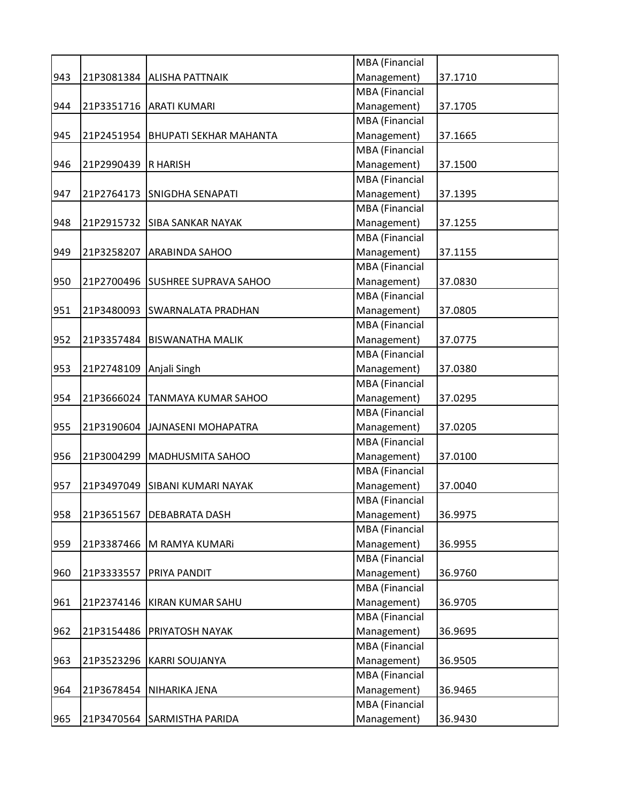|     |            |                               | MBA (Financial        |         |
|-----|------------|-------------------------------|-----------------------|---------|
| 943 | 21P3081384 | <b>ALISHA PATTNAIK</b>        | Management)           | 37.1710 |
|     |            |                               | <b>MBA</b> (Financial |         |
| 944 |            | 21P3351716   ARATI KUMARI     | Management)           | 37.1705 |
|     |            |                               | <b>MBA</b> (Financial |         |
| 945 | 21P2451954 | <b>BHUPATI SEKHAR MAHANTA</b> | Management)           | 37.1665 |
|     |            |                               | MBA (Financial        |         |
| 946 | 21P2990439 | <b>R HARISH</b>               | Management)           | 37.1500 |
|     |            |                               | <b>MBA</b> (Financial |         |
| 947 | 21P2764173 | <b>SNIGDHA SENAPATI</b>       | Management)           | 37.1395 |
|     |            |                               | <b>MBA</b> (Financial |         |
| 948 | 21P2915732 | <b>SIBA SANKAR NAYAK</b>      | Management)           | 37.1255 |
|     |            |                               | <b>MBA</b> (Financial |         |
| 949 | 21P3258207 | <b>ARABINDA SAHOO</b>         | Management)           | 37.1155 |
|     |            |                               | <b>MBA</b> (Financial |         |
| 950 | 21P2700496 | <b>SUSHREE SUPRAVA SAHOO</b>  | Management)           | 37.0830 |
|     |            |                               | MBA (Financial        |         |
| 951 | 21P3480093 | <b>SWARNALATA PRADHAN</b>     | Management)           | 37.0805 |
|     |            |                               | <b>MBA</b> (Financial |         |
| 952 | 21P3357484 | <b>BISWANATHA MALIK</b>       | Management)           | 37.0775 |
|     |            |                               | <b>MBA</b> (Financial |         |
| 953 | 21P2748109 | Anjali Singh                  | Management)           | 37.0380 |
|     |            |                               | <b>MBA</b> (Financial |         |
| 954 | 21P3666024 | <b>TANMAYA KUMAR SAHOO</b>    | Management)           | 37.0295 |
|     |            |                               | <b>MBA</b> (Financial |         |
| 955 | 21P3190604 | JAJNASENI MOHAPATRA           | Management)           | 37.0205 |
|     |            |                               | MBA (Financial        |         |
| 956 | 21P3004299 | MADHUSMITA SAHOO              | Management)           | 37.0100 |
|     |            |                               | <b>MBA</b> (Financial |         |
| 957 | 21P3497049 | <b>SIBANI KUMARI NAYAK</b>    | Management)           | 37.0040 |
|     |            |                               | <b>MBA</b> (Financial |         |
| 958 | 21P3651567 | <b>DEBABRATA DASH</b>         | Management)           | 36.9975 |
|     |            |                               | <b>MBA</b> (Financial |         |
| 959 | 21P3387466 | M RAMYA KUMARI                | Management)           | 36.9955 |
|     |            |                               | <b>MBA</b> (Financial |         |
| 960 | 21P3333557 | <b>PRIYA PANDIT</b>           | Management)           | 36.9760 |
|     |            |                               | MBA (Financial        |         |
| 961 | 21P2374146 | KIRAN KUMAR SAHU              | Management)           | 36.9705 |
|     |            |                               | MBA (Financial        |         |
| 962 | 21P3154486 | <b>PRIYATOSH NAYAK</b>        | Management)           | 36.9695 |
|     |            |                               | <b>MBA</b> (Financial |         |
| 963 | 21P3523296 | <b>KARRI SOUJANYA</b>         | Management)           | 36.9505 |
|     |            |                               | <b>MBA</b> (Financial |         |
| 964 | 21P3678454 | NIHARIKA JENA                 | Management)           | 36.9465 |
|     |            |                               | MBA (Financial        |         |
| 965 |            | 21P3470564 SARMISTHA PARIDA   | Management)           | 36.9430 |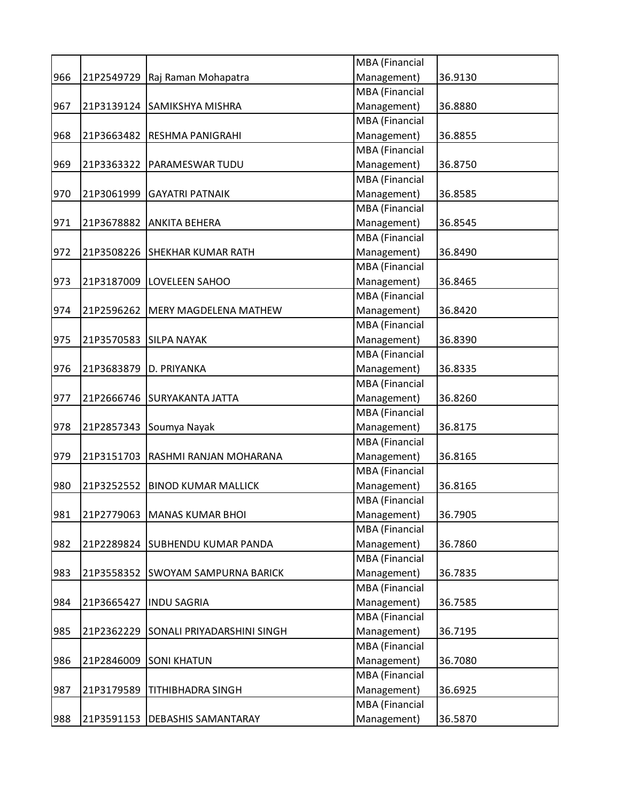|     |            |                                   | MBA (Financial        |         |
|-----|------------|-----------------------------------|-----------------------|---------|
| 966 |            | 21P2549729 Raj Raman Mohapatra    | Management)           | 36.9130 |
|     |            |                                   | <b>MBA</b> (Financial |         |
| 967 |            | 21P3139124 SAMIKSHYA MISHRA       | Management)           | 36.8880 |
|     |            |                                   | <b>MBA</b> (Financial |         |
| 968 |            | 21P3663482 RESHMA PANIGRAHI       | Management)           | 36.8855 |
|     |            |                                   | MBA (Financial        |         |
| 969 |            | 21P3363322   PARAMESWAR TUDU      | Management)           | 36.8750 |
|     |            |                                   | <b>MBA</b> (Financial |         |
| 970 | 21P3061999 | <b>GAYATRI PATNAIK</b>            | Management)           | 36.8585 |
|     |            |                                   | <b>MBA</b> (Financial |         |
| 971 | 21P3678882 | <b>ANKITA BEHERA</b>              | Management)           | 36.8545 |
|     |            |                                   | <b>MBA</b> (Financial |         |
| 972 |            | 21P3508226 SHEKHAR KUMAR RATH     | Management)           | 36.8490 |
|     |            |                                   | <b>MBA</b> (Financial |         |
| 973 |            | 21P3187009  LOVELEEN SAHOO        | Management)           | 36.8465 |
|     |            |                                   | MBA (Financial        |         |
| 974 | 21P2596262 | <b>MERY MAGDELENA MATHEW</b>      | Management)           | 36.8420 |
|     |            |                                   | <b>MBA</b> (Financial |         |
| 975 | 21P3570583 | <b>SILPA NAYAK</b>                | Management)           | 36.8390 |
|     |            |                                   | <b>MBA</b> (Financial |         |
| 976 | 21P3683879 | D. PRIYANKA                       | Management)           | 36.8335 |
|     |            |                                   | <b>MBA</b> (Financial |         |
| 977 |            | 21P2666746 SURYAKANTA JATTA       | Management)           | 36.8260 |
|     |            |                                   | <b>MBA</b> (Financial |         |
| 978 |            | 21P2857343 Soumya Nayak           | Management)           | 36.8175 |
|     |            |                                   | MBA (Financial        |         |
| 979 |            | 21P3151703 RASHMI RANJAN MOHARANA | Management)           | 36.8165 |
|     |            |                                   | <b>MBA</b> (Financial |         |
| 980 | 21P3252552 | <b>BINOD KUMAR MALLICK</b>        | Management)           | 36.8165 |
|     |            |                                   | <b>MBA</b> (Financial |         |
| 981 |            | 21P2779063 MANAS KUMAR BHOI       | Management)           | 36.7905 |
|     |            |                                   | <b>MBA</b> (Financial |         |
| 982 |            | 21P2289824 SUBHENDU KUMAR PANDA   | Management)           | 36.7860 |
|     |            |                                   | MBA (Financial        |         |
| 983 |            | 21P3558352 SWOYAM SAMPURNA BARICK | Management)           | 36.7835 |
|     |            |                                   | MBA (Financial        |         |
| 984 | 21P3665427 | <b>INDU SAGRIA</b>                | Management)           | 36.7585 |
|     |            |                                   | MBA (Financial        |         |
| 985 | 21P2362229 | SONALI PRIYADARSHINI SINGH        | Management)           | 36.7195 |
|     |            |                                   | <b>MBA</b> (Financial |         |
| 986 | 21P2846009 | <b>SONI KHATUN</b>                | Management)           | 36.7080 |
|     |            |                                   | <b>MBA</b> (Financial |         |
| 987 | 21P3179589 | <b>TITHIBHADRA SINGH</b>          | Management)           | 36.6925 |
|     |            |                                   | MBA (Financial        |         |
| 988 |            | 21P3591153   DEBASHIS SAMANTARAY  | Management)           | 36.5870 |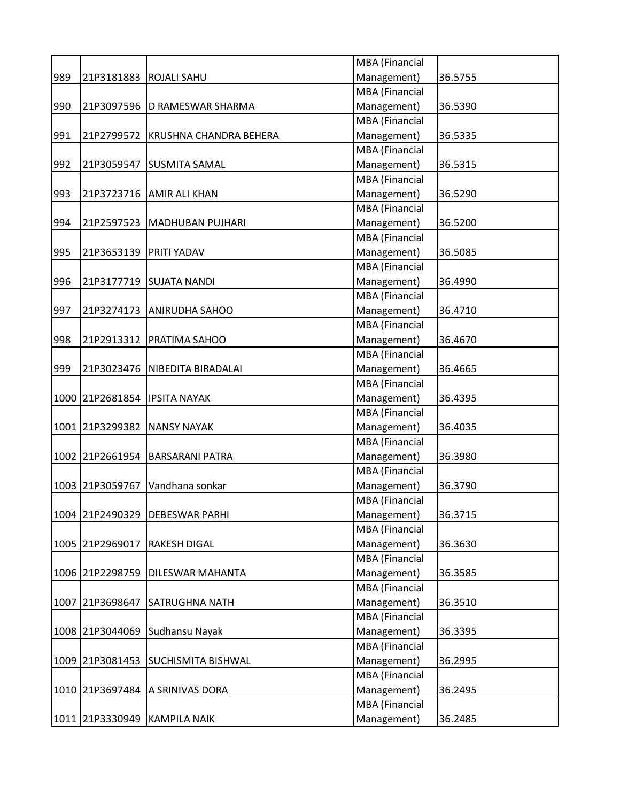|     |                 |                                | MBA (Financial        |         |
|-----|-----------------|--------------------------------|-----------------------|---------|
| 989 | 21P3181883      | <b>ROJALI SAHU</b>             | Management)           | 36.5755 |
|     |                 |                                | <b>MBA</b> (Financial |         |
| 990 | 21P3097596      | D RAMESWAR SHARMA              | Management)           | 36.5390 |
|     |                 |                                | <b>MBA</b> (Financial |         |
| 991 | 21P2799572      | KRUSHNA CHANDRA BEHERA         | Management)           | 36.5335 |
|     |                 |                                | MBA (Financial        |         |
| 992 | 21P3059547      | <b>SUSMITA SAMAL</b>           | Management)           | 36.5315 |
|     |                 |                                | <b>MBA</b> (Financial |         |
| 993 | 21P3723716      | <b>AMIR ALI KHAN</b>           | Management)           | 36.5290 |
|     |                 |                                | MBA (Financial        |         |
| 994 | 21P2597523      | <b>MADHUBAN PUJHARI</b>        | Management)           | 36.5200 |
|     |                 |                                | MBA (Financial        |         |
| 995 | 21P3653139      | <b>PRITI YADAV</b>             | Management)           | 36.5085 |
|     |                 |                                | MBA (Financial        |         |
| 996 |                 | 21P3177719 SUJATA NANDI        | Management)           | 36.4990 |
|     |                 |                                | <b>MBA</b> (Financial |         |
| 997 | 21P3274173      | <b>ANIRUDHA SAHOO</b>          | Management)           | 36.4710 |
|     |                 |                                | <b>MBA</b> (Financial |         |
| 998 |                 | 21P2913312   PRATIMA SAHOO     | Management)           | 36.4670 |
|     |                 |                                | MBA (Financial        |         |
| 999 |                 | 21P3023476 NIBEDITA BIRADALAI  | Management)           | 36.4665 |
|     |                 |                                | MBA (Financial        |         |
|     |                 | 1000 21P2681854   IPSITA NAYAK | Management)           | 36.4395 |
|     |                 |                                | <b>MBA</b> (Financial |         |
|     | 1001 21P3299382 | <b>NANSY NAYAK</b>             | Management)           | 36.4035 |
|     |                 |                                | <b>MBA</b> (Financial |         |
|     | 1002 21P2661954 | <b>BARSARANI PATRA</b>         | Management)           | 36.3980 |
|     |                 |                                | MBA (Financial        |         |
|     | 1003 21P3059767 | Vandhana sonkar                | Management)           | 36.3790 |
|     |                 |                                | MBA (Financial        |         |
|     |                 | 1004 21P2490329 DEBESWAR PARHI | Management)           | 36.3715 |
|     |                 |                                | MBA (Financial        |         |
|     | 1005 21P2969017 | <b>RAKESH DIGAL</b>            | Management)           | 36.3630 |
|     |                 |                                | <b>MBA</b> (Financial |         |
|     | 1006 21P2298759 | <b>DILESWAR MAHANTA</b>        | Management)           | 36.3585 |
|     |                 |                                | MBA (Financial        |         |
|     | 1007 21P3698647 | <b>SATRUGHNA NATH</b>          | Management)           | 36.3510 |
|     |                 |                                | MBA (Financial        |         |
|     | 1008 21P3044069 | Sudhansu Nayak                 | Management)           | 36.3395 |
|     |                 |                                | MBA (Financial        |         |
|     | 1009 21P3081453 | <b>SUCHISMITA BISHWAL</b>      | Management)           | 36.2995 |
|     |                 |                                | MBA (Financial        |         |
|     | 1010 21P3697484 | A SRINIVAS DORA                | Management)           | 36.2495 |
|     |                 |                                | MBA (Financial        |         |
|     | 1011 21P3330949 | <b>KAMPILA NAIK</b>            | Management)           | 36.2485 |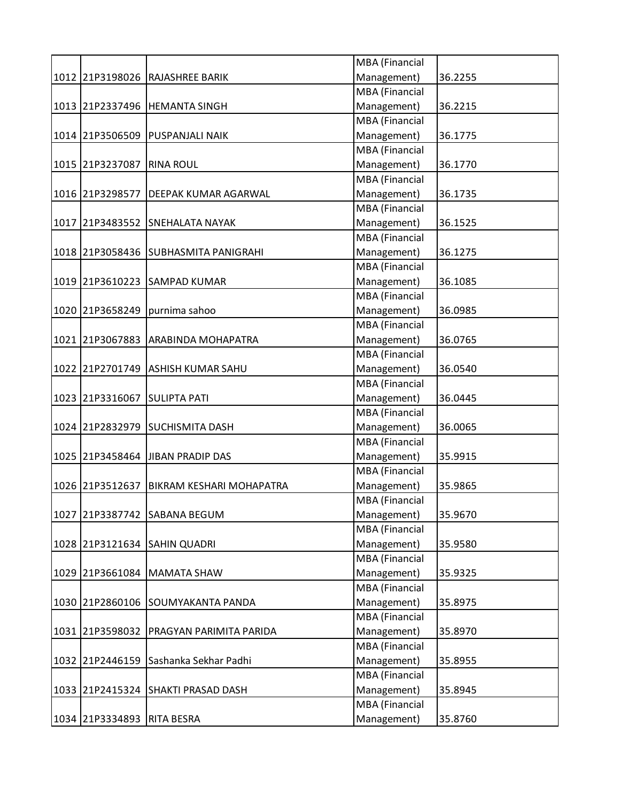|                 |                                      | MBA (Financial        |         |
|-----------------|--------------------------------------|-----------------------|---------|
|                 | 1012 21P3198026 RAJASHREE BARIK      | Management)           | 36.2255 |
|                 |                                      | <b>MBA</b> (Financial |         |
|                 | 1013 21P2337496 HEMANTA SINGH        | Management)           | 36.2215 |
|                 |                                      | MBA (Financial        |         |
|                 | 1014 21P3506509 PUSPANJALI NAIK      | Management)           | 36.1775 |
|                 |                                      | MBA (Financial        |         |
| 1015 21P3237087 | <b>RINA ROUL</b>                     | Management)           | 36.1770 |
|                 |                                      | <b>MBA</b> (Financial |         |
| 1016 21P3298577 | <b>DEEPAK KUMAR AGARWAL</b>          | Management)           | 36.1735 |
|                 |                                      | MBA (Financial        |         |
|                 | 1017 21P3483552 SNEHALATA NAYAK      | Management)           | 36.1525 |
|                 |                                      | MBA (Financial        |         |
|                 | 1018 21P3058436 SUBHASMITA PANIGRAHI | Management)           | 36.1275 |
|                 |                                      | <b>MBA</b> (Financial |         |
|                 | 1019 21P3610223 SAMPAD KUMAR         | Management)           | 36.1085 |
|                 |                                      | <b>MBA</b> (Financial |         |
| 1020 21P3658249 | purnima sahoo                        | Management)           | 36.0985 |
|                 |                                      | <b>MBA</b> (Financial |         |
| 1021 21P3067883 | ARABINDA MOHAPATRA                   | Management)           | 36.0765 |
|                 |                                      | <b>MBA</b> (Financial |         |
| 1022 21P2701749 | <b>ASHISH KUMAR SAHU</b>             | Management)           | 36.0540 |
|                 |                                      | MBA (Financial        |         |
| 1023 21P3316067 | <b>SULIPTA PATI</b>                  | Management)           | 36.0445 |
|                 |                                      | MBA (Financial        |         |
| 1024 21P2832979 | <b>SUCHISMITA DASH</b>               | Management)           | 36.0065 |
|                 |                                      | MBA (Financial        |         |
|                 | 1025 21P3458464 JJIBAN PRADIP DAS    | Management)           | 35.9915 |
|                 |                                      | MBA (Financial        |         |
| 1026 21P3512637 | BIKRAM KESHARI MOHAPATRA             | Management)           | 35.9865 |
|                 |                                      | <b>MBA</b> (Financial |         |
|                 | 1027 21P3387742 SABANA BEGUM         | Management)           | 35.9670 |
|                 |                                      | MBA (Financial        |         |
| 1028 21P3121634 | <b>SAHIN QUADRI</b>                  | Management)           | 35.9580 |
|                 |                                      | MBA (Financial        |         |
| 1029 21P3661084 | <b>MAMATA SHAW</b>                   | Management)           | 35.9325 |
|                 |                                      | MBA (Financial        |         |
|                 | 1030 21P2860106 SOUMYAKANTA PANDA    | Management)           | 35.8975 |
|                 |                                      | MBA (Financial        |         |
| 1031 21P3598032 | PRAGYAN PARIMITA PARIDA              | Management)           | 35.8970 |
|                 |                                      | MBA (Financial        |         |
| 1032 21P2446159 | Sashanka Sekhar Padhi                | Management)           | 35.8955 |
|                 |                                      | MBA (Financial        |         |
| 1033 21P2415324 | <b>SHAKTI PRASAD DASH</b>            | Management)           | 35.8945 |
|                 |                                      | MBA (Financial        |         |
| 1034 21P3334893 | <b>RITA BESRA</b>                    | Management)           | 35.8760 |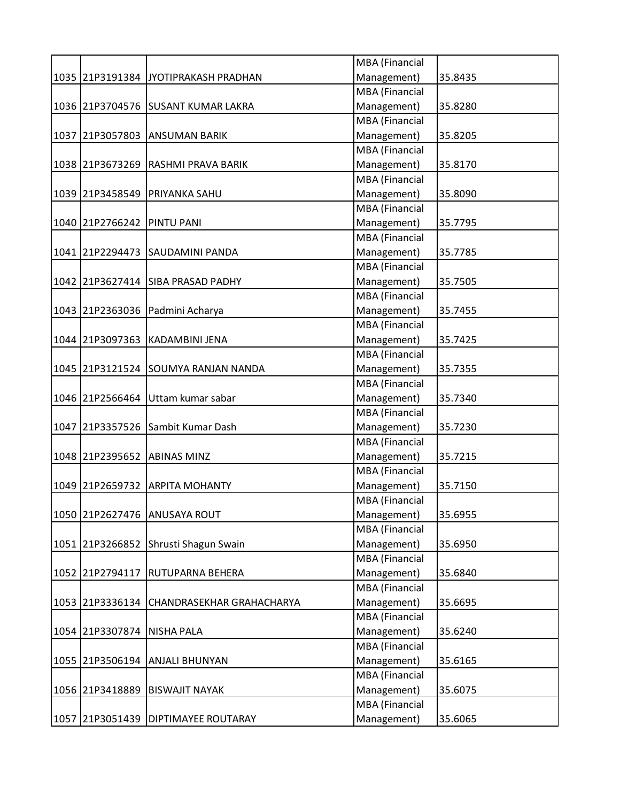|                 |                                     | MBA (Financial        |         |
|-----------------|-------------------------------------|-----------------------|---------|
| 1035 21P3191384 | JYOTIPRAKASH PRADHAN                | Management)           | 35.8435 |
|                 |                                     | <b>MBA</b> (Financial |         |
|                 | 1036 21P3704576 SUSANT KUMAR LAKRA  | Management)           | 35.8280 |
|                 |                                     | <b>MBA</b> (Financial |         |
| 1037 21P3057803 | <b>ANSUMAN BARIK</b>                | Management)           | 35.8205 |
|                 |                                     | MBA (Financial        |         |
| 1038 21P3673269 | <b>RASHMI PRAVA BARIK</b>           | Management)           | 35.8170 |
|                 |                                     | <b>MBA</b> (Financial |         |
| 1039 21P3458549 | <b>PRIYANKA SAHU</b>                | Management)           | 35.8090 |
|                 |                                     | <b>MBA</b> (Financial |         |
| 1040 21P2766242 | <b>PINTU PANI</b>                   | Management)           | 35.7795 |
|                 |                                     | <b>MBA</b> (Financial |         |
| 1041 21P2294473 | <b>SAUDAMINI PANDA</b>              | Management)           | 35.7785 |
|                 |                                     | <b>MBA</b> (Financial |         |
|                 | 1042 21P3627414 SIBA PRASAD PADHY   | Management)           | 35.7505 |
|                 |                                     | MBA (Financial        |         |
|                 | 1043 21P2363036 Padmini Acharya     | Management)           | 35.7455 |
|                 |                                     | <b>MBA</b> (Financial |         |
| 1044 21P3097363 | KADAMBINI JENA                      | Management)           | 35.7425 |
|                 |                                     | <b>MBA</b> (Financial |         |
| 1045 21P3121524 | <b>SOUMYA RANJAN NANDA</b>          | Management)           | 35.7355 |
|                 |                                     | <b>MBA</b> (Financial |         |
|                 | 1046 21P2566464 Uttam kumar sabar   | Management)           | 35.7340 |
|                 |                                     | <b>MBA</b> (Financial |         |
| 1047 21P3357526 | Sambit Kumar Dash                   | Management)           | 35.7230 |
|                 |                                     | MBA (Financial        |         |
| 1048 21P2395652 | <b>ABINAS MINZ</b>                  | Management)           | 35.7215 |
|                 |                                     | <b>MBA</b> (Financial |         |
| 1049 21P2659732 | <b>ARPITA MOHANTY</b>               | Management)           | 35.7150 |
|                 |                                     | <b>MBA</b> (Financial |         |
| 1050 21P2627476 | <b>ANUSAYA ROUT</b>                 | Management)           | 35.6955 |
|                 |                                     | <b>MBA</b> (Financial |         |
| 1051 21P3266852 | Shrusti Shagun Swain                | Management)           | 35.6950 |
|                 |                                     | <b>MBA</b> (Financial |         |
| 1052 21P2794117 | <b>RUTUPARNA BEHERA</b>             | Management)           | 35.6840 |
|                 |                                     | <b>MBA</b> (Financial |         |
| 1053 21P3336134 | <b>CHANDRASEKHAR GRAHACHARYA</b>    | Management)           | 35.6695 |
|                 |                                     | <b>MBA</b> (Financial |         |
| 1054 21P3307874 | <b>NISHA PALA</b>                   | Management)           | 35.6240 |
|                 |                                     | <b>MBA</b> (Financial |         |
| 1055 21P3506194 | <b>ANJALI BHUNYAN</b>               | Management)           | 35.6165 |
|                 |                                     | <b>MBA</b> (Financial |         |
| 1056 21P3418889 | <b>BISWAJIT NAYAK</b>               | Management)           | 35.6075 |
|                 |                                     | <b>MBA</b> (Financial |         |
|                 | 1057 21P3051439 DIPTIMAYEE ROUTARAY | Management)           | 35.6065 |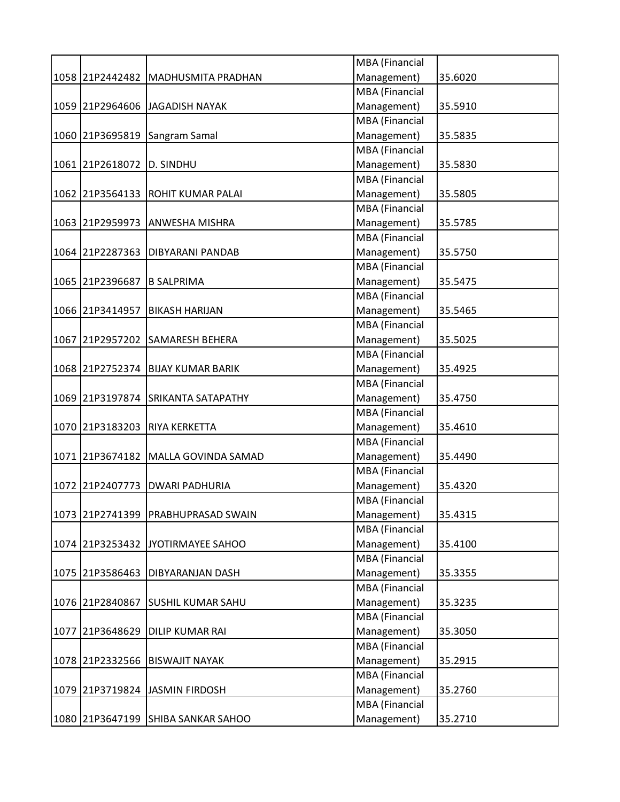|                           |                                     | MBA (Financial        |         |
|---------------------------|-------------------------------------|-----------------------|---------|
| 1058 21P2442482           | MADHUSMITA PRADHAN                  | Management)           | 35.6020 |
|                           |                                     | MBA (Financial        |         |
|                           | 1059 21P2964606 JAGADISH NAYAK      | Management)           | 35.5910 |
|                           |                                     | MBA (Financial        |         |
| 1060 21P3695819           | Sangram Samal                       | Management)           | 35.5835 |
|                           |                                     | MBA (Financial        |         |
| 1061 21P2618072 D. SINDHU |                                     | Management)           | 35.5830 |
|                           |                                     | MBA (Financial        |         |
|                           | 1062 21P3564133 ROHIT KUMAR PALAI   | Management)           | 35.5805 |
|                           |                                     | MBA (Financial        |         |
| 1063 21P2959973           | <b>ANWESHA MISHRA</b>               | Management)           | 35.5785 |
|                           |                                     | MBA (Financial        |         |
| 1064 21P2287363           | <b>DIBYARANI PANDAB</b>             | Management)           | 35.5750 |
|                           |                                     | MBA (Financial        |         |
| 1065 21P2396687           | <b>B SALPRIMA</b>                   | Management)           | 35.5475 |
|                           |                                     | MBA (Financial        |         |
| 1066 21P3414957           | <b>BIKASH HARIJAN</b>               | Management)           | 35.5465 |
|                           |                                     | <b>MBA</b> (Financial |         |
| 1067 21P2957202           | <b>SAMARESH BEHERA</b>              | Management)           | 35.5025 |
|                           |                                     | MBA (Financial        |         |
| 1068 21P2752374           | <b>BIJAY KUMAR BARIK</b>            | Management)           | 35.4925 |
|                           |                                     | MBA (Financial        |         |
|                           |                                     |                       |         |
|                           | 1069 21P3197874 SRIKANTA SATAPATHY  | Management)           | 35.4750 |
|                           |                                     | MBA (Financial        |         |
|                           | 1070 21P3183203 RIYA KERKETTA       | Management)           | 35.4610 |
|                           |                                     | MBA (Financial        |         |
|                           | 1071 21P3674182 MALLA GOVINDA SAMAD | Management)           | 35.4490 |
|                           |                                     | MBA (Financial        |         |
| 1072 21P2407773           | <b>DWARI PADHURIA</b>               | Management)           | 35.4320 |
|                           |                                     | MBA (Financial        |         |
|                           | 1073 21P2741399 PRABHUPRASAD SWAIN  | Management)           | 35.4315 |
|                           |                                     | MBA (Financial        |         |
| 1074 21P3253432           | JYOTIRMAYEE SAHOO                   | Management)           | 35.4100 |
|                           |                                     | MBA (Financial        |         |
| 1075 21P3586463           | <b>DIBYARANJAN DASH</b>             | Management)           | 35.3355 |
|                           |                                     | MBA (Financial        |         |
| 1076 21P2840867           | <b>SUSHIL KUMAR SAHU</b>            | Management)           | 35.3235 |
|                           |                                     | MBA (Financial        |         |
| 1077 21P3648629           | <b>DILIP KUMAR RAI</b>              | Management)           | 35.3050 |
|                           |                                     | MBA (Financial        |         |
| 1078 21P2332566           | <b>BISWAJIT NAYAK</b>               | Management)           | 35.2915 |
|                           |                                     | MBA (Financial        |         |
|                           | 1079 21P3719824 JASMIN FIRDOSH      | Management)           | 35.2760 |
|                           |                                     | MBA (Financial        |         |
|                           |                                     |                       |         |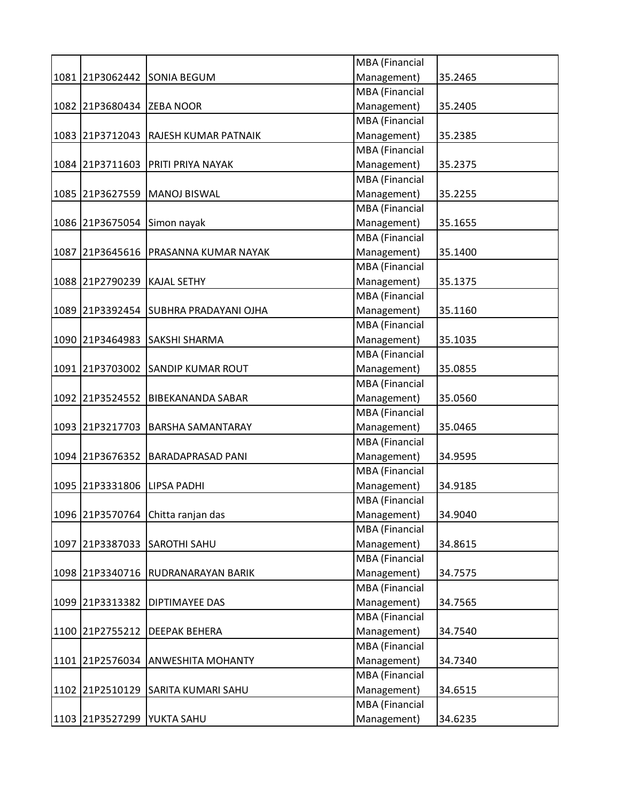|                             |                                       | MBA (Financial        |         |
|-----------------------------|---------------------------------------|-----------------------|---------|
|                             | 1081 21P3062442 SONIA BEGUM           | Management)           | 35.2465 |
|                             |                                       | <b>MBA</b> (Financial |         |
| 1082 21P3680434 ZEBA NOOR   |                                       | Management)           | 35.2405 |
|                             |                                       | <b>MBA</b> (Financial |         |
|                             | 1083 21P3712043 RAJESH KUMAR PATNAIK  | Management)           | 35.2385 |
|                             |                                       | MBA (Financial        |         |
|                             | 1084 21P3711603 PRITI PRIYA NAYAK     | Management)           | 35.2375 |
|                             |                                       | MBA (Financial        |         |
|                             | 1085 21P3627559 MANOJ BISWAL          | Management)           | 35.2255 |
|                             |                                       | <b>MBA</b> (Financial |         |
| 1086 21P3675054             | Simon nayak                           | Management)           | 35.1655 |
|                             |                                       | MBA (Financial        |         |
|                             | 1087 21P3645616 PRASANNA KUMAR NAYAK  | Management)           | 35.1400 |
|                             |                                       | MBA (Financial        |         |
| 1088 21P2790239 KAJAL SETHY |                                       | Management)           | 35.1375 |
|                             |                                       | MBA (Financial        |         |
|                             | 1089 21P3392454 SUBHRA PRADAYANI OJHA | Management)           | 35.1160 |
|                             |                                       | MBA (Financial        |         |
|                             | 1090 21P3464983 SAKSHI SHARMA         | Management)           | 35.1035 |
|                             |                                       | MBA (Financial        |         |
|                             | 1091 21P3703002 SANDIP KUMAR ROUT     | Management)           | 35.0855 |
|                             |                                       | MBA (Financial        |         |
|                             | 1092 21P3524552 BIBEKANANDA SABAR     | Management)           | 35.0560 |
|                             |                                       | MBA (Financial        |         |
|                             | 1093 21P3217703 BARSHA SAMANTARAY     | Management)           | 35.0465 |
|                             |                                       | MBA (Financial        |         |
|                             | 1094 21P3676352 BARADAPRASAD PANI     | Management)           | 34.9595 |
|                             |                                       | MBA (Financial        |         |
|                             |                                       |                       | 34.9185 |
| 1095 21P3331806             | <b>LIPSA PADHI</b>                    | Management)           |         |
|                             |                                       | <b>MBA</b> (Financial |         |
|                             | 1096 21P3570764 Chitta ranjan das     | Management)           | 34.9040 |
|                             |                                       | MBA (Financial        |         |
|                             | 1097 21P3387033 SAROTHI SAHU          | Management)           | 34.8615 |
|                             |                                       | MBA (Financial        |         |
|                             | 1098 21P3340716 RUDRANARAYAN BARIK    | Management)           | 34.7575 |
|                             |                                       | MBA (Financial        |         |
| 1099 21P3313382             | <b>DIPTIMAYEE DAS</b>                 | Management)           | 34.7565 |
|                             |                                       | MBA (Financial        |         |
| 1100 21P2755212             | <b>DEEPAK BEHERA</b>                  | Management)           | 34.7540 |
|                             |                                       | MBA (Financial        |         |
| 1101 21P2576034             | <b>ANWESHITA MOHANTY</b>              | Management)           | 34.7340 |
|                             |                                       | MBA (Financial        |         |
| 1102 21P2510129             | <b>SARITA KUMARI SAHU</b>             | Management)           | 34.6515 |
|                             |                                       | MBA (Financial        |         |
| 1103 21P3527299 YUKTA SAHU  |                                       | Management)           | 34.6235 |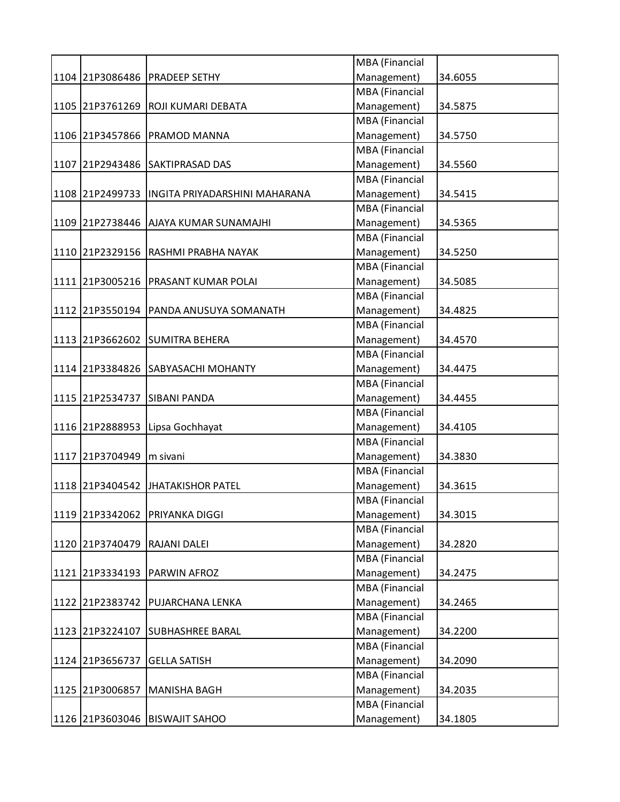|                 |                                               | MBA (Financial        |         |
|-----------------|-----------------------------------------------|-----------------------|---------|
|                 | 1104 21P3086486 PRADEEP SETHY                 | Management)           | 34.6055 |
|                 |                                               | <b>MBA</b> (Financial |         |
|                 | 1105 21P3761269 ROJI KUMARI DEBATA            | Management)           | 34.5875 |
|                 |                                               | <b>MBA</b> (Financial |         |
|                 | 1106 21P3457866 PRAMOD MANNA                  | Management)           | 34.5750 |
|                 |                                               | MBA (Financial        |         |
|                 | 1107 21P2943486 SAKTIPRASAD DAS               | Management)           | 34.5560 |
|                 |                                               | MBA (Financial        |         |
|                 | 1108 21P2499733 INGITA PRIYADARSHINI MAHARANA | Management)           | 34.5415 |
|                 |                                               | <b>MBA</b> (Financial |         |
|                 | 1109 21P2738446 AJAYA KUMAR SUNAMAJHI         | Management)           | 34.5365 |
|                 |                                               | MBA (Financial        |         |
|                 | 1110 21P2329156 RASHMI PRABHA NAYAK           | Management)           | 34.5250 |
|                 |                                               | MBA (Financial        |         |
|                 | 1111 21P3005216 PRASANT KUMAR POLAI           | Management)           | 34.5085 |
|                 |                                               | MBA (Financial        |         |
|                 | 1112 21P3550194 PANDA ANUSUYA SOMANATH        | Management)           | 34.4825 |
|                 |                                               | MBA (Financial        |         |
|                 | 1113 21P3662602 SUMITRA BEHERA                | Management)           | 34.4570 |
|                 |                                               | MBA (Financial        |         |
|                 | 1114 21P3384826 SABYASACHI MOHANTY            | Management)           | 34.4475 |
|                 |                                               | MBA (Financial        |         |
|                 | 1115 21P2534737 SIBANI PANDA                  | Management)           | 34.4455 |
|                 |                                               | MBA (Financial        |         |
|                 | 1116 21P2888953 Lipsa Gochhayat               | Management)           | 34.4105 |
|                 |                                               | MBA (Financial        |         |
| 1117 21P3704949 |                                               | Management)           |         |
|                 | m sivani                                      | MBA (Financial        | 34.3830 |
|                 |                                               |                       | 34.3615 |
|                 | 1118 21P3404542 JHATAKISHOR PATEL             | Management)           |         |
|                 |                                               | <b>MBA</b> (Financial |         |
|                 | 1119 21P3342062 PRIYANKA DIGGI                | Management)           | 34.3015 |
|                 |                                               | <b>MBA</b> (Financial |         |
| 1120 21P3740479 | <b>RAJANI DALEI</b>                           | Management)           | 34.2820 |
|                 |                                               | MBA (Financial        |         |
|                 | 1121 21P3334193 PARWIN AFROZ                  | Management)           | 34.2475 |
|                 |                                               | MBA (Financial        |         |
| 1122 21P2383742 | <b>PUJARCHANA LENKA</b>                       | Management)           | 34.2465 |
|                 |                                               | MBA (Financial        |         |
| 1123 21P3224107 | <b>SUBHASHREE BARAL</b>                       | Management)           | 34.2200 |
|                 |                                               | MBA (Financial        |         |
| 1124 21P3656737 | <b>GELLA SATISH</b>                           | Management)           | 34.2090 |
|                 |                                               | MBA (Financial        |         |
| 1125 21P3006857 | <b>MANISHA BAGH</b>                           | Management)           | 34.2035 |
|                 |                                               | MBA (Financial        |         |
|                 | 1126 21P3603046 BISWAJIT SAHOO                | Management)           | 34.1805 |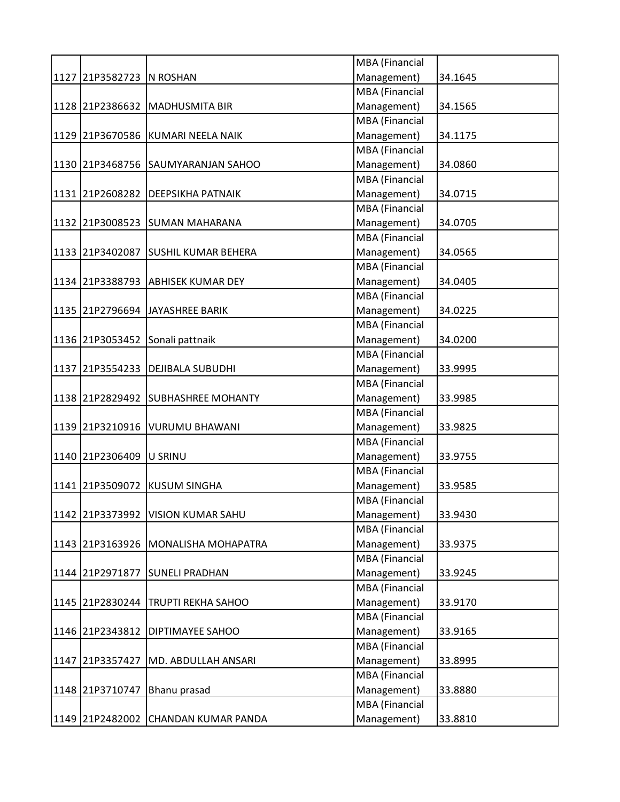|                          |                                     | MBA (Financial        |         |
|--------------------------|-------------------------------------|-----------------------|---------|
| 1127 21P3582723 N ROSHAN |                                     | Management)           | 34.1645 |
|                          |                                     | MBA (Financial        |         |
|                          | 1128 21P2386632 MADHUSMITA BIR      | Management)           | 34.1565 |
|                          |                                     | <b>MBA</b> (Financial |         |
|                          | 1129 21P3670586 KUMARI NEELA NAIK   | Management)           | 34.1175 |
|                          |                                     | MBA (Financial        |         |
|                          | 1130 21P3468756 SAUMYARANJAN SAHOO  | Management)           | 34.0860 |
|                          |                                     | <b>MBA</b> (Financial |         |
|                          | 1131 21P2608282 DEEPSIKHA PATNAIK   | Management)           | 34.0715 |
|                          |                                     | <b>MBA</b> (Financial |         |
|                          | 1132 21P3008523 SUMAN MAHARANA      | Management)           | 34.0705 |
|                          |                                     | MBA (Financial        |         |
|                          | 1133 21P3402087 SUSHIL KUMAR BEHERA | Management)           | 34.0565 |
|                          |                                     | MBA (Financial        |         |
|                          | 1134 21P3388793 ABHISEK KUMAR DEY   | Management)           | 34.0405 |
|                          |                                     | MBA (Financial        |         |
|                          | 1135 21P2796694 JAYASHREE BARIK     | Management)           | 34.0225 |
|                          |                                     | MBA (Financial        |         |
|                          | 1136 21P3053452 Sonali pattnaik     | Management)           | 34.0200 |
|                          |                                     | MBA (Financial        |         |
|                          | 1137 21P3554233 DEJIBALA SUBUDHI    | Management)           | 33.9995 |
|                          |                                     | MBA (Financial        |         |
|                          | 1138 21P2829492 SUBHASHREE MOHANTY  | Management)           | 33.9985 |
|                          |                                     | MBA (Financial        |         |
|                          | 1139 21P3210916 VURUMU BHAWANI      | Management)           | 33.9825 |
|                          |                                     | MBA (Financial        |         |
|                          |                                     | Management)           |         |
| 1140 21P2306409 U SRINU  |                                     | MBA (Financial        | 33.9755 |
|                          | 1141 21P3509072 KUSUM SINGHA        |                       |         |
|                          |                                     | Management)           | 33.9585 |
|                          |                                     | <b>MBA</b> (Financial |         |
|                          | 1142 21P3373992 VISION KUMAR SAHU   | Management)           | 33.9430 |
|                          |                                     | MBA (Financial        |         |
|                          | 1143 21P3163926 MONALISHA MOHAPATRA | Management)           | 33.9375 |
|                          |                                     | <b>MBA</b> (Financial |         |
|                          | 1144 21P2971877 SUNELI PRADHAN      | Management)           | 33.9245 |
|                          |                                     | MBA (Financial        |         |
| 1145 21P2830244          | <b>TRUPTI REKHA SAHOO</b>           | Management)           | 33.9170 |
|                          |                                     | MBA (Financial        |         |
| 1146 21P2343812          | <b>DIPTIMAYEE SAHOO</b>             | Management)           | 33.9165 |
|                          |                                     | MBA (Financial        |         |
| 1147 21P3357427          | MD. ABDULLAH ANSARI                 | Management)           | 33.8995 |
|                          |                                     | MBA (Financial        |         |
| 1148 21P3710747          | Bhanu prasad                        | Management)           | 33.8880 |
|                          |                                     | MBA (Financial        |         |
|                          | 1149 21P2482002 CHANDAN KUMAR PANDA | Management)           | 33.8810 |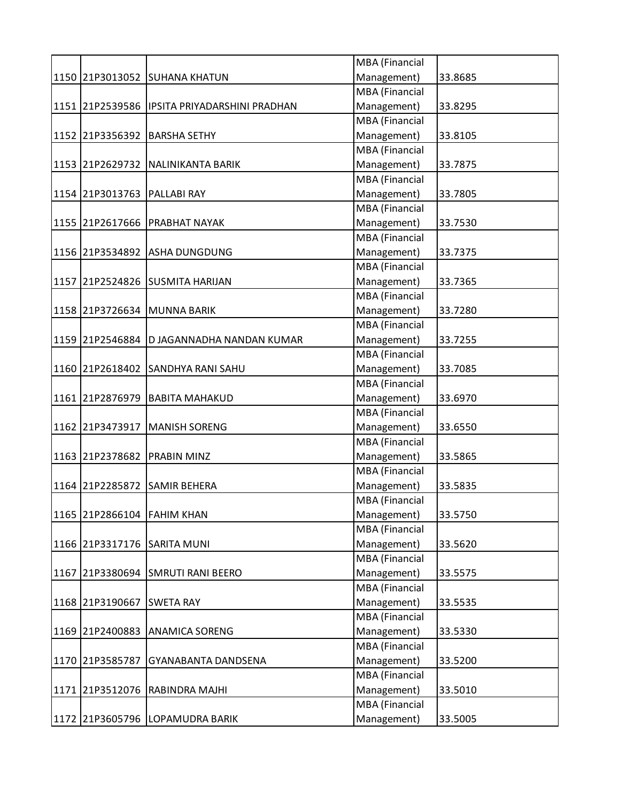|                             |                                              | MBA (Financial        |         |
|-----------------------------|----------------------------------------------|-----------------------|---------|
|                             | 1150 21P3013052 SUHANA KHATUN                | Management)           | 33.8685 |
|                             |                                              | <b>MBA</b> (Financial |         |
|                             | 1151 21P2539586 IPSITA PRIYADARSHINI PRADHAN | Management)           | 33.8295 |
|                             |                                              | MBA (Financial        |         |
|                             | 1152 21P3356392 BARSHA SETHY                 | Management)           | 33.8105 |
|                             |                                              | MBA (Financial        |         |
|                             | 1153 21P2629732 NALINIKANTA BARIK            | Management)           | 33.7875 |
|                             |                                              | MBA (Financial        |         |
| 1154 21P3013763 PALLABI RAY |                                              | Management)           | 33.7805 |
|                             |                                              | <b>MBA</b> (Financial |         |
|                             | 1155 21P2617666 PRABHAT NAYAK                | Management)           | 33.7530 |
|                             |                                              | MBA (Financial        |         |
|                             | 1156 21P3534892 ASHA DUNGDUNG                | Management)           | 33.7375 |
|                             |                                              | MBA (Financial        |         |
|                             | 1157 21P2524826 SUSMITA HARIJAN              | Management)           | 33.7365 |
|                             |                                              | MBA (Financial        |         |
|                             | 1158 21P3726634 MUNNA BARIK                  | Management)           | 33.7280 |
|                             |                                              | MBA (Financial        |         |
|                             | 1159 21P2546884 D JAGANNADHA NANDAN KUMAR    | Management)           | 33.7255 |
|                             |                                              | MBA (Financial        |         |
| 1160 21P2618402             | <b>SANDHYA RANI SAHU</b>                     | Management)           | 33.7085 |
|                             |                                              |                       |         |
|                             |                                              | MBA (Financial        |         |
| 1161 21P2876979             | <b>BABITA MAHAKUD</b>                        | Management)           | 33.6970 |
|                             |                                              | MBA (Financial        |         |
| 1162 21P3473917             | MANISH SORENG                                | Management)           | 33.6550 |
|                             |                                              | MBA (Financial        |         |
|                             | 1163 21P2378682 PRABIN MINZ                  | Management)           | 33.5865 |
|                             |                                              | MBA (Financial        |         |
| 1164 21P2285872             | <b>SAMIR BEHERA</b>                          | Management)           | 33.5835 |
|                             |                                              | <b>MBA</b> (Financial |         |
| 1165 21P2866104 FAHIM KHAN  |                                              | Management)           | 33.5750 |
|                             |                                              | <b>MBA</b> (Financial |         |
|                             | 1166 21P3317176 SARITA MUNI                  | Management)           | 33.5620 |
|                             |                                              | MBA (Financial        |         |
|                             | 1167 21P3380694 SMRUTI RANI BEERO            | Management)           | 33.5575 |
|                             |                                              | MBA (Financial        |         |
| 1168 21P3190667             | <b>SWETA RAY</b>                             | Management)           | 33.5535 |
|                             |                                              | MBA (Financial        |         |
| 1169 21P2400883             | <b>ANAMICA SORENG</b>                        | Management)           | 33.5330 |
|                             |                                              | MBA (Financial        |         |
| 1170 21P3585787             | GYANABANTA DANDSENA                          | Management)           | 33.5200 |
|                             |                                              | MBA (Financial        |         |
| 1171 21P3512076             | <b>RABINDRA MAJHI</b>                        | Management)           | 33.5010 |
|                             |                                              | MBA (Financial        |         |
|                             |                                              |                       |         |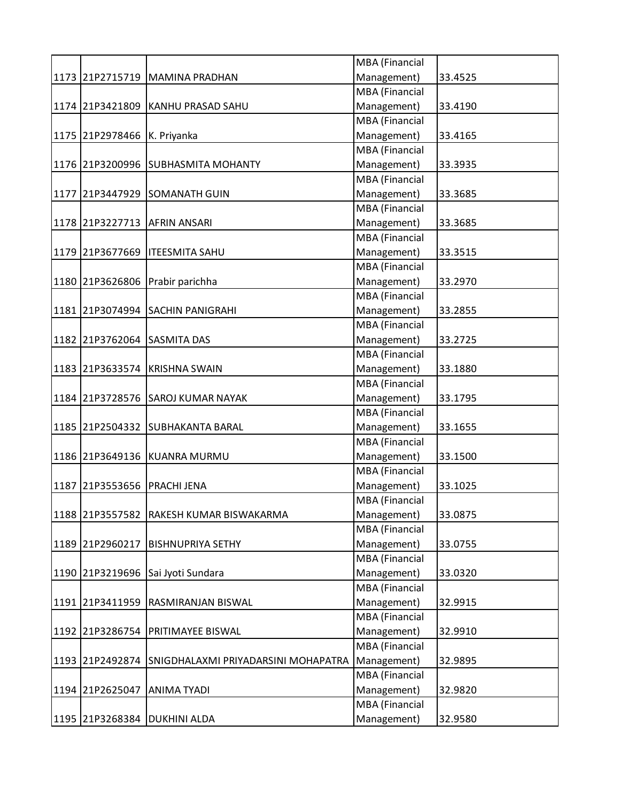|      |                             |                                     | MBA (Financial        |         |
|------|-----------------------------|-------------------------------------|-----------------------|---------|
|      |                             | 1173 21P2715719 MAMINA PRADHAN      | Management)           | 33.4525 |
|      |                             |                                     | MBA (Financial        |         |
|      |                             | 1174 21P3421809 KANHU PRASAD SAHU   | Management)           | 33.4190 |
|      |                             |                                     | MBA (Financial        |         |
|      | 1175 21P2978466 K. Priyanka |                                     | Management)           | 33.4165 |
|      |                             |                                     | MBA (Financial        |         |
|      |                             | 1176 21P3200996 SUBHASMITA MOHANTY  | Management)           | 33.3935 |
|      |                             |                                     | MBA (Financial        |         |
|      |                             | 1177 21P3447929 SOMANATH GUIN       | Management)           | 33.3685 |
|      |                             |                                     | <b>MBA</b> (Financial |         |
|      |                             | 1178 21P3227713 AFRIN ANSARI        | Management)           | 33.3685 |
|      |                             |                                     | MBA (Financial        |         |
|      |                             | 1179 21P3677669   ITEESMITA SAHU    | Management)           | 33.3515 |
|      |                             |                                     | MBA (Financial        |         |
|      |                             | 1180 21P3626806 Prabir parichha     | Management)           | 33.2970 |
|      |                             |                                     | MBA (Financial        |         |
|      |                             | 1181 21P3074994 SACHIN PANIGRAHI    | Management)           | 33.2855 |
|      |                             |                                     | MBA (Financial        |         |
|      |                             | 1182 21P3762064 SASMITA DAS         | Management)           | 33.2725 |
|      |                             |                                     | MBA (Financial        |         |
|      |                             | 1183 21P3633574 KRISHNA SWAIN       | Management)           | 33.1880 |
|      |                             |                                     | MBA (Financial        |         |
|      |                             | 1184 21P3728576 SAROJ KUMAR NAYAK   | Management)           | 33.1795 |
|      |                             |                                     | MBA (Financial        |         |
|      |                             | 1185 21P2504332 SUBHAKANTA BARAL    |                       |         |
|      |                             |                                     | Management)           | 33.1655 |
|      |                             |                                     | MBA (Financial        |         |
|      |                             | 1186 21P3649136 KUANRA MURMU        | Management)           | 33.1500 |
|      |                             |                                     | MBA (Financial        |         |
| 1187 | 21P3553656                  | <b>PRACHI JENA</b>                  | Management)           | 33.1025 |
|      |                             |                                     | <b>MBA</b> (Financial |         |
|      | 1188 21P3557582             | RAKESH KUMAR BISWAKARMA             | Management)           | 33.0875 |
|      |                             |                                     | MBA (Financial        |         |
|      | 1189 21P2960217             | <b>BISHNUPRIYA SETHY</b>            | Management)           | 33.0755 |
|      |                             |                                     | <b>MBA</b> (Financial |         |
|      |                             | 1190 21P3219696 Sai Jyoti Sundara   | Management)           | 33.0320 |
|      |                             |                                     | MBA (Financial        |         |
|      | 1191 21P3411959             | <b>RASMIRANJAN BISWAL</b>           | Management)           | 32.9915 |
|      |                             |                                     | MBA (Financial        |         |
|      | 1192 21P3286754             | <b>PRITIMAYEE BISWAL</b>            | Management)           | 32.9910 |
|      |                             |                                     | <b>MBA</b> (Financial |         |
|      | 1193 21P2492874             | SNIGDHALAXMI PRIYADARSINI MOHAPATRA | Management)           | 32.9895 |
|      |                             |                                     | MBA (Financial        |         |
|      | 1194 21P2625047             | <b>ANIMA TYADI</b>                  | Management)           | 32.9820 |
|      |                             |                                     | MBA (Financial        |         |
|      |                             | 1195 21P3268384 DUKHINI ALDA        | Management)           | 32.9580 |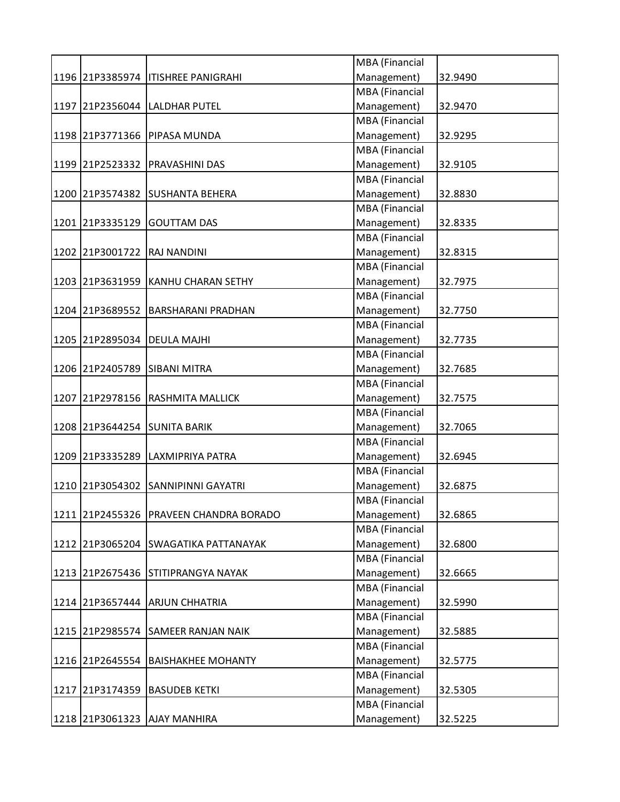|                             |                                        | MBA (Financial        |         |
|-----------------------------|----------------------------------------|-----------------------|---------|
|                             | 1196 21P3385974   ITISHREE PANIGRAHI   | Management)           | 32.9490 |
|                             |                                        | <b>MBA</b> (Financial |         |
|                             | 1197 21P2356044 LALDHAR PUTEL          | Management)           | 32.9470 |
|                             |                                        | <b>MBA</b> (Financial |         |
|                             | 1198 21P3771366 PIPASA MUNDA           | Management)           | 32.9295 |
|                             |                                        | MBA (Financial        |         |
|                             | 1199 21P2523332 PRAVASHINI DAS         | Management)           | 32.9105 |
|                             |                                        | <b>MBA</b> (Financial |         |
|                             | 1200 21P3574382 SUSHANTA BEHERA        | Management)           | 32.8830 |
|                             |                                        | <b>MBA</b> (Financial |         |
|                             | 1201 21P3335129 GOUTTAM DAS            | Management)           | 32.8335 |
|                             |                                        | MBA (Financial        |         |
| 1202 21P3001722 RAJ NANDINI |                                        | Management)           | 32.8315 |
|                             |                                        | MBA (Financial        |         |
|                             | 1203 21P3631959 KANHU CHARAN SETHY     | Management)           | 32.7975 |
|                             |                                        | <b>MBA</b> (Financial |         |
| 1204 21P3689552             | <b>BARSHARANI PRADHAN</b>              | Management)           | 32.7750 |
|                             |                                        | MBA (Financial        |         |
|                             | 1205 21P2895034 DEULA MAJHI            | Management)           | 32.7735 |
|                             |                                        | MBA (Financial        |         |
| 1206 21P2405789             | <b>SIBANI MITRA</b>                    | Management)           | 32.7685 |
|                             |                                        | MBA (Financial        |         |
|                             | 1207 21P2978156 RASHMITA MALLICK       | Management)           | 32.7575 |
|                             |                                        | MBA (Financial        |         |
|                             |                                        |                       |         |
|                             | 1208 21P3644254 SUNITA BARIK           | Management)           | 32.7065 |
|                             |                                        | MBA (Financial        |         |
|                             | 1209 21P3335289 LAXMIPRIYA PATRA       | Management)           | 32.6945 |
|                             |                                        | MBA (Financial        |         |
|                             | 1210 21P3054302 SANNIPINNI GAYATRI     | Management)           | 32.6875 |
|                             |                                        | <b>MBA</b> (Financial |         |
|                             | 1211 21P2455326 PRAVEEN CHANDRA BORADO | Management)           | 32.6865 |
|                             |                                        | MBA (Financial        |         |
|                             | 1212 21P3065204 SWAGATIKA PATTANAYAK   | Management)           | 32.6800 |
|                             |                                        | <b>MBA</b> (Financial |         |
|                             | 1213 21P2675436 STITIPRANGYA NAYAK     | Management)           | 32.6665 |
|                             |                                        | MBA (Financial        |         |
|                             | 1214 21P3657444 ARJUN CHHATRIA         | Management)           | 32.5990 |
|                             |                                        | MBA (Financial        |         |
| 1215 21P2985574             | <b>SAMEER RANJAN NAIK</b>              | Management)           | 32.5885 |
|                             |                                        | MBA (Financial        |         |
| 1216 21P2645554             | <b>BAISHAKHEE MOHANTY</b>              | Management)           | 32.5775 |
|                             |                                        | MBA (Financial        |         |
| 1217 21P3174359             | <b>BASUDEB KETKI</b>                   | Management)           | 32.5305 |
|                             |                                        | MBA (Financial        |         |
|                             | 1218 21P3061323 AJAY MANHIRA           | Management)           | 32.5225 |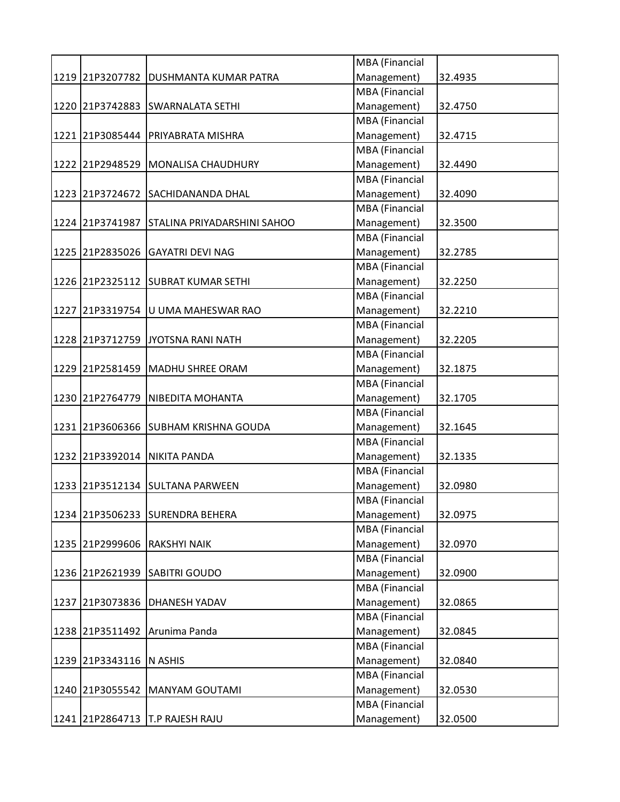|                         |                                       | <b>MBA</b> (Financial |         |
|-------------------------|---------------------------------------|-----------------------|---------|
|                         | 1219 21P3207782 DUSHMANTA KUMAR PATRA | Management)           | 32.4935 |
|                         |                                       | <b>MBA</b> (Financial |         |
| 1220 21P3742883         | <b>SWARNALATA SETHI</b>               | Management)           | 32.4750 |
|                         |                                       | <b>MBA</b> (Financial |         |
|                         | 1221 21P3085444 PRIYABRATA MISHRA     | Management)           | 32.4715 |
|                         |                                       | <b>MBA</b> (Financial |         |
|                         | 1222 21P2948529 MONALISA CHAUDHURY    | Management)           | 32.4490 |
|                         |                                       | <b>MBA</b> (Financial |         |
|                         | 1223 21P3724672 SACHIDANANDA DHAL     | Management)           | 32.4090 |
|                         |                                       | MBA (Financial        |         |
| 1224 21P3741987         | STALINA PRIYADARSHINI SAHOO           | Management)           | 32.3500 |
|                         |                                       | MBA (Financial        |         |
|                         | 1225 21P2835026 GAYATRI DEVI NAG      | Management)           | 32.2785 |
|                         |                                       | MBA (Financial        |         |
|                         | 1226 21P2325112 SUBRAT KUMAR SETHI    | Management)           | 32.2250 |
|                         |                                       | <b>MBA</b> (Financial |         |
| 1227 21P3319754         | U UMA MAHESWAR RAO                    | Management)           | 32.2210 |
|                         |                                       | <b>MBA</b> (Financial |         |
|                         | 1228 21P3712759 JYOTSNA RANI NATH     | Management)           | 32.2205 |
|                         |                                       | MBA (Financial        |         |
|                         | 1229 21P2581459 MADHU SHREE ORAM      | Management)           | 32.1875 |
|                         |                                       | MBA (Financial        |         |
|                         | 1230 21P2764779   NIBEDITA MOHANTA    | Management)           | 32.1705 |
|                         |                                       | MBA (Financial        |         |
|                         | 1231 21P3606366 SUBHAM KRISHNA GOUDA  | Management)           | 32.1645 |
|                         |                                       | <b>MBA</b> (Financial |         |
|                         | 1232 21P3392014 NIKITA PANDA          | Management)           | 32.1335 |
|                         |                                       | MBA (Financial        |         |
|                         | 1233 21P3512134 SULTANA PARWEEN       | Management)           | 32.0980 |
|                         |                                       | MBA (Financial        |         |
|                         | 1234 21P3506233 SURENDRA BEHERA       | Management)           | 32.0975 |
|                         |                                       | MBA (Financial        |         |
| 1235 21P2999606         | <b>RAKSHYI NAIK</b>                   | Management)           | 32.0970 |
|                         |                                       | MBA (Financial        |         |
| 1236 21P2621939         | <b>SABITRI GOUDO</b>                  | Management)           | 32.0900 |
|                         |                                       | MBA (Financial        |         |
| 1237 21P3073836         | DHANESH YADAV                         | Management)           | 32.0865 |
|                         |                                       | MBA (Financial        |         |
| 1238 21P3511492         | Arunima Panda                         | Management)           | 32.0845 |
|                         |                                       | MBA (Financial        |         |
| 1239 21P3343116 N ASHIS |                                       | Management)           | 32.0840 |
|                         |                                       | MBA (Financial        |         |
| 1240 21P3055542         | <b>MANYAM GOUTAMI</b>                 | Management)           | 32.0530 |
|                         |                                       | MBA (Financial        |         |
| 1241 21P2864713         | T.P RAJESH RAJU                       | Management)           | 32.0500 |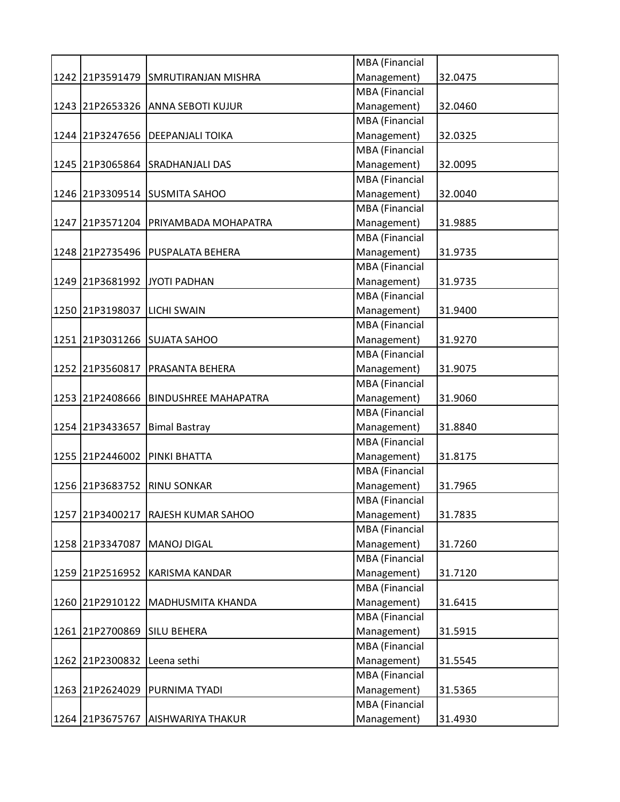|                 |                                   | MBA (Financial        |         |
|-----------------|-----------------------------------|-----------------------|---------|
| 1242 21P3591479 | <b>SMRUTIRANJAN MISHRA</b>        | Management)           | 32.0475 |
|                 |                                   | <b>MBA</b> (Financial |         |
|                 | 1243 21P2653326 ANNA SEBOTI KUJUR | Management)           | 32.0460 |
|                 |                                   | <b>MBA</b> (Financial |         |
| 1244 21P3247656 | <b>DEEPANJALI TOIKA</b>           | Management)           | 32.0325 |
|                 |                                   | MBA (Financial        |         |
|                 | 1245 21P3065864 SRADHANJALI DAS   | Management)           | 32.0095 |
|                 |                                   | <b>MBA</b> (Financial |         |
| 1246 21P3309514 | <b>SUSMITA SAHOO</b>              | Management)           | 32.0040 |
|                 |                                   | <b>MBA</b> (Financial |         |
| 1247 21P3571204 | <b>PRIYAMBADA MOHAPATRA</b>       | Management)           | 31.9885 |
|                 |                                   | <b>MBA</b> (Financial |         |
|                 | 1248 21P2735496 PUSPALATA BEHERA  | Management)           | 31.9735 |
|                 |                                   | <b>MBA</b> (Financial |         |
|                 | 1249 21P3681992 JYOTI PADHAN      | Management)           | 31.9735 |
|                 |                                   | MBA (Financial        |         |
| 1250 21P3198037 | <b>LICHI SWAIN</b>                | Management)           | 31.9400 |
|                 |                                   | <b>MBA</b> (Financial |         |
| 1251 21P3031266 | <b>SUJATA SAHOO</b>               | Management)           | 31.9270 |
|                 |                                   | <b>MBA</b> (Financial |         |
| 1252 21P3560817 | <b>PRASANTA BEHERA</b>            | Management)           | 31.9075 |
|                 |                                   | <b>MBA</b> (Financial |         |
| 1253 21P2408666 | <b>BINDUSHREE MAHAPATRA</b>       | Management)           | 31.9060 |
|                 |                                   | <b>MBA</b> (Financial |         |
| 1254 21P3433657 | <b>Bimal Bastray</b>              | Management)           | 31.8840 |
|                 |                                   | MBA (Financial        |         |
| 1255 21P2446002 | <b>PINKI BHATTA</b>               | Management)           | 31.8175 |
|                 |                                   | <b>MBA</b> (Financial |         |
| 1256 21P3683752 | <b>RINU SONKAR</b>                | Management)           | 31.7965 |
|                 |                                   | <b>MBA</b> (Financial |         |
| 1257 21P3400217 | <b>RAJESH KUMAR SAHOO</b>         | Management)           | 31.7835 |
|                 |                                   | <b>MBA</b> (Financial |         |
| 1258 21P3347087 | <b>MANOJ DIGAL</b>                | Management)           | 31.7260 |
|                 |                                   | <b>MBA</b> (Financial |         |
|                 | 1259 21P2516952 KARISMA KANDAR    | Management)           | 31.7120 |
|                 |                                   | MBA (Financial        |         |
| 1260 21P2910122 | <b>MADHUSMITA KHANDA</b>          | Management)           | 31.6415 |
|                 |                                   | MBA (Financial        |         |
| 1261 21P2700869 | <b>SILU BEHERA</b>                | Management)           | 31.5915 |
|                 |                                   | <b>MBA</b> (Financial |         |
| 1262 21P2300832 | Leena sethi                       | Management)           | 31.5545 |
|                 |                                   | <b>MBA</b> (Financial |         |
| 1263 21P2624029 | <b>PURNIMA TYADI</b>              | Management)           | 31.5365 |
|                 |                                   | <b>MBA</b> (Financial |         |
|                 | 1264 21P3675767 AISHWARIYA THAKUR | Management)           | 31.4930 |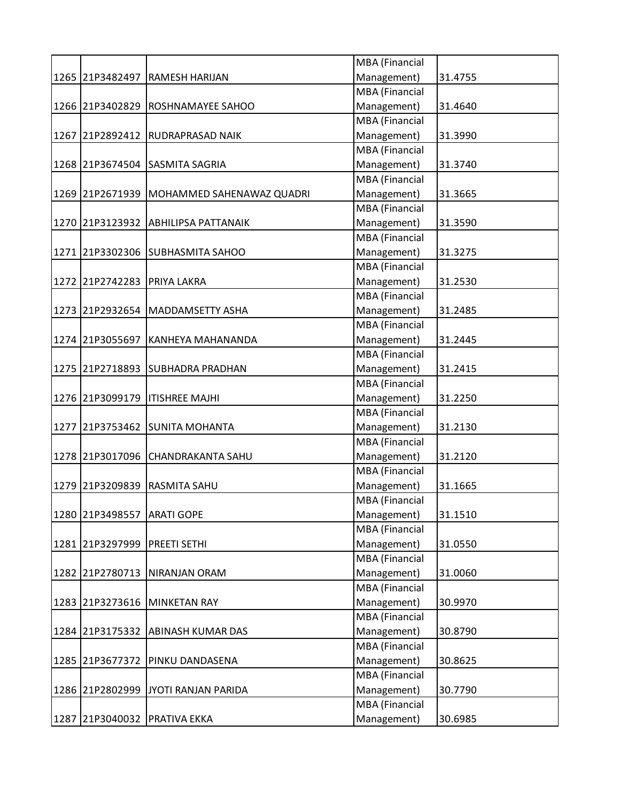|                             |                                             | MBA (Financial        |         |
|-----------------------------|---------------------------------------------|-----------------------|---------|
|                             | 1265 21P3482497 RAMESH HARIJAN              | Management)           | 31.4755 |
|                             |                                             | <b>MBA</b> (Financial |         |
|                             | 1266 21P3402829 ROSHNAMAYEE SAHOO           | Management)           | 31.4640 |
|                             |                                             | MBA (Financial        |         |
|                             | 1267 21P2892412 RUDRAPRASAD NAIK            | Management)           | 31.3990 |
|                             |                                             | MBA (Financial        |         |
|                             | 1268 21P3674504 SASMITA SAGRIA              | Management)           | 31.3740 |
|                             |                                             | MBA (Financial        |         |
|                             | 1269 21P2671939   MOHAMMED SAHENAWAZ QUADRI | Management)           | 31.3665 |
|                             |                                             | <b>MBA</b> (Financial |         |
|                             | 1270 21P3123932 ABHILIPSA PATTANAIK         | Management)           | 31.3590 |
|                             |                                             | MBA (Financial        |         |
|                             | 1271 21P3302306 SUBHASMITA SAHOO            | Management)           | 31.3275 |
|                             |                                             | MBA (Financial        |         |
| 1272 21P2742283 PRIYA LAKRA |                                             | Management)           | 31.2530 |
|                             |                                             | MBA (Financial        |         |
|                             | 1273 21P2932654 MADDAMSETTY ASHA            | Management)           | 31.2485 |
|                             |                                             | MBA (Financial        |         |
| 1274 21P3055697             | KANHEYA MAHANANDA                           | Management)           | 31.2445 |
|                             |                                             | MBA (Financial        |         |
|                             | 1275 21P2718893 SUBHADRA PRADHAN            | Management)           | 31.2415 |
|                             |                                             | MBA (Financial        |         |
|                             | 1276 21P3099179   ITISHREE MAJHI            | Management)           | 31.2250 |
|                             |                                             | MBA (Financial        |         |
|                             | 1277 21P3753462 SUNITA MOHANTA              | Management)           | 31.2130 |
|                             |                                             | MBA (Financial        |         |
|                             | 1278 21P3017096 CHANDRAKANTA SAHU           | Management)           | 31.2120 |
|                             |                                             | MBA (Financial        |         |
| 1279 21P3209839             | <b>RASMITA SAHU</b>                         | Management)           | 31.1665 |
|                             |                                             | <b>MBA</b> (Financial |         |
| 1280 21P3498557             | <b>ARATI GOPE</b>                           | Management)           | 31.1510 |
|                             |                                             | <b>MBA</b> (Financial |         |
| 1281 21P3297999             | <b>PREETI SETHI</b>                         | Management)           | 31.0550 |
|                             |                                             | MBA (Financial        |         |
|                             |                                             | Management)           |         |
|                             | 1282 21P2780713 NIRANJAN ORAM               | MBA (Financial        | 31.0060 |
|                             |                                             |                       |         |
| 1283 21P3273616             | MINKETAN RAY                                | Management)           | 30.9970 |
|                             |                                             | MBA (Financial        |         |
|                             | 1284 21P3175332 ABINASH KUMAR DAS           | Management)           | 30.8790 |
|                             |                                             | MBA (Financial        |         |
| 1285 21P3677372             | PINKU DANDASENA                             | Management)           | 30.8625 |
|                             |                                             | MBA (Financial        |         |
|                             | 1286 21P2802999 JYOTI RANJAN PARIDA         | Management)           | 30.7790 |
|                             |                                             | MBA (Financial        |         |
|                             | 1287 21P3040032 PRATIVA EKKA                | Management)           | 30.6985 |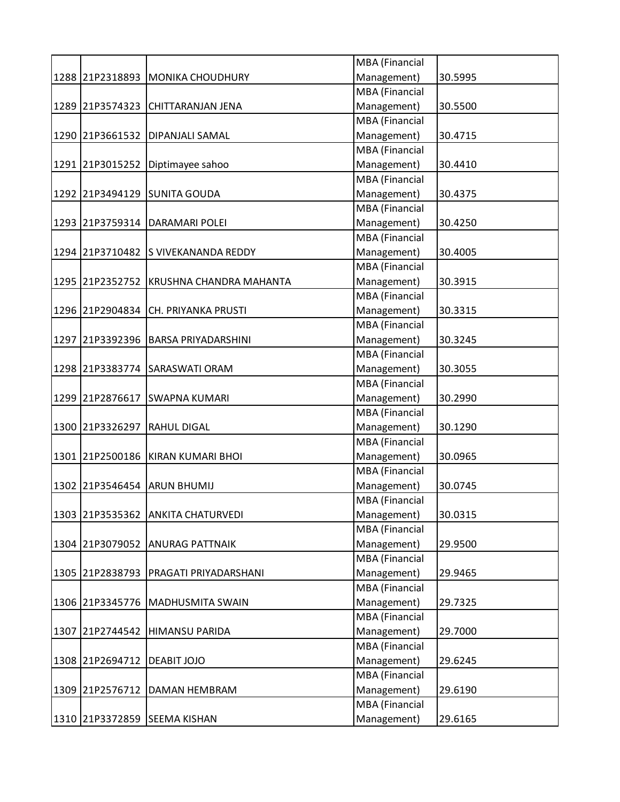|                 |                                         | MBA (Financial        |         |
|-----------------|-----------------------------------------|-----------------------|---------|
|                 | 1288 21P2318893 MONIKA CHOUDHURY        | Management)           | 30.5995 |
|                 |                                         | MBA (Financial        |         |
|                 | 1289 21P3574323 CHITTARANJAN JENA       | Management)           | 30.5500 |
|                 |                                         | MBA (Financial        |         |
| 1290 21P3661532 | <b>DIPANJALI SAMAL</b>                  | Management)           | 30.4715 |
|                 |                                         | MBA (Financial        |         |
|                 | 1291 21P3015252 Diptimayee sahoo        | Management)           | 30.4410 |
|                 |                                         | <b>MBA</b> (Financial |         |
|                 | 1292 21P3494129 SUNITA GOUDA            | Management)           | 30.4375 |
|                 |                                         | MBA (Financial        |         |
| 1293 21P3759314 | <b>DARAMARI POLEI</b>                   | Management)           | 30.4250 |
|                 |                                         | MBA (Financial        |         |
|                 | 1294 21P3710482 S VIVEKANANDA REDDY     | Management)           | 30.4005 |
|                 |                                         | <b>MBA</b> (Financial |         |
|                 | 1295 21P2352752 KRUSHNA CHANDRA MAHANTA | Management)           | 30.3915 |
|                 |                                         | <b>MBA</b> (Financial |         |
| 1296 21P2904834 | CH. PRIYANKA PRUSTI                     | Management)           | 30.3315 |
|                 |                                         | <b>MBA</b> (Financial |         |
| 1297 21P3392396 | <b>BARSA PRIYADARSHINI</b>              | Management)           | 30.3245 |
|                 |                                         | MBA (Financial        |         |
| 1298 21P3383774 | <b>SARASWATI ORAM</b>                   | Management)           | 30.3055 |
|                 |                                         | MBA (Financial        |         |
| 1299 21P2876617 | <b>SWAPNA KUMARI</b>                    | Management)           | 30.2990 |
|                 |                                         | MBA (Financial        |         |
| 1300 21P3326297 | <b>RAHUL DIGAL</b>                      | Management)           | 30.1290 |
|                 |                                         | MBA (Financial        |         |
|                 |                                         | Management)           |         |
|                 | 1301 21P2500186 KIRAN KUMARI BHOI       | MBA (Financial        | 30.0965 |
|                 |                                         |                       | 30.0745 |
| 1302 21P3546454 | <b>ARUN BHUMIJ</b>                      | Management)           |         |
|                 |                                         | MBA (Financial        |         |
| 1303 21P3535362 | <b>ANKITA CHATURVEDI</b>                | Management)           | 30.0315 |
|                 |                                         | <b>MBA</b> (Financial |         |
| 1304 21P3079052 | <b>ANURAG PATTNAIK</b>                  | Management)           | 29.9500 |
|                 |                                         | MBA (Financial        |         |
|                 | 1305 21P2838793 PRAGATI PRIYADARSHANI   | Management)           | 29.9465 |
|                 |                                         | MBA (Financial        |         |
| 1306 21P3345776 | MADHUSMITA SWAIN                        | Management)           | 29.7325 |
|                 |                                         | MBA (Financial        |         |
| 1307 21P2744542 | HIMANSU PARIDA                          | Management)           | 29.7000 |
|                 |                                         | MBA (Financial        |         |
| 1308 21P2694712 | <b>DEABIT JOJO</b>                      | Management)           | 29.6245 |
|                 |                                         | MBA (Financial        |         |
| 1309 21P2576712 | DAMAN HEMBRAM                           | Management)           | 29.6190 |
|                 |                                         | MBA (Financial        |         |
|                 | 1310 21P3372859 SEEMA KISHAN            | Management)           | 29.6165 |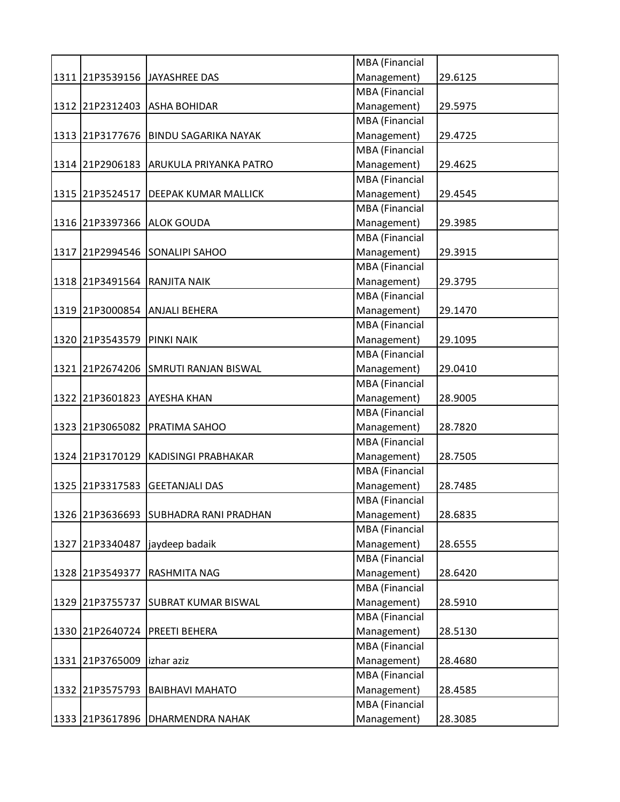|                 |                                       | MBA (Financial        |         |
|-----------------|---------------------------------------|-----------------------|---------|
|                 | 1311 21P3539156 JAYASHREE DAS         | Management)           | 29.6125 |
|                 |                                       | <b>MBA</b> (Financial |         |
|                 | 1312 21P2312403 ASHA BOHIDAR          | Management)           | 29.5975 |
|                 |                                       | <b>MBA</b> (Financial |         |
| 1313 21P3177676 | <b>BINDU SAGARIKA NAYAK</b>           | Management)           | 29.4725 |
|                 |                                       | MBA (Financial        |         |
| 1314 21P2906183 | <b>ARUKULA PRIYANKA PATRO</b>         | Management)           | 29.4625 |
|                 |                                       | <b>MBA</b> (Financial |         |
| 1315 21P3524517 | <b>DEEPAK KUMAR MALLICK</b>           | Management)           | 29.4545 |
|                 |                                       | <b>MBA</b> (Financial |         |
|                 | 1316 21P3397366 ALOK GOUDA            | Management)           | 29.3985 |
|                 |                                       | <b>MBA</b> (Financial |         |
|                 | 1317 21P2994546 SONALIPI SAHOO        | Management)           | 29.3915 |
|                 |                                       | <b>MBA</b> (Financial |         |
|                 | 1318 21P3491564 RANJITA NAIK          | Management)           | 29.3795 |
|                 |                                       | MBA (Financial        |         |
|                 | 1319 21P3000854 ANJALI BEHERA         | Management)           | 29.1470 |
|                 |                                       | <b>MBA</b> (Financial |         |
| 1320 21P3543579 | <b>PINKI NAIK</b>                     | Management)           | 29.1095 |
|                 |                                       | <b>MBA</b> (Financial |         |
| 1321 21P2674206 | <b>SMRUTI RANJAN BISWAL</b>           | Management)           | 29.0410 |
|                 |                                       | <b>MBA</b> (Financial |         |
| 1322 21P3601823 | <b>AYESHA KHAN</b>                    | Management)           | 28.9005 |
|                 |                                       | <b>MBA</b> (Financial |         |
|                 | 1323 21P3065082 PRATIMA SAHOO         | Management)           | 28.7820 |
|                 |                                       | MBA (Financial        |         |
| 1324 21P3170129 | KADISINGI PRABHAKAR                   | Management)           | 28.7505 |
|                 |                                       | <b>MBA</b> (Financial |         |
| 1325 21P3317583 | <b>GEETANJALI DAS</b>                 | Management)           | 28.7485 |
|                 |                                       | <b>MBA</b> (Financial |         |
|                 | 1326 21P3636693 SUBHADRA RANI PRADHAN | Management)           | 28.6835 |
|                 |                                       | <b>MBA</b> (Financial |         |
| 1327 21P3340487 | jaydeep badaik                        | Management)           | 28.6555 |
|                 |                                       | <b>MBA</b> (Financial |         |
| 1328 21P3549377 | <b>RASHMITA NAG</b>                   | Management)           | 28.6420 |
|                 |                                       | MBA (Financial        |         |
| 1329 21P3755737 | <b>SUBRAT KUMAR BISWAL</b>            | Management)           | 28.5910 |
|                 |                                       | <b>MBA</b> (Financial |         |
| 1330 21P2640724 | <b>PREETI BEHERA</b>                  | Management)           | 28.5130 |
|                 |                                       | <b>MBA</b> (Financial |         |
| 1331 21P3765009 | izhar aziz                            | Management)           | 28.4680 |
|                 |                                       | <b>MBA</b> (Financial |         |
| 1332 21P3575793 | <b>BAIBHAVI MAHATO</b>                | Management)           | 28.4585 |
|                 |                                       | <b>MBA</b> (Financial |         |
|                 | 1333 21P3617896 DHARMENDRA NAHAK      | Management)           | 28.3085 |
|                 |                                       |                       |         |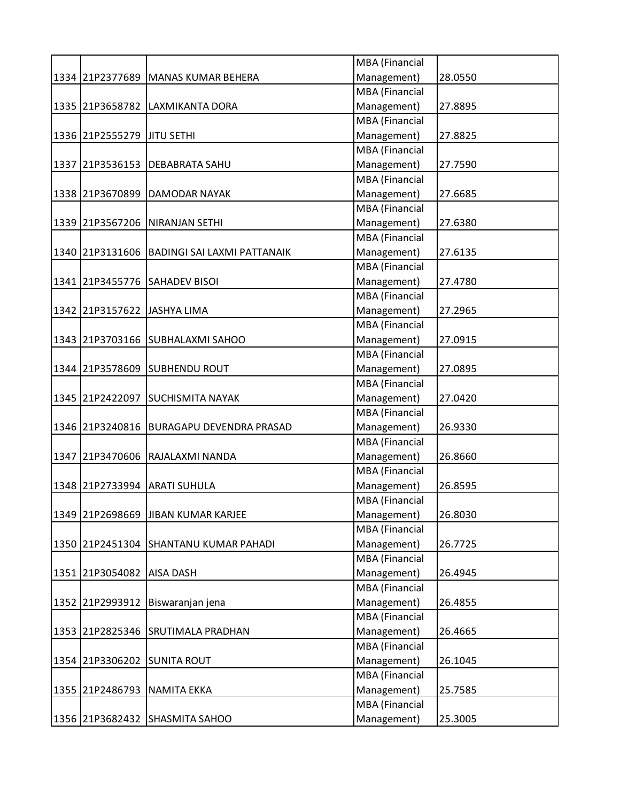|                              |                                       | MBA (Financial        |         |
|------------------------------|---------------------------------------|-----------------------|---------|
|                              | 1334 21P2377689 MANAS KUMAR BEHERA    | Management)           | 28.0550 |
|                              |                                       | <b>MBA</b> (Financial |         |
|                              | 1335 21P3658782 LAXMIKANTA DORA       | Management)           | 27.8895 |
|                              |                                       | <b>MBA</b> (Financial |         |
| 1336 21P2555279 JJTU SETHI   |                                       | Management)           | 27.8825 |
|                              |                                       | MBA (Financial        |         |
| 1337 21P3536153              | <b>DEBABRATA SAHU</b>                 | Management)           | 27.7590 |
|                              |                                       | MBA (Financial        |         |
| 1338 21P3670899              | <b>DAMODAR NAYAK</b>                  | Management)           | 27.6685 |
|                              |                                       | <b>MBA</b> (Financial |         |
|                              | 1339 21P3567206 NIRANJAN SETHI        | Management)           | 27.6380 |
|                              |                                       | <b>MBA</b> (Financial |         |
| 1340 21P3131606              | <b>BADINGI SAI LAXMI PATTANAIK</b>    | Management)           | 27.6135 |
|                              |                                       | MBA (Financial        |         |
|                              | 1341 21P3455776 SAHADEV BISOI         | Management)           | 27.4780 |
|                              |                                       | MBA (Financial        |         |
| 1342 21P3157622 JJASHYA LIMA |                                       | Management)           | 27.2965 |
|                              |                                       | MBA (Financial        |         |
|                              | 1343 21P3703166 SUBHALAXMI SAHOO      | Management)           | 27.0915 |
|                              |                                       | MBA (Financial        |         |
| 1344 21P3578609              | <b>SUBHENDU ROUT</b>                  | Management)           | 27.0895 |
|                              |                                       | MBA (Financial        |         |
|                              | 1345 21P2422097 SUCHISMITA NAYAK      | Management)           | 27.0420 |
|                              |                                       | MBA (Financial        |         |
|                              |                                       |                       |         |
| 1346 21P3240816              | <b>BURAGAPU DEVENDRA PRASAD</b>       | Management)           | 26.9330 |
|                              |                                       | MBA (Financial        |         |
|                              | 1347 21P3470606 RAJALAXMI NANDA       | Management)           | 26.8660 |
|                              |                                       | MBA (Financial        |         |
| 1348 21P2733994              | <b>ARATI SUHULA</b>                   | Management)           | 26.8595 |
|                              |                                       | <b>MBA</b> (Financial |         |
|                              | 1349 21P2698669 JJIBAN KUMAR KARJEE   | Management)           | 26.8030 |
|                              |                                       | <b>MBA</b> (Financial |         |
|                              | 1350 21P2451304 SHANTANU KUMAR PAHADI | Management)           | 26.7725 |
|                              |                                       | MBA (Financial        |         |
| 1351 21P3054082 AISA DASH    |                                       | Management)           | 26.4945 |
|                              |                                       | MBA (Financial        |         |
| 1352 21P2993912              | Biswaranjan jena                      | Management)           | 26.4855 |
|                              |                                       | MBA (Financial        |         |
| 1353 21P2825346              | <b>SRUTIMALA PRADHAN</b>              | Management)           | 26.4665 |
|                              |                                       | MBA (Financial        |         |
| 1354 21P3306202              | <b>SUNITA ROUT</b>                    | Management)           | 26.1045 |
|                              |                                       | MBA (Financial        |         |
|                              | 1355 21P2486793 NAMITA EKKA           | Management)           | 25.7585 |
|                              |                                       | MBA (Financial        |         |
|                              | 1356 21P3682432 SHASMITA SAHOO        | Management)           | 25.3005 |